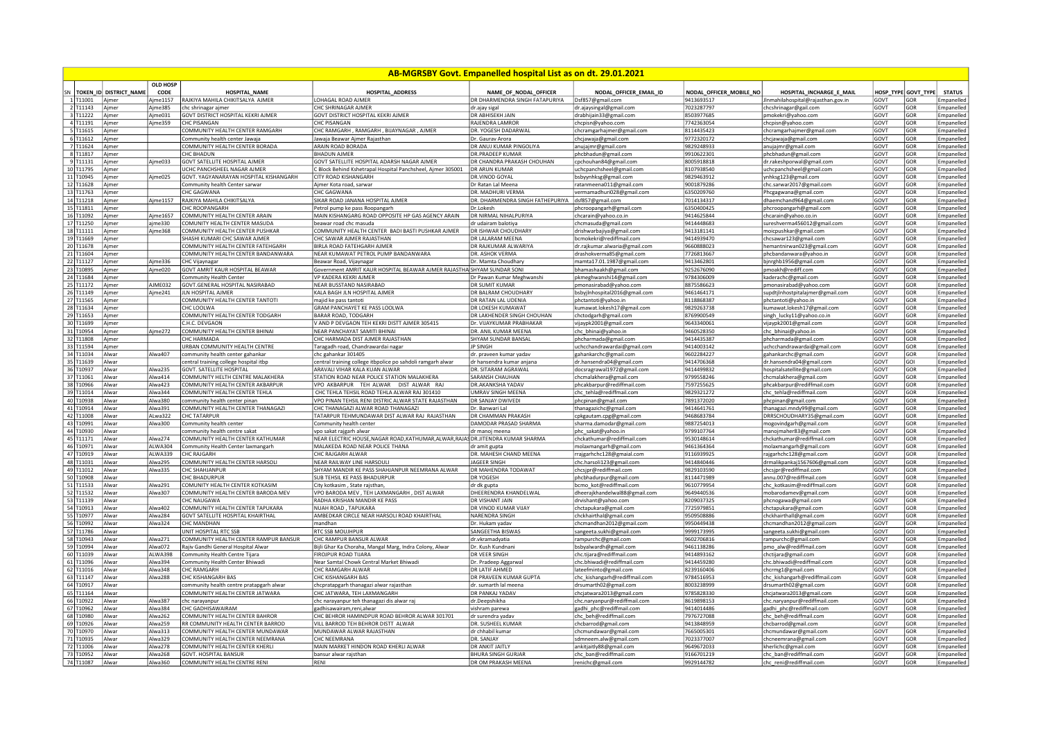|    | <b>AB-MGRSBY Govt. Empanelled hospital List as on dt. 29.01.2021</b> |                        |                         |                                           |                                                                                  |                                         |                                                     |                         |                                                   |           |                  |               |
|----|----------------------------------------------------------------------|------------------------|-------------------------|-------------------------------------------|----------------------------------------------------------------------------------|-----------------------------------------|-----------------------------------------------------|-------------------------|---------------------------------------------------|-----------|------------------|---------------|
| SN |                                                                      | TOKEN_ID DISTRICT_NAME | <b>OLD HOSP</b><br>CODE | <b>HOSPITAL_NAME</b>                      | <b>HOSPITAL_ADDRESS</b>                                                          | NAME_OF_NODAL_OFFICER                   | NODAL_OFFICER_EMAIL_ID                              | NODAL_OFFICER_MOBILE_NO | HOSPITAL_INCHARGE_E_MAIL                          | HOSP_TYPE | <b>GOVT_TYPE</b> | <b>STATUS</b> |
|    | 1T11001                                                              | Ajmer                  | jme1157                 | RAJKIYA MAHILA CHIKITSALYA AJMER          | LOHAGAL ROAD AJMER                                                               | DR DHARMENDRA SINGH FATAPURIYA          | Dsf857@gmail.com                                    | 9413693517              | JInmahilahospital@rajasthan.gov.in                | GOVT      | GOR              | Empanelled    |
|    | 2 T11143                                                             | Ajmer                  | Ajme385                 | chc shrinagar ajmer                       | CHC SHRINAGAR AJMER                                                              | dr.ajay siga                            | dr.ajaysingal@gmail.com                             | 7023287797              | chcshrinagar@gail.com                             | GOVT      | GOR              | Empanelled    |
|    | $3$ T11222                                                           | Ajmer                  | Aime031                 | <b>GOVT DISTRICT HOSPITAL KEKRI AJMER</b> | <b>GOVT DISTRICT HOSPITAL KEKRI AJMER</b>                                        | <b>DR ABHISFKH JAIN</b>                 | drabhijain33@gmail.com                              | 8503977685              | pmokekri@vahoo.com                                | GOVT      | GOR              | Empanelled    |
|    | 4 T11191                                                             | Ajmer                  | Aime359                 | <b>CHC PISANGAN</b>                       | <b>CHC PISANGAN</b>                                                              | RAJENDRA LAMROR                         | chcpisn@yahoo.com                                   | 7742363054              | chcpisn@yahoo.com                                 | GOVT      | GOR              | Empanelled    |
|    | 5 T11615                                                             | Ajmer                  |                         | COMMUNITY HEALTH CENTER RAMGARH           | CHC RAMGARH, RAMGARH, BIJAYNAGAR, AJMER                                          | DR. YOGESH DADARWAL                     | chcramgarhajmer@gmail.com                           | 8114435423              | chcramgarhajmer@gmail.com                         | GOVT      | GOR              | Empanelled    |
|    | 6 T11612                                                             | Ajmer                  |                         | Community health center Jawaia            | Jawaja Beawar Ajmer Rajasthan                                                    | Dr. Gauray Arora                        | chcjawaja@gmail.com                                 | 9772320172              | chcjawaja@gmail.com                               | GOVT      | GOR              | Empanelled    |
|    | 7 T11624                                                             | Ajmer                  |                         | COMMUNITY HEALTH CENTER BORADA            | ARAIN ROAD BORADA                                                                | DR ANUJ KUMAR PINGOLIYA                 | anujajmr@gmail.com                                  | 9829248933              | anujajmr@gmail.com                                | GOVT      | GOR              | Empanelled    |
|    | 8 T11817                                                             | Ajmer                  |                         | CHC BHADUN                                | <b>BHADUN AIMFR</b>                                                              | <b>DR.PRADFFP KUMAR</b>                 | phcbhadun@gmail.com                                 | 9910622301              | phcbhadun@gmail.com                               | GOVT      | GOR              | Empanelled    |
|    | 9 T11131                                                             | Ajmer                  | Ajme033                 | <b>GOVT SATELLITE HOSPITAL AJMER</b>      | GOVT SATELLITE HOSPITAL ADARSH NAGAR AIMER                                       | DR CHANDRA PRAKASH CHOUHAN              | cpchouhan84@gmail.com                               | 8005918818              | dr.rakeshporwal@gmail.com                         | GOVT      | GOR              | Empanelled    |
|    | 10 T11795                                                            | Ajmer                  |                         | UCHC PANCHSHEEL NAGAR AJMER               | Block Behind Kshetrapal Hospital Panchsheel, Ajmer 305001                        | <b>DR ARUN KUMAR</b>                    | uchcpanchsheel@gmail.com                            | 8107938540              | uchcpanchsheel@gmail.com                          | GOVT      | GOR              | Empanelled    |
|    | 11 T10945                                                            | Ajmer                  | Ajme025                 | GOVT. YAGYANARAYAN HOSPITAL KISHANGARH    | <b>CITY ROAD KISHANGARH</b>                                                      | DR.VINOD GOYAL                          | bsbyynhksg@gmail.com                                | 9829463912              | mhksg123@gmail.com                                | GOVT      | GOR              | Empanelled    |
|    | 12 T11628                                                            | Ajmer                  |                         | Community health Center sarwar            | imer Kota road, sarwar                                                           | Dr Ratan Lal Meena                      | ratanmeena011@gmail.com                             | 9001879286              | chc.sarwar2017@gmail.com                          | GOVT      | GOR              | Empanelled    |
|    | 13 T11763                                                            | Aimer                  |                         | <b>CHC GAGWANA</b>                        | CHC GAGWANA                                                                      | DR. MADHURI VERMA                       | vermamadhuri028@gmail.com                           | 6350209760              | Phcgagwana@gmail.com                              | GOVT      | GOR              | Empanelled    |
|    | 14 T11218                                                            | Ajmer                  | Ajme1157                | RAJKIYA MAHILA CHIKITSALYA                | SIKAR ROAD JANANA HOSPITAL AJMER                                                 | DR. DHARMENDRA SINGH FATHEPURIYA        | dsf857@gmail.com                                    | 7014134317              | dhaemchand964@gmail.com                           | GOVT      | GOR              | Empanelled    |
|    | 15 T11811                                                            | Ajmer                  |                         | CHC ROOPANGARH                            | Petrol pump ke pass Roopangarh                                                   | Dr. Lokesh                              | phcroopangarh@gmail.com                             | 6350400425              | phcroopangarh@gmail.com                           | GOVT      | GOR              | Empanelled    |
|    | 16 T11092                                                            | Ajmer                  | Ajme1657                | COMMUNITY HEALTH CENTER ARAIN             | MAIN KISHANGARG ROAD OPPOSITE HP GAS AGENCY ARAIN                                | DR NIRMAL NIHALPURIYA                   | chcarain@yahoo.co.in                                | 9414625844              | chcarain@yahoo.co.in                              | GOVT      | GOR              | Empanelled    |
|    | 17 T11250                                                            | Ajmer                  | ajme330                 | COMUNITY HEALTH CENTER MASUDA             | beawar road chc masuda                                                           | dr udairam balotiya                     | chcmasuda@gmail.com                                 | 9414448683              | sureshverma456012@gmail.com                       | GOVT      | GOR              | Empanelled    |
|    | 18 T11111                                                            | Ajmer                  | Ajme368                 | COMMUNITY HEALTH CENTER PUSHKAR           | COMMUNITY HEALTH CENTER BADI BASTI PUSHKAR AJMER                                 | DR ISHWAR CHOUDHARY                     | drishwarbajiya@gmail.com                            | 9413181141              | moicpushkar@gmail.com                             | GOVT      | GOR              | Empanelled    |
|    | 19 T11669                                                            | Ajmer                  |                         | SHASHI KUMARI CHC SAWAR AJMER             | CHC SAWAR AJMER RAJASTHAN                                                        | DR LALARAM MEENA                        | bcmokekri@rediffmail.com                            | 9414939470              | chcsawar123@gmail.com                             | GOVT      | GOR              | Empanelled    |
|    | 20 T11678                                                            | Ajmer                  |                         | COMMUNITY HEALTH CENTER FATEHGARH         | <b>BIRLA ROAD FATFHGARH AIMFR</b>                                                | DR RAIKUMAR AI WARIYA                   | dr.rajkumar.alwaria@gmail.com                       | 9660888023              | hemantnirwan023@gmail.com                         | GOVT      | GOR              | Empanelled    |
|    | 21 T11604                                                            | Ajmer                  |                         | COMMUNITY HEALTH CENTER BANDANWARA        | NEAR KUMAWAT PETROL PUMP BANDANWARA                                              | DR. ASHOK VERMA                         | drashokverma85@gmail.com                            | 7726813667              | phcbandanwara@yahoo.in                            | GOVT      | GOR              | Empanelled    |
|    | 22 T11127                                                            | Ajmer                  | Ajme336                 | CHC Vijaynagar                            | Beawar Road, Vijaynagar                                                          | Dr. Mamta Choudhary                     | mamta17.01.1987@gmail.com                           | 9413462801              | bjnrghb1956@gmail.com                             | GOVT      | GOR              | Empanelled    |
|    | 23 T10895                                                            | Aimer                  | Aime020                 | GOVT AMRIT KAUR HOSPITAL BEAWAR           | Government AMRIT KAUR HOSPITAL BEAWAR AJMER RAJASTHA SHYAM SUNDAR SONI           |                                         | bhamashaakh@gmail.com                               | 9252676090              | omoakh@rediff.com                                 | GOVT      | GOR              | Empanelled    |
|    | 24 T11684                                                            | Ajmer                  |                         | Community Health Center                   | VP KADERA KEKRI AJMEF                                                            | Dr Pawan Kumar Meghwanshi               | pkmeghwanshi14@gmail.com                            | 9784306009              | kaderachc@gmail.com                               | GOVT      | GOR              | Empanelled    |
|    | 25 T11172                                                            | Ajmer                  | AJME032                 | GOVT.GENERAL HOSPITAL NASIRABAD           | NEAR BUSSTAND NASIRABAD                                                          | DR SUMIT KUMAR                          | pmonasirabad@yahoo.com                              | 8875586623              | pmonasirabad@yahoo.con                            | GOVT      | GOR              | Empanelled    |
|    | 26 T11149                                                            | Ajmer                  | Aime241                 | JLN HOSPITAL AJMER                        | KALA BAGH JLN HOSPITAL AJMER                                                     | DR BALRAM CHOUDHARY                     | bsbyjlnhospital2016@gmail.com                       | 9461464171              | supdtjlnhostpitalajmer@gmail.com                  | GOVT      | GOR              | Empanelled    |
|    | 27 T11565                                                            | Ajmer                  |                         | COMMUNITY HEALTH CENTER TANTOTI           | majid ke pass tantoti                                                            | DR RATAN LAL UDENIA                     | phctantoti@yahoo.in                                 | 8118868387              | phctantoti@yahoo.in                               | GOVT      | GOR              | Empanelled    |
|    | 28 T11634                                                            | Ajmer                  |                         | CHC LOOLWA                                | GRAM PANCHAYET KE PASS LOOLWA                                                    | DR LOKESH KUMAWAT                       | kumawat.lokesh17@gmail.com                          | 9829263738              | kumawat.lokesh17@gmail.com                        | GOVT      | GOR              | Empanelled    |
|    | 29 T11653                                                            | Aimer                  |                         | COMMUNITY HEALTH CENTER TODGARH           | <b>BARAR ROAD, TODGARH</b>                                                       | DR LAKHENDER SINGH CHOUHAN              | chctodgarh@gmail.com                                | 8769900549              | singh lucky11@yahoo.co.in                         | GOVT      | GOR              | Empanelled    |
|    | 30 T11699                                                            | Aimer                  |                         | C.H.C. DEVGAON                            | V AND P DEVGAON TEH KEKRI DISTT AJMER 305415                                     | Dr. VIJAYKUMAR PRABHAKAR                | vijaypk2001@gmail.com                               | 9643340061              | vijaypk2001@gmail.com                             | GOVT      | GOR              | Empanelled    |
|    | 31 T10954                                                            | Ajmer                  | Ajme272                 | COMMUNITY HEALTH CENTER BHINAI            | NEAR PANCHAYAT SAMITI BHINAI                                                     | DR. ANIL KUMAR MEENA                    | chc_bhinai@yahoo.in                                 | 9460528350              | chc_bhinai@yahoo.in                               | GOVT      | GOR              | Empanelled    |
|    | 32 T11808                                                            | Ajmer                  |                         | CHC HARMADA                               | CHC HARMADA DIST AJMER RAJASTHAN                                                 | SHYAM SUNDAR BANSAL                     | phcharmada@gmail.com                                | 9414435387              | phcharmada@gmail.com                              | GOVT      | GOR              | Empanelled    |
|    | 33 T11594                                                            | Ajmer                  |                         | URBAN COMMUNITY HEALTH CENTRE             | Taragadh road, Chandrawardai nagar                                               | <b>JP SINGH</b>                         | uchcchandrawardai@gmail.com                         | 9414003142              | uchcchandrawardai@gmail.com                       | GOVT      | GOR              | Empanelled    |
|    | 34 T11034                                                            | Alwar                  | Alwa407                 | community health center gahankar          | chc gahankar 301405                                                              | dr. praveen kumar vadav                 | gahankarchc@gmail.com                               | 9602284227              | gahankarchc@gmail.com                             | GOVT      | GOR              | Empanelled    |
|    | 35 T11639                                                            | Alwar                  |                         | central training college hospital itbp    | entral training college itbpolice po sahdoli ramgarh alwar                       | dr hansendra kumar anjana               | dr.hansendra04@gmail.com                            | 9414706368              | Ir.hansendra04@gmail.com                          | GOVT      | GOI              | Empanelled    |
|    | 36 T10937                                                            | Alwar                  | Alwa235                 | <b>GOVT, SATELLITE HOSPITAL</b>           | ARAVALI VIHAR KALA KUAN ALWAF                                                    | DR. SITARAM AGRAWAL                     | docsragrawal1972@gmail.com                          | 9414499832              | nospitalsatellite@gmail.com                       | GOVT      | GOR              | Empanelled    |
|    | 37 T11061                                                            | Alwar                  | Alwa414                 | COMMUNITY HELTH CENTRE MALAKHERA          | STATION ROAD NEAR POLICE STATION MALAKHERA                                       | <b>SARANSH CHAUHAN</b>                  | chcmalakhera@gmail.com                              | 9799558246              | chcmalakhera@gmail.com                            | GOVT      | GOR              | Empanelled    |
|    | 38 T10966                                                            | Alwar                  | Alwa423                 | COMMUNITY HEALTH CENTER AKBARPUR          | VPO AKBARPUR TEH ALWAR DIST ALWAR RAJ                                            | DR.AKANKSHA YADAV                       | phcakbarpur@rediffmail.com                          | 7597255625              | phcakbarpur@rediffmail.com                        | GOVT      | GOR              | Empanelled    |
|    | 39 T11014                                                            | Alwar                  | Alwa344                 | COMMUNITY HEALTH CENTER TEHLA             | CHC TEHLA TEHSIL ROAD TEHLA ALWAR RAJ 301410                                     | <b>UMRAV SINGH MEENA</b>                | chc tehla@rediffmail.com                            | 9829321272              | chc tehla@rediffmail.com                          | GOVT      | GOR              | Empanelled    |
|    | 40 T10938                                                            | Alwar                  | Alwa380                 | community health center pinan             | VPO PINAN TEHSIL RENI DISTRIC ALWAR STATE RAJASTHAN                              | DR SANIAY DWIVED!                       | phcpinan@gmail.com                                  | 7891372020              | phcpinan@gmail.com                                | GOVI      | GOR              | Empanelled    |
|    | 41 T10914                                                            | Alwar                  | Alwa391                 | COMMUNITY HEALTH CENTER THANAGAZI         | CHC THANAGAZI ALWAR ROAD THANAGAZI                                               | Dr. Banwari Lal                         | thanagazichc@gmail.com                              | 9414641761              | thanagazi.mndy99@gmail.com                        | GOVT      | GOR              | Empanelled    |
|    | 42 T11008                                                            | Alwar                  | ALwa322                 | <b>CHC TATARPUR</b>                       | TATARPUR TEHMUNDAWAR DIST ALWAR RAJ RAJASTHAN                                    | DR CHAMMAN PRAKASH                      | cpkgautam.cpg@gmail.com                             | 9468683784              | DRRSCHOUDHARY35@gmail.com                         | GOVT      | GOR              | Empanelled    |
|    | 43 T10991                                                            | Alwar                  | Alwa300                 | Community health center                   | Community health center                                                          | DAMODAR PRASAD SHARMA                   | sharma.damodar@gmail.com                            | 9887254013              | mogovindgarh@gmail.com                            | GOVT      | GOR              | Empanelled    |
|    | 44 T10930                                                            | Alwar                  |                         | community health centre sakat             | lvoo sakat raigarh alwar                                                         | dr manoi meena                          | phc_sakat@yahoo.in                                  | 9799107764              | manojmaher83@gmail.com                            | GOVT      | GOR              | Empanelled    |
|    | 45 T11171                                                            | Alwar                  | Alwa274                 | COMMUNITY HEALTH CENTER KATHUMAR          | NEAR ELECTRIC HOUSE, NAGAR ROAD, KATHUMAR, ALWAR, RAJAS DR.JITENDRA KUMAR SHARMA |                                         | chckathumar@rediffmail.com                          | 9530148614              | chckathumar@rediffmail.com                        | GOVT      | GOR              | Empanelled    |
|    | 46 T10971                                                            | Alwar                  | AI WA304                | Community Health Center laxmangarh        | MALAKEDA ROAD NEAR POLICE THANA                                                  |                                         |                                                     | 9461364364              |                                                   | GOVT      | GOR              | Empanelled    |
|    | 47 T10919                                                            | Alwar                  | AI WA339                | CHC RAIGARH                               | CHC RAIGARH AI WAR                                                               | dr amit gupta<br>DR. MAHFSH CHAND MFFNA | molaxmangarh@gmail.com<br>rrajgarhchc128@gmaial.com | 9116939925              | molaxmangarh@gmail.com<br>rajgarhchc128@gmail.com | GOVT      | GOR              | Empanelled    |
|    | 48 T11031                                                            | Alwar                  | Alwa295                 | COMMUNITY HEALTH CENTER HARSOLI           | NEAR RAILWAY LINE HARSOULI                                                       | <b>IAGFFR SINGH</b>                     | chc.harsoli123@gmail.com                            | 9414840446              | drmalikpankaj1567606@gmail.com                    | GOVT      | GOR              | Empanelled    |
|    | 49 T11012                                                            | Alwar                  | Alwa335                 | CHC SHAHJANPUR                            | SHYAM MANDIR KE PASS SHAHJANPUR NEEMRANA ALWAR                                   | DR MAHENDRA TODAWAT                     | chcsjpr@rediffmail.com                              | 9829103590              | chcsjpr@rediffmail.com                            | GOVT      | GOR              | Empanelled    |
|    | 50 T10908                                                            | Alwar                  |                         | CHC BHADURPUR                             | <b>SUB TEHSIL KE PASS BHADURPUR</b>                                              | DR YOGESH                               | phcbhadurpur@gmail.com                              | 8114471989              | annu.007@rediffmail.com                           | GOVT      | GOR              | Empanelled    |
|    | 51 T11533                                                            | Alwar                  | Alwa291                 | COMUNITY HEALTH CENTER KOTKASIM           | City kotkasim, State rajsthan                                                    | dr dk gupta                             | bcmo kot@rediffmail.com                             | 9610779954              | chc kotkasim@rediffmail.com                       | GOVT      | GOR              | Empanelled    |
|    | 52 T11532                                                            | Alwar                  | Alwa307                 | COMMUNITY HEALTH CENTER BARODA MEV        | VPO BARODA MEV, TEH LAXMANGARH, DIST ALWAR                                       | DHEERENDRA KHANDELWAL                   | dheerajkhandelwal88@gmail.com                       | 9649440536              | mobarodamev@gmail.com                             | GOVT      | GOR              | Empanelled    |
|    | 53 T11139                                                            | Alwar                  |                         | CHC NAUGAWA                               | RADHA KRISHAN MANDIR KE PASS                                                     | DR VISHANT JAIN                         | drvishant@vahoo.com                                 | 8209037325              | phcnogawa@gmail.com                               | GOVT      | GOR              | Empanelled    |
|    | 54 T10913                                                            | Alwar                  | Alwa402                 | COMMUNITY HEALTH CENTER TAPUKARA          | NUAH ROAD, TAPUKARA                                                              | DR VINOD KUMAR VIJAY                    | chctapukara@gmail.com                               | 7725979851              | chctapukara@gmail.com                             | GOVT      | GOR              | Empanelled    |
|    | 55 T10977                                                            | Alwar                  | Alwa284                 | <b>GOVT SATELLITE HOSPITAL KHAIRTHAL</b>  | AMBEDKAR CIRCLE NEAR HARSOLI ROAD KHAIRTHAL                                      | NARENDRA SINGH                          | chckhairthal@gmail.com                              | 9509508886              | chckhairthall@gmail.com                           | GOVT      | GOR              | Empanelled    |
|    | 56 T10992                                                            | Alwar                  | Alwa324                 | CHC MANDHAN                               | mandhan                                                                          | Dr. Hukam yadav                         | chcmandhan2012@gmail.com                            | 9950449438              | chcmandhan2012@gmail.com                          | GOVT      | GOR              | Empanelled    |
|    | 57 T11786                                                            | Alwar                  |                         | UNIT HOSPITAL RTC SSB                     | RTC SSB MOUJHPUR                                                                 | SANGEETHA BISWAS                        | sangeeta.sukhi@gmail.com                            | 9999173995              | sangeeta.sukhi@gmail.com                          | GOVT      | GOI              | Empanelled    |
|    | 58 T10943                                                            | Alwar                  | Alwa271                 | COMMUNITY HEALTH CENTER RAMPUR BANSUR     | CHC RAMPUR BANSUR ALWAR                                                          | dr.vkramadyatia                         | rampurchc@gmail.com                                 | 9602706816              | rampurchc@gmail.com                               | GOVT      | GOR              | Empanelled    |
|    | 59 T10994                                                            | Alwar                  | Alwa072                 | Raiiv Gandhi General Hospital Alwar       | ijli Ghar Ka Choraha, Mangal Marg, Indra Colony, Alwar                           | Dr. Kush Kundnan                        | bsbyalwardh@gmail.com                               | 9461138286              | pmo alw@rediffmail.com                            | GOVT      | GOR              | Empanelled    |
|    | 60 T11039                                                            | Alwar                  | ALWA398                 | Community Health Centre Tijara            | <b>IROJPUR ROAD TIJARA</b>                                                       | DR VEER SINGH                           | chc.tiiara@rediffmail.com                           | 9414893162              | chctijara@gmail.com                               | GOVT      | GOR              | Empanelled    |
|    | 61 T11096                                                            | Alwar                  | Alwa394                 | Community Health Center Bhiwadi           | lear Samtal Chowk Central Market Bhiwadi                                         | Dr. Pradeep Aggarwal                    | chc.bhiwadi@rediffmail.com                          | 9414459280              | hc.bhiwadi@rediffmail.com                         | GOVT      | GOR              | Empanelled    |
|    | 62 T11016                                                            | Alwar                  | Alwa348                 | CHC RAMGARH                               | CHC RAMGARH ALWAR                                                                | DR LATIF AHMED                          | lateefminto@gmail.com                               | 8239160406              | hcrmg1@gmail.com                                  | GOVT      | GOR              | Empanelled    |
|    | 63 T11147                                                            | Alwar                  | Alwa288                 | CHC KISHANGARH BAS                        | CHC KISHANGARH BAS                                                               | DR PRAVEEN KUMAR GUPTA                  | chc_kishangarh@rediffmail.com                       | 9784516953              | chc_kishangarh@rediffmail.com                     | GOVT      | GOR              | Empanelled    |
|    | 64 T10917                                                            | Alwar                  |                         | ommunity health centre pratapgarh alwar   | chcpratapgarh thanagazi alwar rajasthan                                          | dr. sumarth lal meen                    | drsumarth02@gmail.com                               | 8003238999              | drsumarth02@gmail.com                             | GOVT      | GOR              | Empanelled    |
|    | 65 T11164                                                            | Alwar                  |                         | COMMUNITY HEALTH CENTER JATWARA           | CHC JATWARA, TEH LAXMANGARH                                                      | DR PANKAI YADAV                         | chcjatwara2013@gmail.com                            | 9785828330              | chcjatwara2013@gmail.com                          | GOVT      | GOR              | Empanelled    |
|    | 66 T10922                                                            | Alwar                  | Alwa387                 | chc naravanpur                            | chc naravanpur teh thanagazi dis alwar rai                                       | dr.Deepshikha                           | chc.naryanpur@rediffmail.com                        | 8619898153              | chc.naryanpur@rediffmail.com                      | GOVT      | GOR              | Empanelled    |
|    | 67 T10962                                                            | Alwar                  | Alwa384                 | CHC GADHISAWAIRAM                         | gadhisawairam.reni.alwar                                                         | vishram parewa                          | gadhi_phc@rediffmail.com                            | 9414014486              | gadhi_phc@rediffmail.com                          | GOVT      | GOR              | Empanelled    |
|    | 68 T10980                                                            | Alwar                  | Alwa262                 | COMMUNITY HEALTH CENTER BAHROR            | CHC BEHROR HAMINDPUR ROAD BEHROR ALWAR 301701                                    | dr surendra vaday                       | chc beh@rediffmail.com                              | 7976727088              | chc_beh@rediffmail.com                            | GOVT      | GOR              | Empanelled    |
|    | 69 T10926                                                            | Alwar                  | Alwa259                 | RR COMMUNITY HEALTH CENTER BARROD         | VILL BARROD TEH BEHROR DISTT ALWAR                                               | DR. SUSHEEL KUMAR                       | chcbarrod@gmail.com                                 | 9413848959              | chcbarrod@gmail.com                               | GOVT      | GOR              | Empanelled    |
|    | 70 T10970                                                            | Alwar                  | Alwa313                 | COMMUNITY HEALTH CENTER MUNDAWAR          | MUNDAWAR AI WAR RAIASTHAN                                                        | dr chhabil kumar                        | chcmundawar@gmail.com                               | 7665005301              | chcmundawar@gmail.com                             | GOVT      | GOR              | Empanelled    |
|    | 71 T10935                                                            | Alwar                  | Alwa329                 | COMMUNITY HEALTH CENTER NEEMRANA          | <b>HC NFFMRANA</b>                                                               | DR. SANIAY                              | sdmneem.alw@gmail.com                               | 7023377007              | chcneemrana@gmail.com                             | GOVT      | GOR              | Emnanelled    |
|    | 72 T11006                                                            | Alwar                  | Alwa278                 | COMMUNITY HEALTH CENTER KHERLI            | MAIN MARKET HINDON ROAD KHERLI ALWAR                                             | DR ANKIT JAITLY                         | ankitjaitly88@gmail.com                             | 0649672033              | cherlichc@gmail.com                               | GOVT      | GOR              | Empanelled    |
|    | 73 T10952                                                            | Alwar                  | Alwa268                 | <b>GOVT, HOSPITAL BANSUR</b>              | bansur alwar rajsthan                                                            | BHURA SINGH GURJAR                      | chc_ban@rediffmail.com                              | 9166701219              | chc_ban@rediffmail.com                            | GOVT      | GOR              | Empanelled    |
|    | 74 T11087                                                            | Alwar                  | Alwa360                 | COMMUNITY HEALTH CENTRE RENI              | RFNI                                                                             | DR OM PRAKASH MEENA                     | renichc@gmail.com                                   | 9929144782              | chc reni@rediffmail.com                           | GOVT      | GOR              | Empanelled    |
|    |                                                                      |                        |                         |                                           |                                                                                  |                                         |                                                     |                         |                                                   |           |                  |               |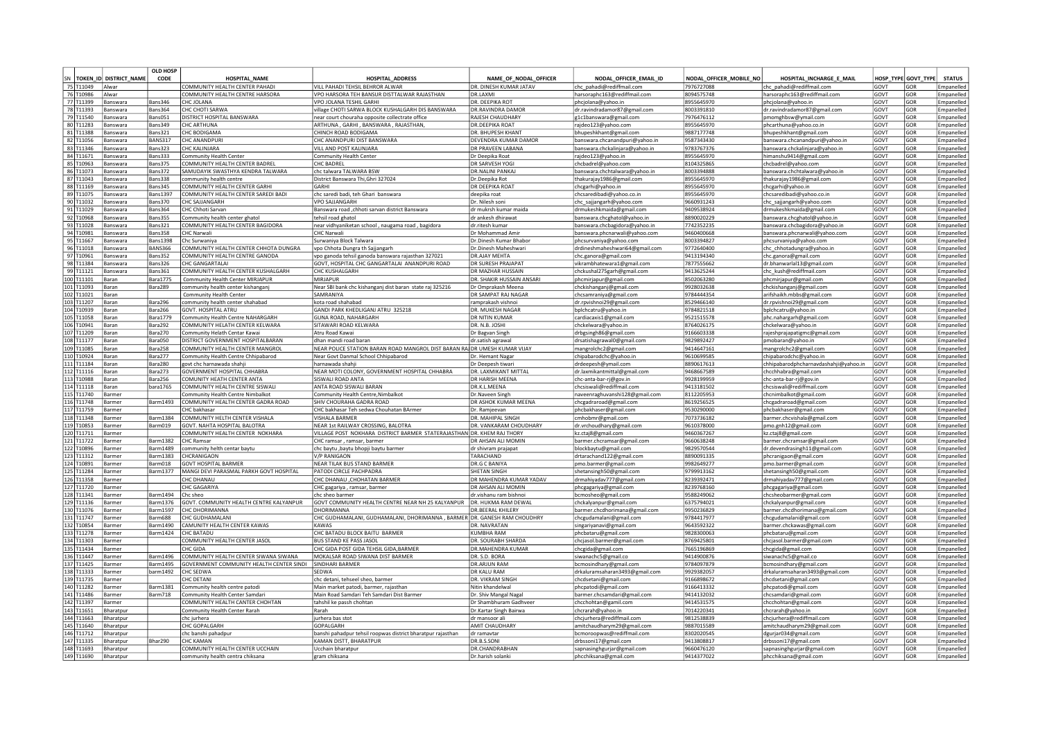|            |                           | OLD HOSP           |                                          |                                                                            |                                           |                                                       |                         |                                       |                  |                  |               |
|------------|---------------------------|--------------------|------------------------------------------|----------------------------------------------------------------------------|-------------------------------------------|-------------------------------------------------------|-------------------------|---------------------------------------|------------------|------------------|---------------|
|            | SN TOKEN ID DISTRICT NAME | CODE               | <b>HOSPITAL NAME</b>                     | <b>HOSPITAL ADDRESS</b>                                                    | NAME OF NODAL OFFICER                     | NODAL OFFICER EMAIL ID                                | NODAL OFFICER MOBILE NO | HOSPITAL INCHARGE E MAIL              | <b>HOSP TYPE</b> | <b>GOVT TYPE</b> | <b>STATUS</b> |
| 75 T11049  | Alwar                     |                    | COMMUNITY HEALTH CENTER PAHADI           | VILL PAHADI TEHSIL BEHROR ALWAR                                            | DR. DINESH KUMAR JATAV                    | chc pahadi@rediffmail.com                             | 7976727088              | chc pahadi@rediffmail.com             | GOVT             | GOR              | Empanelled    |
| 76 T10986  | Alwar                     |                    | COMMUNITY HEALTH CENTRE HARSORA          | VPO HARSORA TEH BANSUR DISTTALWAR RAJASTHAN                                | DR.I AXMI                                 | harsoraphc163@rediffmail.com                          | 8094575748              | harsoraphc163@rediffmail.com          | GOVT             | GOR              | Empanelled    |
| 77 T11399  | Banswara                  | Bans346            | CHC JOLANA                               | VPO JOLANA TESHIL GARHI                                                    | DR. DEEPIKA ROT                           | phcjolana@yahoo.in                                    | 8955645970              | phcjolana@yahoo.in                    | GOVT             | GOR              | Empanelled    |
| 78 T11393  | Banswara                  | Bans364            | CHC CHOTI SARWA                          | village CHOTI SARWA BLOCK KUSHALGARH DIS BANSWARA                          | <b>DR.RAVINDRA DAMOR</b>                  | dr.ravindradamor87@gmail.com                          | 8003391810              | dr.ravindradamor87@gmail.com          | GOVT             | GOR              | Empanelled    |
| 79 T11540  | <b>Banswara</b>           | Bans051            | <b>DISTRICT HOSPITAL BANSWARA</b>        | near court chouraha opposite collectrate office                            | <b>RAIFSH CHAUDHARY</b>                   | g1c1banswara@gmail.com                                | 7976476112              | pmomghbsw@ymail.com                   | GOVT             | GOR              | Empanelled    |
| 80 T11283  | <b>Banswara</b>           | <b>Bans349</b>     | CHC ARTHUNA                              | ARTHUNA, GARHI, BANSWARA, RAJASTHAN,                                       | <b>DR.DFFPIKA ROAT</b>                    | rajdeo123@yahoo.com                                   | 8955645970              | phcarthuna@yahoo.co.in                | GOVT             | GOR              | Empanelled    |
| 81 T11388  | Banswara                  | <b>Bans321</b>     | CHC BODIGAMA                             | CHINCH ROAD BODIGAMA                                                       | <b>DR. BHUPFSH KHANT</b>                  | bhupeshkhant@gmail.com                                | 9887177748              | bhupeshkhant@gmail.com                | GOVT             | GOR              | Empanelled    |
| 82 T11056  | 3answara                  | BANS317            | <b>CHC ANANDPUR</b>                      | <b>CHC ANANDPURI DIST BANSWARA</b>                                         | DEVENDRA KUMAR DAMOR                      | oanswara.chcanandpuri@vahoo.in                        | 587343430               | banswara.chcanandpuri@vahoo.in        | GOVT             | GOR              | Empaneller    |
| 83 T11346  | <b>Banswara</b>           | 3ans 323           | CHC KALINIARA                            | VILL AND POST KALINJARA                                                    | DR PRAVFFN LABANA                         | vanswara.chckalinjara@yahoo.in                        | 9783767376              | banswara.chckaliniara@vahoo.in        | GOVT             | GOR              | Empanelled    |
| 84 T11671  | <b>Banswara</b>           | 3ans 333           | Community Health Center                  | Community Health Center                                                    | Dr Deepika Roat                           | ajdeo123@yahoo.in                                     | 3955645970              | himanshu9414@gmail.com                | GOVT             | GOR              | Empanelled    |
| 85 T10963  | <b>Banswara</b>           | Bans375            | COMMUNITY HEALTH CENTER BADREL           | CHC BADREI                                                                 | DR SARVESH YOG                            | chcbadrel@yahoo.com                                   | 8104325865              | chcbadrel@yahoo.com                   | GOVT             | GOR              | Empanelled    |
| 86 T11073  | <b>Banswara</b>           | Bans372            | SAMUDAYIK SWASTHYA KENDRA TALWARA        | chc talwara TALWARA BSW                                                    | <b>DR.NALINI PANKAJ</b>                   | banswara.chchtalwara@yahoo.in                         | 8003394888              | banswara.chchtalwara@yahoo.in         | GOVT             | GOR              | Empanelled    |
| 87 T11043  | <b>Banswara</b>           | Bans338            | community health centre                  | District Banswara Thi, Ghri 327024                                         | Dr.Deepika Rot                            | thakurajay1986@gmail.com                              | 8955645970              | thakurajay1986@gmail.com              | GOVT             | GOR              | Empanelled    |
| 88 T11169  | <b>Banswara</b>           | <b>Bans345</b>     | COMMUNITY HEALTH CENTER GARHI            | <b>GARHI</b>                                                               | DR DEEPIKA ROAT                           |                                                       | 8955645970              |                                       | GOVT             | GOR              | Emnanelled    |
| 89 T11075  | <b>Banswara</b>           | <b>Bans1397</b>    | COMMUNITY HEALTH CENTER SAREDI BADI      | chc saredi badi, teh Ghari, banswara                                       |                                           | chcgarhi@yahoo.in                                     | 8955645970              | chcgarhi@yahoo.in                     | GOVT             | GOR              | Empanelled    |
| 90 T11032  | <b>Banswara</b>           | Bans370            | CHC SAJJANGARH                           | <b>VPO SAJJANGARH</b>                                                      | deepika roat<br>Dr. Nilesh soni           | chcsaredibadi@vahoo.co.in<br>chc sajjangarh@yahoo.com | 9660931243              | lchcsaredibadi@vahoo.co.in            | GOVT             | GOR              | Empanelled    |
| 91 T11029  | Banswara                  | Bans364            | CHC Chhoti Sarvan                        |                                                                            |                                           |                                                       | 9409538924              | chc_sajjangarh@yahoo.com              |                  | GOR              |               |
|            |                           |                    |                                          | Banswara road ,chhoti sarvan district Banswara                             | dr mukrsh kumar maida                     | drmukeshkmaida@gmail.com                              |                         | drmukeshkmaida@gmail.com              | GOVT             |                  | Empanelled    |
| 92 T10968  | Banswara                  | Bans355            | Community health center ghatol           | tehsil road ghatol                                                         | dr ankesh dhirawat                        | banswara.chcghatol@yahoo.in                           | 8890020229              | banswara.chcghatol@yahoo.in           | GOVT             | GOR              | Empanelled    |
| 93 T11028  | Banswara                  | Bans321            | COMMUNITY HEALTH CENTER BAGIDORA         | near vidhyaniketan school, naugama road, bagidora                          | dr.ritesh kumar                           | banswara.chcbagidora@yahoo.in                         | 7742352235              | banswara.chcbagidora@yahoo.in         | GOVT             | GOR              | Empanelled    |
| 94 T10981  | 3answara                  | Bans358            | <b>CHC Narwali</b>                       | <b>CHC Narwali</b>                                                         | Dr Mohammad Amir                          | banswara.phcnarwali@yahoo.com                         | 9460400668              | banswara.phcnarwali@yahoo.com         | GOVT             | GOR              | Empanelled    |
| 95 T11667  | 3answara                  | <b>Bans1398</b>    | Chc Surwaniva                            | Surwaniya Block Talwara                                                    | Dr.Dinesh Kumar Bhabor                    | phcsurvaniya@yahoo.com                                | 8003394827              | phcsurvaniya@yahoo.com                | GOVT             | GOR              | Empanelled    |
| 96 T11018  | <b>Banswara</b>           | <b>BANS366</b>     | COMMUNITY HEALTH CENTER CHHOTA DUNGRA    | vpo Chhota Dungra th Sajjangarh                                            | Dr.Dinesh Maheshwari                      | drdineshmaheshwari64@gmail.com                        | 1772640400              | chc_chhotadungra@yahoo.in             | GOVT             | GOR              | Emnanelled    |
| 97 T10961  | 3answara                  | Bans352            | COMMUNITY HEALTH CENTRE GANODA           | vpo ganoda tehsil ganoda banswara rajasthan 327021                         | DR.AJAY MEHTA                             | hc.ganora@gmail.com:                                  | 9413194340              | chc.ganora@gmail.com                  | GOVT             | GOR              | Empanelled    |
| 98 T11384  | answara                   | Bans326            | HC GANGARTALAI                           | GOVT, HOSPITAL CHC GANGARTALAI ANANDPURI ROAD                              | <b>DR SURFSH PRAIAPAT</b>                 | ikrambhatewara1@gmail.com                             | 877555662               | dr.bhanwarlal13@gmail.com             | GOVT             | GOR              | Empanelled    |
| 99 T11121  | answara                   | Bans361            | COMMUNITY HEALTH CENTER KUSHALGARH       | <b>CHC KUSHALGARH</b>                                                      | DR MAZHAR HUSSAIN                         | hckushal275garh@gmail.com                             | 9413625244              | chc_kush@rediffmail.com               | GOVT             | GOR              | Empanelled    |
| 100 T11101 | 3aran                     | <b>Bara1775</b>    | Community Health Center MIRJAPUI         | MIRJAPUR                                                                   | DR. SHAKIR HUSSAIN ANSARI                 | hcmirjapur@gmail.com                                  | 8502063280              | phcmirjapur@gmail.com                 | GOVT             | GOR              | Empanelled    |
| 101 T11093 | <b>Baran</b>              | Bara289            | community health center kishangan        | Near SBI bank chc kishanganj dist baran state raj 325216                   | Dr Omprakash Meena                        | :hckishanganj@gmail.com                               | 9928032638              | chckishanganj@gmail.com               | GOVT             | GOR              | Empanelled    |
| 102 T11021 | Baran                     |                    | Community Health Center                  | <b>SAMRANIYA</b>                                                           | DR SAMPAT RAI NAGAR                       | chcsamraniya@gmail.com                                | 9784444354              | arifshaikh.mbbs@gmail.com             | GOVT             | GOR              | Empanelled    |
| 103 T11207 | Baran                     | Bara296            | community health center shahabad         | kota road shahabad                                                         | ramprakash vishno                         | dr.rpvishnoi29@gmail.com                              | 8529466140              | dr.rpvishnoi29@gmail.com              | GOVT             | GOR              | Empanelled    |
| 104 T10939 | Baran                     | Bara266            | <b>GOVT. HOSPITAL ATRU</b>               | GANDI PARK KHEDLIGANJ ATRU 325218                                          | DR. MUKESH NAGAR                          | bplchcatru@yahoo.in                                   | 9784821518              | bplchcatru@yahoo.ir                   | GOVT             | GOR              | Empanelled    |
| 105 T11058 | Baran                     | <b>Bara1779</b>    | Community Health Centre NAHARGARH        | GUNA ROAD, NAHARGARH                                                       | <b>DR NITIN KUMAR</b>                     | cardiacaxis1@gmail.com                                | 9521515578              | phc.nahargarh@gmail.com               | GOVT             | GOR              | Empanelled    |
| 106 T10941 | Baran                     | Bara292            | COMMUNITY HELATH CENTER KELWARA          | SITAWARI ROAD KELWARA                                                      | DR. N.B. JOSHI                            | chckelwara@vahoo.in                                   | 8764026175              | lchckelwara@vahoo.in                  | GOVT             | GOR              | Empanelled    |
| 107 T11209 | Baran                     | Bara270            | Community Helath Centar Kawai            | Atru Road Kawai                                                            | Dr Bagvan Singh                           | drbgsingh86@gmail.com                                 | 9166603338              | rajeshprajapatigmc@gmail.com          | <b>GOVT</b>      | GOR              | Empanelled    |
| 108 T11177 | Baran                     | Bara050            | DISTRICT GOVERNMENT HOSPITALBARAN        | dhan mandi road baran                                                      | dr.satish agrawal                         | drsatishagrawal0@gmail.com                            | 9829892427              | pmobaran@yahoo.in                     | GOVT             | GOR              | Empanelled    |
| 109 T11085 | Baran                     | Bara258            | COMMUNITY HEALTH CENTER MANGROL          | NEAR POLICE STATION BARAN ROAD MANGROL DIST BARAN RAI DR UMESH KUMAR VIJAY |                                           |                                                       | 9414647161              |                                       | GOVT             | GOR              | Empanelled    |
| 110 T10924 | Baran                     | Bara277            | Community Health Centre Chhipabarod      | Near Govt Danmal School Chhipabarod                                        |                                           | mangrolchc2@gmail.com                                 | 9610699585              | mangrolchc2@gmail.com                 | GOVT             | GOR              | Empanelled    |
| 111 T11184 | Baran                     | Bara280            | govt chc harnawada shahii                | harnawada shahi                                                            | Dr. Hemant Nagar                          | chipabarodchc@yahoo.in                                | 8890617613              | chipabarodchc@yahoo.in                | GOVT             | GOR              | Empanelled    |
|            |                           | Bara273            | <b>GOVERNMENT HOSPITAL CHHABRA</b>       | NEAR MOTI COLONY, GOVERNMENT HOSPITAL CHHABRA                              | Dr Deepesh tiwari<br>DR. LAXMIKANT MITTAL | drdeepesh@ymail.com                                   | 9468667589              | chhipabarodphcharnavdashahji@yahoo.in | GOVT             | GOR              |               |
| 112 T11116 | Baran                     |                    |                                          | SISWAI I ROAD ANTA                                                         |                                           | dr.laxmikantmittal@gmail.com                          |                         | chcchhabra@gmail.com                  |                  |                  | Empanelled    |
| 113 T10988 | Baran                     | Bara256            | COMUNITY HEATH CENTER ANTA               |                                                                            | DR HARISH MEENA                           | hc-anta-bar-rj@gov.in                                 | 9928199959              | chc-anta-bar-rj@gov.in                | GOVT             | GOR              | Empanelled    |
| 114 T11118 | Baran                     | para1765           | COMMUNITY HEALTH CENTRE SISWALI          | ANTA ROAD SISWALI BARAN                                                    | DR.K.L.MEENA                              | hcsiswali@rediffmail.com                              | 9413181502              | chcsiswali@rediffmail.com             | GOVT             | GOR              | Empanelled    |
| 115 T11740 | Barmer                    |                    | Community Health Centre Nimbalkot        | Community Health Centre, Nimbalkot                                         | Dr.Naveen Singh                           | naveenraghuvanshi128@gmail.com                        | 8112205953              | chcnimbalkot@gmail.com                | GOVT             | GOR              | Empanelled    |
| 116 T11748 | Barmer                    | <b>Barm1493</b>    | COMMUNITY HEALTH CENTER GADRA ROAD       | SHIV CHOURAHA GADRA ROAD                                                   | DR ASHOK KUMAR MEENA                      | :hcgadraroad@gmail.com                                | 8619256525              | chcgadraroad@gmail.com                | GOVT             | GOR              | Empanelled    |
| 117 T11759 | <b>Barmer</b>             |                    | CHC bakhasar                             | CHC bakhasar Teh sedwa Chouhatan BArmer                                    | Dr. Ramjeevan                             | phcbakhaser@gmail.com                                 | 9530290000              | phcbakhaser@gmail.com                 | GOVT             | GOR              | Empanelled    |
| 118 T11348 | Barmer                    | <b>Barm1384</b>    | COMMUNITY HELTH CENTER VISHALA           | <b>VISHAI A BARMER</b>                                                     | DR. MAHIPAI SINGH                         | cmhobmr@gmail.com                                     | 7073736182              | barmer.chcvishala@gmail.com           | GOVT             | GOR              | Empanelled    |
| 119 T10853 | Barmer                    | Barm019            | <b>GOVT, NAHTA HOSPITAL BALOTRA</b>      | NEAR 1st RAILWAY CROSSING, BALOTRA                                         | DR. VANKARAM CHOUDHARY                    | dr.vrchoudhary@gmail.com                              | 9610378000              | pmo.gnh12@gmail.com                   | GOVT             | GOR              | Emnanelled    |
| 120 T11711 | Barmer                    |                    | COMMUNITY HEALTH CENTER NOKHARA          | VILLAGE POST NOKHARA DISTRICT BARMER STATERAJASTHAN DR. KHEM RAJ THORY     |                                           | kz.ctai8@gmail.com                                    | 9460367267              | kz.ctai8@gmail.com                    | GOVT             | GOR              | Empanelled    |
| 121 T11722 | <b>Barmer</b>             | <b>Barm1382</b>    | <b>CHC Ramsar</b>                        | CHC ramsar, ramsar, barmer                                                 | DR AHSAN ALI MOMIN                        | barmer.chcramsar@gmail.com                            | 9660638248              | barmer.chcramsar@gmail.com            | GOVT             | GOR              | Empanelled    |
| 122 T10896 | <b>Barmer</b>             | Barm1489           | community helth centar baytu             | chc baytu , baytu bhopji baytu barmer                                      | dr shivram prajapat                       | blockbaytu@gmail.com                                  | 9829570544              | dr.devendrasingh11@gmail.com          | GOVT             | GOR              | Empanelled    |
| 123 T11312 | Barmer                    | Barm1383           | CHCRANIGAON                              | V/P RANIGAON                                                               | TARACHAND                                 | drtarachand122@gmail.com                              | 8890091335              | phcranigaon@gmail.com                 | GOVT             | GOR              | Empanelled    |
| 124 T10891 | Barmer                    | Barm018            | <b>GOVT HOSPITAL BARMER</b>              | NEAR TILAK BUS STAND BARMER                                                | <b>DR.G C BANIYA</b>                      | pmo.barmer@gmail.com                                  | 9982649277              | pmo.barmer@gmail.com                  | GOVT             | GOR              | Empanelled    |
| 125 T11284 | Barmer                    | Barm1377           | MANGI DEVI PARASMAL PARKH GOVT HOSPITAL  | <b>PATODI CIRCLE PACHPADRA</b>                                             | SHETAN SINGH                              | shetansingh50@gmail.com                               | 9799913162              | shetansingh50@gmail.com               | GOVT             | GOR              | Empanelled    |
| 126 T11358 | <b>Barmer</b>             |                    | CHC DHANAU                               | CHC DHANAU , CHOHATAN BARMER                                               | DR MAHENDRA KUMAR YADAV                   | drmahiyadav777@gmail.com                              | 8239392471              | drmahiyadav777@gmail.com              | GOVT             | GOR              | Empanelled    |
| 127 T11720 | <b>Barme</b> i            |                    | CHC GAGARIYA                             | CHC gagariya, ramsar, barmer                                               | DR AHSAN ALL MOMIN                        | phcgagariya@gmail.com                                 | 8239768160              | phcgagariya@gmail.com                 | GOVT             | GOR              | Empanelled    |
| 128 T11341 | 3armei                    | Barm1494           | Chc shee                                 | chc sheo barmer                                                            | dr.vishanu ram bishnoi                    | ocmosheo@gmail.com                                    | 9588249062              | chcsheobarmer@gmail.com               | GOVT             | GOR              | Empanelled    |
| 129 T11136 | 3armei                    | 3arm1376           | GOVT. COMMUNITY HEALTH CENTRE KALYANPUR  | GOVT COMMUNITY HEALTH CENTRE NEAR NH 25 KALYANPUR                          | DR. HUKMA RAM DEWAL                       | :hckalyanpur@gmail.com                                | 5375794021              | chckalyanpur@gmail.com                | GOVT             | GOR              | Empanelled    |
| 130 T11076 | <b>Barmer</b>             | Barm1597           | <b>CHC DHORIMANNA</b>                    | DHORIMANNA                                                                 | <b>DR.BEERAL KHILERY</b>                  | oarmer.chcdhorimana@gmail.com                         | 9950236829              | barmer.chcdhorimana@gmail.com         | GOVT             | GOR              | Empanelled    |
| 131 T11747 | Barmei                    | Barm688            | CHC GUDHAMALANI                          | CHC GUDHAMALANI, GUDHAMALANI, DHORIMANNA, BARMER DR. GANESH RAM CHOUDHRY   |                                           | hcgudamalani@gmail.com                                | 9784417977              | chcgudamalani@gmail.com               | GOVT             | GOR              | Empanelled    |
| 132 T10854 |                           | Barm1490           | CAMUNITY HEALTH CENTER KAWAS             | <b>KAWA</b>                                                                | DR. NAVRATAN                              | ingariyanavi@gmail.com                                | 9643592322              | barmer.chckawas@gmail.com             | GOVT             | GOR              | Empaneller    |
| 133 T11278 | <b>Barmer</b>             | <b>Barm1424</b>    | CHC BATADU                               | CHC BATADU BLOCK BAITU BARMER                                              | KUMBHA RAM                                | phcbataru@gmail.com                                   | 9828300063              | phcbataru@gmail.com                   | GOVT             | GOR              | Empanelled    |
| 134 T11303 | <b>Barmer</b>             |                    | COMMUNITY HEALTH CENTER JASOL            | <b>BUS STAND KE PASS JASOL</b>                                             | DR. SOURABH SHARDA                        |                                                       | 8769425801              |                                       | GOVT             | GOR              | Empanelled    |
| 135 T11434 | Barmer                    |                    | CHC GIDA                                 | CHC GIDA POST GIDA TEHSIL GIDA, BARMER                                     | DR.MAHENDRA KUMAR                         | chcjasol.barmer@gmail.com                             | 7665196869              | chcjasol.barmer@gmail.com             | GOVT             | GOR              | Empanelled    |
| 136 T11447 |                           | <b>Barm1496</b>    | COMMUNITY HEALTH CENTER SIWANA SIWANA    | MOKALSAR ROAD SIWANA DIST BARMER                                           | DR. S.D. BORA                             | chcgida@gmail.com                                     | 9414900876              | chcgida@gmail.com                     | GOVT             | GOR              | Empanelled    |
|            | <b>Barmer</b>             | <b>Barm1495</b>    |                                          | <b>SINDHARI BARMER</b>                                                     | <b>DR.ARIUN RAN</b>                       | siwanachc5@gmail.co                                   |                         | siwanachc5@gmail.co                   |                  |                  |               |
| 137 T11425 | Barmer                    |                    | GOVERNMENT COMMUNITY HEALTH CENTER SINDI |                                                                            |                                           | bcmosindhary@gmail.com                                | 9784097879              | bcmosindhary@gmail.com                | GOVT             | GOR              | Empanelled    |
| 138 T11333 | Barmer                    | barm1492 CHC SEDWA |                                          | <b>SFDWA</b>                                                               | <b>DR KALU RAM</b>                        | drkaluramsaharan3493@gmail.com                        | 9929382057              | ldrkaluramsaharan 3493@gmail.com      | GOVT             | GOR              | Empanelled    |
| 139 T11735 | Barmer                    |                    | CHC DETANI                               | chc detani, tehseel sheo, barmer                                           | DR. VIKRAM SINGH                          | chcdsetani@gmail.com                                  | 9166898672              | chcdsetani@gmail.com                  | GOVT             | GOR              | Empanelled    |
| 140 T11282 | Barmer                    | <b>Barm1381</b>    | Community health centre patodi           | Main market patodi, barmer, rajasthan                                      | Nitin khandelwal                          | phcpatodi@gmail.com                                   | 9166413332              | phcpatodi@gmail.com                   | GOVT             | GOR              | Empanelled    |
| 141 T11486 | Barmer                    | Barm718            | Community Health Center Samdar           | Main Road Samdari Teh Samdari Dist Barmer                                  | Dr. Shiv Mangal Nagal                     | barmer.chcsamdari@gmail.com                           | 9414132032              | chcsamdari@gmail.com                  | GOVT             | GOR              | Empanelled    |
| 142 T11397 | Barmer                    |                    | COMMUNITY HEALTH CANTER CHOHTAN          | tahshil ke passh chohtan                                                   | Dr Shambhuram Gadhveer                    | chcchohtan@gamil.com                                  | 9414531575              | chcchohtan@gmail.com                  | GOVT             | GOR              | Empanelled    |
| 143 T11651 | Bharatour                 |                    | Community Health Center Rarah            | Rarah                                                                      | Dr.Kartar Singh Bairwa                    | :hcrarah@yahoo.in                                     | 7014220341              | chcrarah@yahoo.in                     | GOVT             | GOR              | Empanelled    |
| 144 T11663 | 3haratoui                 |                    | chc iurhera                              | iurhera bas stot                                                           | dr mansoor al                             | hcjurhera@rediffmail.com                              | 9812538839              | chcjurhera@rediffmail.com             | GOVT             | GOR              | Empanelled    |
| 145 T11640 | Bharatoui                 |                    | CHC GOPALGARH                            | <b>GARH</b>                                                                | AMIT CHAUDHARY                            | mitchaudharvm29@gmail.com                             | 9887015589              | amitchaudharvm29@gmail.com            | GOVT             | GOR              | Empanelled    |
| 146 T11712 | <b>Sharatpur</b>          |                    | chc banshi pahadpur                      | banshi pahadpur tehsil roopwas district bharatpur rajasthan                | dr ramavtar                               | ocmoroopwas@rediffmail.com                            | 3302020545              | dgurjar034@gmail.com                  | GOVT             | GOR              | Empanelled    |
| 147 T11335 | <b>Sharatpur</b>          | Bhar290            | <b>CHC KAMAN</b>                         | KAMAN DISTT, BHARATPUR                                                     | DR.B.S.SONI                               | drbssoni17@gmail.com                                  | 9413808817              | drbssoni17@gmail.com                  | GOVT             | GOR              | Empanelled    |
| 148 T11693 | Bharatpur                 |                    | COMMUNITY HEALTH CENTER UCCHAIN          | Ucchain bharatpur                                                          | DR.CHANDRABHAN                            | sapnasinghgurjar@gmail.com                            | 9660476120              | sapnasinghgurjar@gmail.com            | GOVT             | GOR              | Empanelled    |
| 149 T11690 | Bharatour                 |                    | community health centra chiksana         | gram chiksana                                                              | Dr. harish solanki                        | phcchiksana@gmail.com                                 | 9414377022              | phcchiksana@gmail.com                 | GOVT             | GOR              | Empanelled    |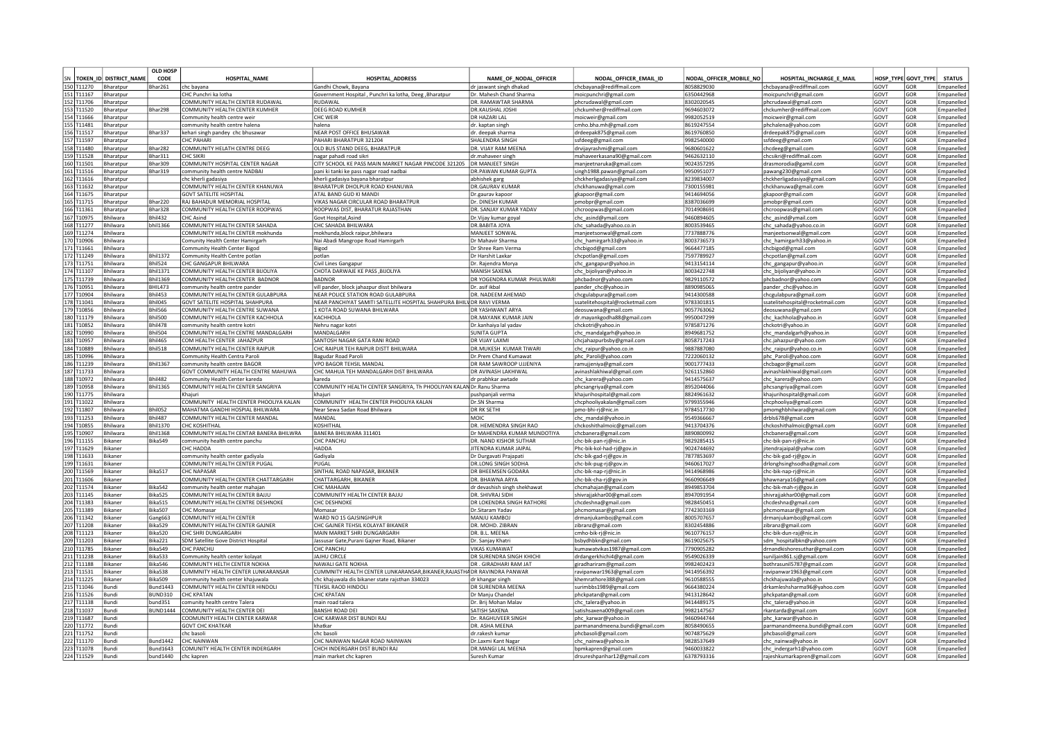|    |            |                        | <b>OLD HOSE</b> |                                        |                                                                          |                                     |                                  |                         |                                  |             |                     |               |
|----|------------|------------------------|-----------------|----------------------------------------|--------------------------------------------------------------------------|-------------------------------------|----------------------------------|-------------------------|----------------------------------|-------------|---------------------|---------------|
| SN |            | TOKEN ID DISTRICT NAME | CODE            | <b>HOSPITAL NAME</b>                   | <b>HOSPITAL ADDRESS</b>                                                  | NAME OF NODAL OFFICER               | NODAL OFFICER EMAIL ID           | NODAL OFFICER MOBILE NO | HOSPITAL INCHARGE E MAIL         |             | HOSP TYPE GOVT TYPE | <b>STATUS</b> |
|    | 150 T11270 | Bharatou               | Bhar261         | Ichc bayana                            | lGandhi Chowk. Bayana                                                    | dr iaswant singh dhakac             | chchavana@rediffmail.cor         | 8058829030              | chcbavana@rediffmail.cor         | GOVT        | GOR                 | mnanelle      |
|    |            |                        |                 | CHC Punchri ka lotha                   |                                                                          |                                     |                                  | 6350442968              |                                  |             | GOR                 |               |
|    | 151 T11167 | Bharatpur              |                 |                                        | Government Hospital, Punchri ka lotha, Deeg, Bharatpur                   | Dr. Mahesh Chand Sharma             | moicpunchri@gmail.com            |                         | moicpunchri@gmail.com            | GOVT        |                     | Empanelled    |
|    | 152 T11706 | Bharatpur              |                 | COMMUNITY HEALTH CENTER RUDAWAL        | RUDAWAI                                                                  | DR. RAMAWTAR SHARMA                 | phcrudawal@gmail.com             | 8302020545              | phcrudawal@gmail.com             | GOVT        | GOR                 | Empanelled    |
|    | 153 T11520 | Bharatpur              | Bhar298         | COMMUNITY HEALTH CENTER KUMHER         | <b>DEEG ROAD KUMHER</b>                                                  | DR.KAUSHAL JOSH                     | chckumher@rediffmail.com         | 9694603072              | chckumher@rediffmail.com         | GOVT        | GOR                 | Empaneller    |
|    | 154 T11666 | Bharatpur              |                 | Community health centre weir           | CHC WEIR                                                                 | DR HAZARI LAL                       | moicweir@gmail.com               | 9982052519              | moicweir@gmail.com               | GOVT        | GOR                 | Empaneller    |
|    | 155 T11481 | Bharatpur              |                 | community health centre halena         | Ihalena                                                                  | dr. kaptan singh                    | cmho.bha.mh@gmail.com            | 8619247554              | phchalena@yahoo.com              | GOVT        | GOR                 | Empanelled    |
|    | 156 T11517 | Bharatpur              | Bhar337         | kehari singh pandey chc bhusawar       | NEAR POST OFFICE BHUSAWAR                                                | dr. deepak sharma                   | drdeepak875@gmail.com            | 8619760850              | drdeepak875@gmail.com            | GOVT        | GOR                 | Empanelle     |
|    | 157 T11597 | Bharatour              |                 | <b>CHC PAHAR</b>                       | PAHARI BHARATPUR 321204                                                  | SHAI FNDRA SINGH                    | ssfdeeg@gmail.com                | 9982540000              | ssfdeeg@gmail.com                | GOVT        | GOR                 | Empaneller    |
|    | 158 T11480 | Bharatpur              | Bhar282         | COMMUNITY HELATH CENTRE DEEG           | OLD BUS STAND DEEG. BHARATPUR                                            | DR. VIJAY RAM MEENA                 |                                  | 9680601622              |                                  | GOVT        | GOR                 | Empanelled    |
|    |            |                        |                 |                                        |                                                                          |                                     | drvijayrashmi@gmail.com          |                         | chcdeeg@gmail.com                |             |                     |               |
|    | 159 T11528 | Bharatour              | Bhar311         | CHC SIKRI                              | hagar pahadi road sikri                                                  | dr.mahaveer singh                   | mahaveerkasana90@gmail.com       | 9462632110              | chcsikri@rediffmail.com          | GOVT        | GOR                 | Empanelled    |
|    | 160 T11501 | Bharatpur              | Bhar309         | COMMUNITY HOSPITAL CENTER NAGAR        | CITY SCHOOL KE PASS MAIN MARKET NAGAR PINCODE 321205                     | DR MANJEET SINGH                    | manjeetnaruka@gmail.com          | 9024357295              | drasmorodia@gamil.com            | GOVT        | GOR                 | Empanelled    |
|    | 161 T11516 | Bharatpur              | Bhar319         | community health centre NADBA          | pani ki tanki ke pass nagar road nadbai                                  | DR.PAWAN KUMAR GUPTA                | singh1988.pawan@gmail.com        | 9950951077              | pawang230@gmail.com              | GOVT        | GOR                 | Empanelled    |
|    | 162 T11616 | Bharatpur              |                 | chc kherli gadasiva                    | kherli gadasiya bayana bharatpur                                         | abhishek garg                       | chckherligadasiya@gmail.com      | 8239834007              | chckherligadasiya@gmail.com      | <b>GOVT</b> | GOR                 | Empanelled    |
|    | 163 T11632 | Bharatpur              |                 | COMMUNITY HEALTH CENTER KHANUWA        | <b>BHARATPUR DHOLPUR ROAD KHANUWA</b>                                    | <b>DR.GAURAV KUMAR</b>              | chckhanuwa@gmail.com             | 7300155981              | chckhanuwa@gmail.com             | GOVT        | GOR                 | Empanelle     |
|    | 164 T11675 | Bharatpur              |                 | GOVT SATELITE HOSPITAL                 | ATAL BAND GUD KI MANDI                                                   |                                     |                                  | 9414694056              |                                  | GOVT        | GOR                 | Empanelle     |
|    | 165 T11715 | Bharatour              | Bhar220         | RAJ BAHADUR MEMORIAL HOSPITAL          | VIKAS NAGAR CIRCULAR ROAD BHARATPUR                                      | Dr.gaurav kapoo<br>Dr. DINESH KUMAR | gkapoor@gmail.com                | 8387036699              | gkapoor@gmail.con                | GOVT        | GOR                 | Empanelled    |
|    |            |                        |                 |                                        |                                                                          |                                     | pmobpr@gmail.com                 |                         | pmobpr@gmail.com                 |             |                     |               |
|    | 166 T11361 | Bharatour              | Bhar328         | COMMUNITY HEALTH CENTER ROOPWAS        | ROOPWAS DIST, BHARATUR RAJASTHAN                                         | DR. SANJAY KUMAR YADAV              | chcroopwas@gmail.com             | 701490869:              | chcroopwas@gmail.com             | GOVT        | GOR                 | Empanelled    |
|    | 167 T10975 | Bhilwara               | <b>Bhil432</b>  | CHC Asind                              | Govt Hospital Asind                                                      | Dr. Vijav kumar gova                | chc asind@vmail.com              | 9460894605              | chc asind@vmail.com              | GOVT        | GOR                 | Empaneller    |
|    | 168 T11277 | <b>Bhilwara</b>        | bhil1366        | COMMUNITY HEALTH CENTER SAHADA         | CHC SAHADA BHILWARA                                                      | DR.BABITA JOYA                      | chc_sahada@yahoo.co.in           | 8003539465              | chc_sahada@yahoo.co.in           | GOVT        | GOR                 | Empanelled    |
|    | 169 T11274 | Bhilwara               |                 | COMMUNITY HEALTH CENTER mokhunda       | mokhunda, block raipur, bhilwara                                         | MANJEET SONWAL                      | manjeetsonwal@gmail.com          | 7737888776              | manjeetsonwal@gmail.com          | GOVT        | GOR                 | Empanelled    |
|    | 170 T10906 | Bhilwara               |                 | Comunity Health Center Hamirgarh       |                                                                          | Dr Mahavir Sharma                   |                                  | 8003736573              |                                  | GOVT        | GOR                 | Empanelled    |
|    |            |                        |                 |                                        | Nai Abadi Mangrope Road Hamirgarh                                        |                                     | chc_hamirgarh33@yahoo.in         |                         | chc_hamirgarh33@yahoo.in         |             |                     |               |
|    | 171 T11661 | Bhilwara               |                 | Community Health Center Bigod          | Bigod                                                                    | Dr Shree Ram Verma                  | chcbigod@gmail.com               | 9664477185              | chcbigod@gmail.com               | GOVT        | GOR                 | Empanelled    |
|    | 172 T11249 | <b>Bhilwara</b>        | <b>Bhil1372</b> | Community Health Centre potlar         | notlan                                                                   | Dr Harshit Laxka                    | chcpotlan@gmail.com              | 7597789927              | chcpotlan@gmail.com              | GOVT        | GOR                 | Empanelled    |
|    | 173 T11751 | Bhilwara               | <b>Bhil524</b>  | CHC GANGAPUR BHILWARA                  | Civil Lines Gangapur                                                     | Dr. Rajendra Morya                  | chc_gangapur@yahoo.in            | 9413154114              | <u>chc_gangapur@yahoo.in</u>     | GOVT        | GOR                 | Empanelled    |
|    | 174 T11107 | <b>Shilwara</b>        | <b>Bhil1371</b> | COMMUNITY HEALTH CENTER BIJOLIYA       | HOTA DARWAJE KE PASS , BIJOLIYA                                          | MANISH SAXENA                       | chc_bijoliyan@yahoo.in           | 3003422748              | chc_bijoliyan@yahoo.ir           | GOVT        | GOR                 | Empanelled    |
|    | 175 T11739 | hilwara                | <b>Bhil1369</b> | COMMUNITY HEALTH CENTER BADNOR         | BADNOR                                                                   | DR YOGENDRA KUMAR PHULWARI          | phcbadnor@yahoo.com              | 9829110572              | ohcbadnor@yahoo.com              | GOVT        | GOR                 | Empanelled    |
|    | 176 T10951 | hilwara                | BHIL473         |                                        |                                                                          | Dr. asif ikba                       |                                  | 3890985065              |                                  | GOVT        | GOR                 |               |
|    |            |                        |                 | community health centre pander         | vill pander, block jahazpur disst bhilwara                               |                                     | pander chc@yahoo.in              |                         | vander chc@yahoo.in              |             |                     | Empanelled    |
|    | 177 T10904 | Bhilwara               | <b>Bhil453</b>  | COMMUNITY HEALTH CENTER GULABPURA      | NEAR POLICE STATION ROAD GULABPURA                                       | DR. NADEEM AHEMAD                   | chcgulabpura@gmail.com           | 9414300588              | chcgulabpura@gmail.con           | GOVT        | GOR                 | Empanelle     |
|    | 178 T11041 | Bhilwara               | Bhil045         | GOVT SATFLITE HOSPITAL SHAHPURA        | NEAR PANCHIYAT SAMITI SATELLITE HOSPITAL SHAHPURA BHILV DR RAVI VERMA    |                                     | ssatelitehospital@rocketmail.com | 9783301815              | ssatelitehospital@rocketmail.com | GOVT        | GOR                 | Empanelleo    |
|    | 179 T10856 | Bhilwara               | <b>Bhil566</b>  | COMMUNITY HEALTH CENTRE SUWANA         | 1 KOTA ROAD SUWANA BHILWARA                                              | DR YASHWANT ARYA                    | deosuwana@gmail.com              | 9057763062              | deosuwana@gmail.con              | GOVT        | GOR                 | Empaneller    |
|    | 180 T11179 | <b>Bhilwara</b>        | Bhil500         | COMMUNITY HEALTH CENTER KACHHOLA       | KACHHOLA                                                                 | DR.MAYANK KUMAR JAIN                | dr.mayankgodha88@gmail.com       | 9950047299              | chc kachhola@vahoo.in            | GOVT        | GOR                 | Empaneller    |
|    | 181 T10852 | Bhilwara               | Bhil478         | community health centre kotr           | Nehru nagar kotri                                                        | Dr.kanhaiya lal yaday               | chckotri@vahoo.i                 | 9785871276              | chckotri@vahoo.ir                | GOVT        | GOR                 | Empanelled    |
|    | 182 T10990 | Bhilwara               | Bhil504         | COMMUNITY HEALTH CENTRE MANDALGARH     | MANDALGARH                                                               | <b>SUNITA GUPTA</b>                 | chc mandalgarh@yahoo.in          | 8949681752              | chc mandalgarh@yahoo.in          | GOVT        | GOR                 | Empanelled    |
|    |            |                        |                 |                                        |                                                                          |                                     |                                  |                         |                                  |             |                     |               |
|    | 183 T10957 | Bhilwara               | <b>Bhil465</b>  | COM HEALTH CENTER JAHAZPUR             | SANTOSH NAGAR GATA RANI ROAD                                             | DR VIJAY LAXM                       | chcjahazpurbsby@gmail.com        | 8058717243              | chc.jahazpur@yahoo.com           | GOVT        | GOR                 | Empanelled    |
|    | 184 T10889 | Bhilwara               | <b>Bhil518</b>  | COMMUNITY HEALTH CENTER RAIPUR         | CHC RAIPUR TEH RAIPUR DISTT BHILWARA                                     | DR.MUKESH KUMAR TIWARI              | chc_raipur@yahoo.co.in           | 9887887080              | chc_raipur@yahoo.co.in           | GOVT        | GOR                 | Empaneller    |
|    | 185 T10996 | <b>Bhilwara</b>        |                 | Community Health Centra Paroli         | Bagudar Road Parol                                                       | Dr.Prem Chand Kumawat               | phc_Paroli@yahoo.com             | 7222060132              | phc Paroli@yahoo.com             | GOVT        | GOR                 | Empanelled    |
|    | 186 T11239 | <b>Bhilwara</b>        | <b>Bhil1367</b> | community health centre BAGOF          | VPO BAGOR TEHSIL MANDAL                                                  | DR RAM SAWROOP UJJENIYA             | ramujjeniya@gmail.com            | 9001777433              | chcbagor@gmail.com               | GOVT        | GOR                 | Empanelled    |
|    | 187 T11733 | <b>Bhilwara</b>        |                 | GOVT COMMUNITY HEALTH CENTRE MAHUWA    | CHC MAHUA TEH MANDALGARH DIST BHILWARA                                   | DR AVINASH LAKHIWAL                 | avinashlakhiwal@gmail.com        | 9261152860              | avinashlakhiwal@gmail.com        | GOVT        | GOR                 | Empanelle     |
|    | 188 T10972 | Bhilwara               | Bhil482         | Community Health Center kareda         | kareda                                                                   | dr prabhkar awtade                  |                                  | 9414575637              | chc karera@yahoo.com             | GOVT        | GOR                 | Empanelled    |
|    |            |                        |                 |                                        |                                                                          |                                     | chc karera@yahoo.com             |                         |                                  |             |                     |               |
|    | 189 T10958 | Bhilwara               | <b>Bhil1365</b> | COMMUNITY HEALTH CENTER SANGRIYA       | COMMUNITY HEALTH CENTER SANGRIYA, Th PHOOLIYAN KALAN Dr.Ranu Sharma      |                                     | phcsangriya@gmail.com            | 8952044066              | phcsangriya@gmail.com            | GOVT        | GOR                 | Empanelled    |
|    | 190 T11775 | Bhilwara               |                 | Khaiuri                                | khaiuri                                                                  | pushpanjali verma                   | khajurihospital@gmail.com        | 8824961632              | khajurihospital@gmail.com        | GOVT        | GOR                 | Empaneller    |
|    | 191 T11022 | <b>Bhilwara</b>        |                 | COMMUNITY HEALTH CENTER PHOOLIYA KALAN | COMMUNITY HEALTH CENTER PHOOLIYA KALAN                                   | Dr.SN Sharma                        | chcphooliyakalan@gmail.com       | 9799355946              | chcphooliya@gmail.com            | GOVT        | GOR                 | Empaneller    |
|    | 192 T11807 | Bhilwara               | Bhil052         | MAHATMA GANDHI HOSPIAL BHILWARA        | Near Sewa Sadan Road Bhilwara                                            | DR RK SETHI                         | pmo-bhi-ri@nic.ir                | 9784517730              | pmomghbhilwara@gmail.com         | GOVT        | GOR                 | Empanelled    |
|    | 193 T11253 | <b>Bhilwara</b>        | Bhil487         | COMMUNITY HEALTH CENTER MANDAL         | MANDAI                                                                   | <b>MOIC</b>                         | chc mandal@yahoo.in              | 9549366667              | drbls678@gmail.con               | GOVT        | GOR                 | Empanelle     |
|    | 194 T10855 | <b>Bhilwara</b>        | <b>Bhil1370</b> | <b>СНС КОЅНІТНА</b>                    | KOSHITHAI                                                                | DR. HEMENDRA SINGH RAO              | chckoshithalmoic@gmail.com       | 9413704376              |                                  | GOVT        | GOR                 | Empanelle     |
|    |            |                        | <b>Bhil1368</b> |                                        |                                                                          | Dr MAHFNDRA KUMAR MUNDOTIYA         |                                  |                         | chckoshithalmoic@gmail.com       | GOVT        | GOR                 |               |
|    | 195 T10907 | <b>Bhilwara</b>        |                 | COMMUNITY HEALTH CENTAR BANERA BHILWRA | BANERA BHILWARA 311401                                                   |                                     | chcbanera@gmail.com              | 8890800992              | chcbanera@gmail.cor              |             |                     | Empanelled    |
|    | 196 T11155 | Bikaner                | Bika549         | community health centre panchu         | CHC PANCHU                                                               | DR. NAND KISHOR SUTHAR              | chc-bik-pan-ri@nic.in            | 9829285415              | chc-bik-pan-ri@nic.ir            | GOVT        | GOR                 | Empanelled    |
|    | 197 T11629 | Bikaner                |                 | CHC HADDA                              | HADDA                                                                    | JITENDRA KUMAR JAIPAL               | Phc-bik-kol-had-rj@gov.in        | 9024744692              | iitendraiaipal@vahw.com          | GOVT        | GOR                 | Empaneller    |
|    | 198 T11633 | Bikaner                |                 | community health center gadiyala       | Gadiyala                                                                 | Dr Durgavati Prajapati              | chc-bik-gad-rj@gov.in            | 7877853697              | chc-bik-gad-rj@gov.in            | GOVT        | GOR                 | Empanelled    |
|    | 199 T11631 | Bikaner                |                 | COMMUNITY HEALTH CENTER PUGAL          | PUGAL                                                                    | DR.LONG SINGH SODHA                 | chc-bik-pug-rj@gov.in            | 9460617027              | drlonghsinghsodha@gmail.com      | GOVT        | GOR                 | Empanelled    |
|    | 200 T11569 | Bikaner                | Bika517         | <b>CHC NAPASAR</b>                     | SINTHAL ROAD NAPASAR, BIKANER                                            | DR BHEEMSEN GODARA                  | chc-bik-nap-rj@nic.in            | 9414968986              | chc-bik-nap-rj@nic.in            | GOVT        | GOR                 | Empanelled    |
|    |            | Bikane                 |                 |                                        |                                                                          |                                     |                                  |                         |                                  |             |                     |               |
|    | 201 T11606 |                        |                 | COMMUNITY HEALTH CENTER CHATTARGARH    | CHATTARGARH, BIKANER                                                     | DR. BHAWNA ARYA                     | chc-bik-cha-rj@gov.in            | 9660906649              | bhawnarya16@gmail.com            | GOVT        | GOR                 | Empanelled    |
|    | 202 T11574 | Bikaner                | Bika542         | community health center mahaiar        | <b>HC MAHAIAN</b>                                                        | dr devashish singh shekhawat        | chcmahajan@gmail.com             | 8949853704              | chc-bik-mah-rj@gov.in            | GOVT        | GOR                 | Emnanelled    |
|    | 203 T11145 | Bikane                 | Bika525         | COMMUNITY HEALTH CENTER BALIU          | OMMUNITY HEALTH CENTER BAJJU                                             | DR. SHIVRAI SIDH                    | shivrajjakhar00@gmail.com        | 8947091954              | shivrajjakhar00@gmail.com        | GOVT        | GOR                 | Emnanelled    |
|    | 204 T11383 | Bikane                 | Bika515         | COMMUNITY HEALTH CENTRE DESHNOKE       | CHC DESHNOKE                                                             | DR LOKENDRA SINGH RATHORE           | chcdeshna@gmail.com              | 0828450451              | :hcdeshna@gmail.com              | GOVT        | GOR                 | Empanelled    |
|    | 205 T11389 | Bikaner                | Bika507         | CHC Momasar                            | Momasar                                                                  | Dr.Sitaram Yaday                    | phcmomasar@gmail.com             | 7742303169              | ohcmomasar@gmail.com             | GOVT        | GOR                 | Empanelled    |
|    | 206 T11342 | Bikane                 | Gang663         | COMMUNITY HEALTH CENTER                | WARD NO 15 GAJSINGHPUI                                                   | MANJU KAMBO.                        | drmanjukamboj@gmail.com          | 8005707657              | drmanjukamboj@gmail.com          | GOVT        | GOR                 | Empanelled    |
|    | 207 711208 | Bikane                 | Bika529         | COMMUNITY HEALTH CENTER GAJNER         | CHC GAJNER TEHSIL KOLAYAT BIKANER                                        | DR. MOHD, ZIBRAN                    | zibranz@gmail.com                | 8302454886              | tibranz@gmail.com                | GOVT        | GOR                 | Empanelled    |
|    | 208 T11123 | Bikane                 | Bika520         | CHC SHRI DUNGARGARH                    | MAIN MARKET SHRI DUNGARGARH                                              | DR. B.L. MEENA                      |                                  |                         |                                  | GOVT        | GOR                 |               |
|    |            |                        |                 |                                        |                                                                          |                                     | cmho-bik-ri@nic.ir               | 9610776157              | chc-bik-dun-raj@nic.ir           |             |                     | Empanelle     |
|    | 209 T11203 | <b>Bikane</b>          | Bika221         | SDM Satellite Gove District Hospital   | Jassusar Gate, Purani Gajner Road, Bikaner                               | Dr. Sanjay Khatr                    | bsbydhbkn@gmail.com              | 8619025675              | sdm_hospitalbkn@yahoo.com        | GOVT        | GOR                 | Empanelle     |
|    | 210 T11785 | Bikaner                | Bika549         | CHC PANCHU                             | <b>CHC PANCHL</b>                                                        | <b>VIKAS KUMAWA</b>                 | kumawatvikas1987@gmail.com       | 7790905282              | drnandkishoresuthar@gmail.com    | GOVT        | GOR                 | Empaneller    |
|    | 211 T11238 | Bikaner                | Bika533         | Community health center kolayat        | <b>JAJHU CIRCLE</b>                                                      | DR SURENDRA SINGH KHICHI            | drdangerkhichi4@gmail.com        | 9549026339              | suniljain861.sj@gmail.con        | GOVT        | GOR                 | Empaneller    |
|    | 212 T11188 | Bikaner                | Bika546         | COMMUNTY HELTH CENTER NOKHA            | NAWALI GATE NOKHA                                                        | DR. GIRADHARI RAM JAT               | giradhariram@gmail.con           | 9982402423              | bothrasunil5787@gmail.com        | GOVT        | GOR                 | Empanelled    |
|    | 213 T11531 | Bikaner                | Bika538         | CUMMNITY HEALTH CENTER LUNKARANSAR     | CUMMNITY HEALTH CENTER LUNKARANSAR, BIKANER, RAJASTHA DR RAVINDRA PANWAR |                                     | ravipanwar1963@gmail.com         | 9414956392              | ravipanwar1963@gmail.com         | GOVT        | GOR                 | Empanelled    |
|    | 214 T11225 | Bikane                 | Bika509         | community health center khaiuwala      | chc khajuwala dis bikaner state rajsthan 334023                          |                                     |                                  | 9610588555              |                                  | GOVT        | GOR                 | Empanelled    |
|    |            |                        |                 |                                        |                                                                          | dr khangar singh                    | khemrathore388@gmail.com         |                         | chckhajuwala@yahoo.in            |             |                     |               |
|    | 215 T11046 | Bundi                  | <b>Bund1443</b> | COMMUNITY HEALTH CENTER HINDOLI        | TEHSIL RAOD HINDOLI                                                      | DR SURENDRA MEENA                   | surimbbs1989@gmail.com           | 9664380224              | drkamleshsharma96@yahoo.com      | GOVT        | GOR                 | Empaneller    |
|    | 216 T11526 | Bundi                  | <b>BUND310</b>  | CHC KPATAN                             | <b>CHC KPATAN</b>                                                        | Dr Manju Chandel                    | phckpatan@gmail.com              | 9413128642              | phckpatan@gmail.com              | GOVT        | GOR                 | Empaneller    |
|    | 217 T11138 | Bundi                  | <b>bund351</b>  | comunity health centre Talera          | main road talera                                                         | Dr. Brii Mohan Malav                | chc_talera@yahoo.in              | 9414489175              | chc_talera@yahoo.in              | GOVT        | GOR                 | Empanelled    |
|    | 218 T11037 | Bundi                  | <b>BUND1444</b> | COMMUNITY HEALTH CENTER DEI            | <b>BANSHI ROAD DEI</b>                                                   | <b>SATISH SAXENA</b>                | satishsaxena009@gmail.com        | 9982147567              | rkantarda@gmail.com              | GOVT        | GOR                 | Empaneller    |
|    | 219 T11687 | Bund                   |                 | COOMUNITY HEALTH CENTER KARWAR         | <b>HC KARWAR DIST BUNDI RAJ</b>                                          | Dr. RAGHUVEER SINGH                 | phc karwar@yahoo.in              | 9460944744              | phc karwar@yahoo.ir              | GOVT        | GOR                 | Empaneller    |
|    | 220 T11772 | Bund                   |                 | <b>GOVT CHC KHATKAR</b>                | chatkar                                                                  | DR. ASHA MEENA                      | parmanandmeena.bundi@gmail.com   | 058490655               | parmanandmeena.bundi@gmail.com   | GOVT        | GOR                 | Empaneller    |
|    | 221 T11752 | Bund                   |                 | chc basoli                             | hc basol                                                                 | dr.rakesh kumar                     |                                  | 074875629               | phcbasoli@gmail.com              | GOVT        | GOR                 | Empanelled    |
|    |            |                        | <b>Bund1442</b> |                                        |                                                                          |                                     | phcbasoli@gmail.com              |                         |                                  |             |                     |               |
|    | 222 T11170 | Bundi                  |                 | <b>CHC NAINWAN</b>                     | CHC NAINWAN NAGAR ROAD NAINWAN                                           | Dr.Laxmi Kant Nagar                 | chc nainwa@yahoo.ir              | 9828537649              | chc_nainwa@yahoo.ir              | GOVT        | GOR                 | Empanelle     |
|    | 223 T11078 | Bund                   | <b>Bund1643</b> | COMUNITY HEALTH CENTER INDERGARH       | CHCH INDERGARH DIST BUNDI RAJ                                            | <b>DR.MANGI LAL MEENA</b>           | bpmkapren@gmail.com              | 9460033822              | chc_indergarh1@yahoo.com         | GOVT        | GOR                 | Empanelled    |
|    | 224 T11529 | Bund                   | bund1440        | chc kaprer                             | main market chc kaprer                                                   | Suresh Kumar                        | drsureshparihar12@gmail.com      | 6378793316              | rajeshkumarkapren@gmail.com      | GOVT        | GOR                 | Empanelled    |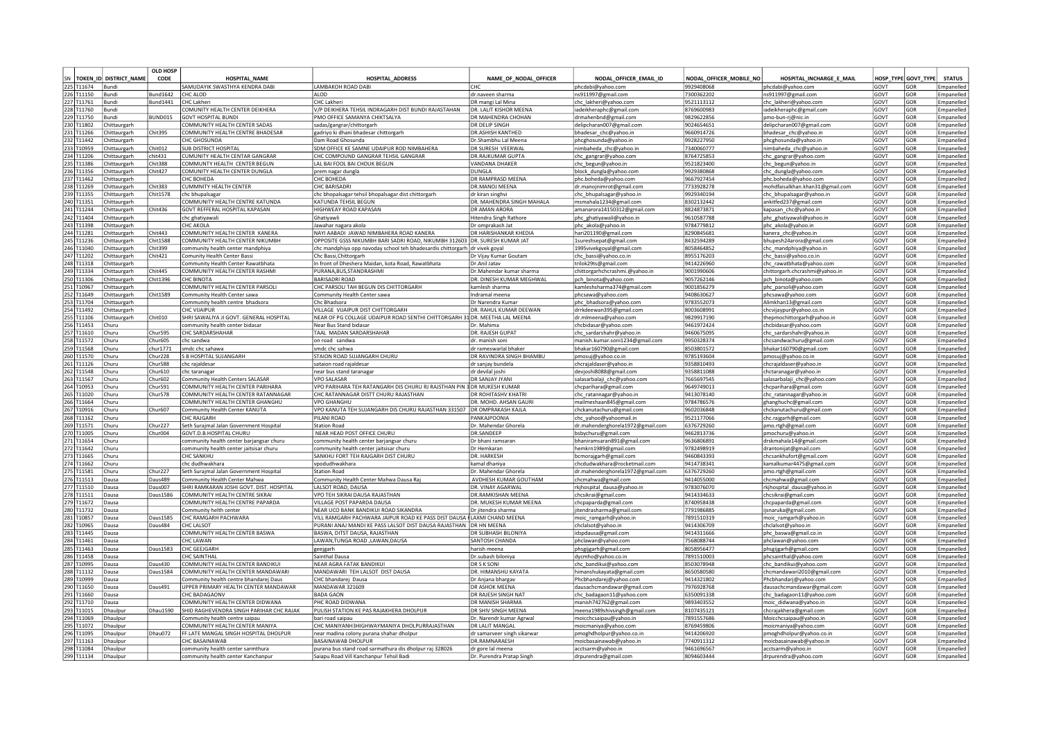|     |                          |                        | <b>OLD HOSP</b> |                                                       |                                                                               |                               |                                  |                         |                                 |      |                     |               |
|-----|--------------------------|------------------------|-----------------|-------------------------------------------------------|-------------------------------------------------------------------------------|-------------------------------|----------------------------------|-------------------------|---------------------------------|------|---------------------|---------------|
| lsn |                          | TOKEN_ID DISTRICT NAME | CODE            | <b>HOSPITAL NAME</b>                                  | <b>HOSPITAL ADDRESS</b>                                                       | NAME_OF_NODAL_OFFICER         | NODAL OFFICER EMAIL ID           | NODAL OFFICER MOBILE NO | HOSPITAL INCHARGE E MAIL        |      | HOSP TYPE GOVT TYPE | <b>STATUS</b> |
|     | 225 T11674               | Bundi                  |                 | SAMUDAYIK SWASTHYA KENDRA DABI                        | <b>LAMBAKOH ROAD DABI</b>                                                     | CHO                           | phcdabi@yahoo.com                | 9929408068              | phcdabi@yahoo.com               | GOVT | GOR                 | Emnaneller    |
|     | 226 T11150               | Bund                   | <b>Bund1642</b> | CHC ALOD                                              | AI OD                                                                         | dr.naveen sharma              | ns911997@gmail.com               | 7300362202              | ns911997@gmail.com              | GOVT | GOR                 | Empanelled    |
|     | 227 T11761               | Bundi                  | <b>Bund1441</b> | CHC Lakheri                                           | CHC Lakheri                                                                   | DR mangi Lal Mina             | chc_lakheri@yahoo.com            | 9521113112              | chc_lakheri@yahoo.com           | GOVT | GOR                 | Empanelled    |
|     | 228 T11760               | Bundi                  |                 | COMUNITY HEALTH CENTER DEIKHERA                       | V/P DEIKHERA TEHSIL INDRAGARH DIST BUNDI RAJASTAHAN                           | DR. LALIT KISHOR MEENA        | iadeikheraphc@gmail.com          | 8769600983              | iadeikheraphc@gmail.com         | GOVT | GOR                 | Empanelled    |
|     | 229 T11750               | Bundi                  | BUND015         | <b>GOVT HOSPITAL BUNDI</b>                            | PMO OFFICE SAMANYA CHIKTSALYA                                                 | DR MAHENDRA CHOHAN            | drmahenbnd@gmail.com             | 9829622856              | pmo-bun-ri@nic.in               | GOVT | GOR                 | Empanelled    |
|     | 230 T11802               | Chittaurgarh           |                 | COMMUNITY HEALTH CENTER SADAS                         | sadas/gangrar/chittorgarh                                                     | DR DELIP SINGH                | delipcharan007@gmail.com         | 9024654651              | delipcharan007@gmail.com        | GOVT | GOR                 | Empanelled    |
|     | 231 T11266               | Chittaurgarh           | Chit395         | COMMUNITY HEALTH CENTRE BHADESAR                      | gadriyo ki dhani bhadesar chittorgarh                                         | DR.ASHISH KANTHED             | bhadesar_chc@yahoo.in            | 9660914726              | bhadesar_chc@yahoo.in           | GOVT | GOR                 | Empanelled    |
|     | 232 T11442               | Chittaurgarh           |                 | CHC GHOSUNDA                                          | <b>Jam Road Ghosunda</b>                                                      | Dr.Shambhu Lal Meena          | phcghosunda@yahoo.in             | 9928227950              | phcghosunda@yahoo.in            | GOVT | GOR                 | Empanelled    |
|     | 233 T10959               | Chittaurgarh           | Chit012         | SUB DISTRICT HOSPITAL                                 | SDM OFFICE KE SAMNE UDAIPUR ROD NIMBAHERA                                     | DR SURESH VEERWAL             | nimbaheda_chc@yahoo.in           | 7340060777              | nimbaheda_chc@yahoo.in          | GOVT | GOR                 | Empanelled    |
|     | 234 T11206               | Chittaurgarh           | thit431         | CUMUNITY HEALTH CENTAR GANGRAR                        | HC COMPOUND GANGRAR TEHSIL GANGRAR                                            | DR.RAJKUMAR GUPTA             | chc_gangrar@yahoo.com            | 8764725853              | chc_gangrar@yahoo.com           | GOVT | GOR                 | Empanelled    |
|     | 235 T11386               | Chittaurgarh           | Chit388         | COMMUNTY HEALTH CENTER BEGUN                          | LAL BAI FOOL BAI CHOUK BEGUN                                                  | VANDANA DHAKER                | chc_begun@yahoo.in               | 9521823400              | chc_begun@yahoo.in              | GOVT | GOR                 | Empanelled    |
|     | 236 T11356               | Chittaurgarh           | Chit427         | COMUNITY HEALTH CENTER DUNGLA                         | prem nagar dungla                                                             | <b>DUNGLA</b>                 | block_dungla@yahoo.com           | 9929380868              | chc_dungla@yahoo.com            | GOVT | GOR                 | Empanelled    |
|     | 237 T11462               | Chittaurgarh           |                 | CHC BOHFDA                                            | <b>CHC BOHEDA</b>                                                             | DR RAMPRASD MFFNA             | phc.boheda@yahoo.com             | 9667927454              | phc.boheda@yahoo.com            | GOVT | GOR                 | Empanelled    |
|     | 238 T11269               | Chittaurgarh           | Chit383         | <b>CUMMNITY HEALTH CENTER</b>                         | CHC BARISADR                                                                  | DR.MANOJ MEENA                | dr.manojnimrot@gmail.com         | 7733928278              | mohdfaisalkhan.khan31@gmail.com | GOVT | GOR                 | Empanelled    |
|     | 239 T11355               | Chittaurgarh           | Chit1578        | chc bhupalsagar                                       | chc bhopalsagar tehsil bhopalsagar dist chittorgarh                           | dr kiran singhvi              | chc_bhupalsagar@yahoo.in         | 9929340194              | chc_bhupalsagar@yahoo.in        | GOVT | GOR                 | Empanelled    |
|     | 240 T11351               | Chittaurgarh           |                 | COMMUNITY HEALTH CENTRE KATUNDA                       | KATUNDA TEHSIL BEGUN                                                          | DR. MAHENDRA SINGH MAHALA     | msmahala1234@gmail.com           | 8302132442              | ankitfed237@gmail.com           | GOVT | GOR                 | Empanelled    |
|     | 241 T11244               | Chittaurgarh           | Chit436         | GOVT REFFERAL HOSPITAL KAPASAN                        | HIGHWEAY ROAD KAPASAN                                                         | DR AMAN ARORA                 | amanarora14150312@gmail.com      | 8824873871              | kapasan_chc@yahoo.in            | GOVT | GOR                 | Empanelled    |
|     | 242 T11404               | Chittaurgarh           |                 | chc ghativawal                                        | Ghatiyawli                                                                    | <b>Hitendra Singh Rathore</b> | phc_ghatiyawali@yahoo.in         | 9610587788              | phc_ghatiyawali@yahoo.in        | GOVT | GOR                 | Empanelled    |
|     | 243 T11398               | Chittaurgarh           |                 | CHC AKOLA                                             | Jawahar nagara akola                                                          | Dr omprakash Jat              | phc_akola@yahoo.in               | 9784779812              | phc_akola@yahoo.in              | GOVT | GOR                 | Empanelled    |
|     | 244 T11281               | Chittaurgarh           | Chit443         | COMMUNITY HEALTH CENTER KANERA                        | NAYI AABADI JAWAD NIMBAHERA ROAD KANERA                                       | DR HARISHANKAR KHEDIA         | hari201190@gmail.com             | 8290845681              | kanera_chc@yahoo.in             | GOVT | GOR                 | Empanelled    |
|     | 245 T11236               | Chittaurgarh           | Chit1588        | COMMUNITY HEALTH CENTER NIKUMBH                       | OPPOSITE GSSS NIKUMBH BARI SADRI ROAD, NIKUMBH 312603 DR. SURESH KUMAR JAT    |                               | 1sureshsepat@gmail.com           | 8432594289              | bhupesh24arora@gmail.com        | GOVT | GOR                 | Empanelled    |
|     | 246 T11040               | Chittaurgarh           | Chit399         | community health center mandphiya                     | hc mandphiya opp navoday school teh bhadesardis chittorgarh dr vivek goyal:   |                               | 1995vivekgoyal@gmail.com         | 8058464852              | chc_mandphiya@yahoo.in          | GOVT | GOR                 | Empanelled    |
|     | 247 T11202               | Chittaurgarh           | Chit421         | <b>Comunity Health Center Bassi</b>                   | Chc Bassi, Chittorgarh                                                        | Dr Vijay Kumar Goutam         | chc_bassi@yahoo.co.in            | 8955176203              | chc bassi@yahoo.co.in           | GOVT | GOR                 | Empanelled    |
|     | 248 T11318               | <b>Chittaurgarh</b>    |                 | Community Health Center Rawatbhata                    | n front of Dheshera Maidan, kota Road, Rawatbhata                             | Dr.Anil Jatav                 | trilok29ts@gmail.com             | 9414226960              | chc rawatbhata@yahoo.com        | GOVT | GOR                 | Empanelled    |
|     | 249 T11334               | Chittaurgarh           | Chit445         | COMMUNITY HEALTH CENTER RASHMI                        | URANA.BUS.STANDRASHMI                                                         | Dr.Mahendar kumar sharma      | chittorgarhchcrashmi.@yahoo.in   | 9001990606              | hittorgarh.chcrashmi@yahoo.in   | GOVT | GOR                 | Empanelled    |
|     |                          |                        | Chit1396        | CHC BINOTA                                            | <b>BARISADRI ROAD</b>                                                         | DR. DINESH KUMAR MEGHWAL      |                                  |                         |                                 | GOVT | GOR                 |               |
|     | 250 T11306               | Chittaurgarh           |                 |                                                       |                                                                               |                               | pch_binota@yahoo.com             | 9057262146              | pch_binota@yahoo.com            |      |                     | Empanelled    |
|     | 251 T10967<br>252 T11649 | Chittaurgarh           |                 | COMMUNITY HEALTH CENTER PARSOLI                       | CHC PARSOLI TAH BEGUN DIS CHITTORGARH                                         | kamlesh sharma                | kamleshsharma374@gmail.com       | 9001856279              | phc_parsoli@yahoo.com           | GOVT | GOR                 | Empanelled    |
|     |                          | Chittaurgarh           | Chit1589        | Community Health Center sawa                          | Community Health Center sawa                                                  | Indramal meena                | phcsawa@yahoo.com                | 9408630627              | phcsawa@yahoo.com               | GOVT | GOR                 | Empanelled    |
|     | 253 T11704               | Chittaurgarh           |                 | Community health centre bhadsora                      | Chc Bhadsora                                                                  | Dr Narendra Kuma              | phc_bhadsora@yahoo.com           | 9783552073              | Alimkhan13@gmail.com            | GOVT | GOR                 | Empanelled    |
|     | 254 T11492               | Chittaurgarh           |                 | <b>CHC VIJAIPUR</b>                                   | VILLAGE VIJAIPUR DIST CHITTORGARH                                             | DR. RAHUL KUMAR DEEWAN        | drrkdeewan395@gmail.com          | 8003608991              | chcvijaypur@yahoo.co.ir         | GOVT | GOR                 | Empanelled    |
|     | 255 T11106               | Chittaurgarh           | Chit010         | SHRI SAWALIYA JI GOVT. GENERAL HOSPITAL               | NEAR OF PG COLLAGE UDAIPUR ROAD SENTHI CHITTORGARH 31 DR. MEETHA LAL MEENA    |                               | dr.mlmeena@vahoo.com             | 9829917190              | thepmochittorgarh@yahoo.in      | GOVT | GOR                 | Empanelled    |
|     | 256 T11453               | Churu                  |                 | community health center bidasa                        | Near Bus Stand bidasa                                                         | Dr. Mahima                    | chcbidasar@vahoo.com             | 9461972424              | chcbidasar@vahoo.com            | GOVT | GOR                 | Empanelled    |
|     | 257 T11610               | Churu                  | Chur595         | CHC SARDARSHAHAR                                      | TAAL MADAN SARDARSHAHAR                                                       | DR. RAJESH GUPAT              | chc_sardarshahr@yahoo.in         | 9460675095              | chc_sardarshahr@yahoo.in        | GOVT | GOR                 | Empanelled    |
|     | 258 T11572               | Churu                  | Chur605         | chc sandwa                                            | lon road sandwa                                                               | dr. manish soni               | manish.kumar.soni1234@gmail.com  | 9950328374              | chcsandwachuru@gmail.com        | GOVT | GOR                 | Empanelled    |
|     | 259 T11568               | Churu                  | chur1771        | smdc chc sahawa                                       | smdc chc sahwa                                                                | dr rameswarlal bhaker         | bhakar160790@gmail.com           | 8503801572              | bhakar160790@gmail.com          | GOVT | GOR                 | Empanelled    |
|     | 260 T11570               | Churu                  | Chur228         | S B HOSPITAL SUJANGARH                                | STAION ROAD SUJANGARH CHURU                                                   | DR RAVINDRA SINGH BHAMBU      | pmosuj@yahoo.co.in               | 9785193604              | pmosuj@yahoo.co.in              | GOVT | GOR                 | Empanelled    |
|     | 261 T11126               | Churu                  | <b>Chur588</b>  | chc raialdesar                                        | sataion road rajaldesai                                                       | dr sanjay bundela             | chcrajaldaser@yahoo.in           | 9358810493              | chcrajaldaser@yahoo.in          | GOVT | GOR                 | Empanelled    |
|     | 262 T11548               | Churu                  | Chur610         | chc taranagai                                         | near bus stand taranagai                                                      | dr devilal ioshi              | devjoshi8088@gmail.com           | 9358811088              | chctaranagar@yahoo.in           | GOVT | GOR                 | Empanelled    |
|     | 263 T11567               | Churu                  | Chur602         | Community Health Centers SALASAR                      | <b>/PO SAI ASAF</b>                                                           | DR SANJAY JYANI               | salasarbalaii chc@vahoo.com      | 7665697545              | alasarbalaji_chc@yahoo.com      | GOVT | GOR                 | Empanelled    |
|     | 264 T10953               | Churu                  | Chur591         | OMMUNITY HEALTH CENTER PARIHARA                       | /PO PARIHARA TEH RATANGARH DIS CHURU RJ RAJSTHAN PIN 3 DR MUKESH KUMAR        |                               | chcparihara@gmail.com            | 0649749013              | hcparihara@gmail.com            | GOVT | GOR                 | Empanelled    |
|     | 265 T11020               | Churu                  | Chur578         | COMMUNITY HEALTH CENTER RATANNAGAR                    | CHC RATANNAGAR DISTT CHURU RAJASTHAN                                          | <b>DR ROHITASHV KHATR</b>     | chc_ratannagar@yahoo.in          | 9413078140              | chc_ratannagar@yahoo.in         | GOVT | GOR                 | Empanelled    |
|     | 266 T11664               | Churu                  |                 | COMMUNITY HEALTH CENTER GHANGHU                       | <b>VPO GHANGHU</b>                                                            | DR. MOHD. AHSAN GAURI         | mailmeshaan845@gmail.com         | 9784786576              | ghanghuchc@gmail.com            | GOVT | GOR                 | Empanelled    |
|     | 267 T10916               | Churu                  | Chur607         | Community Health Center KANUTA                        | VPO KANUTA TEH SUJANGARH DIS CHURU RAJASTHAN 331507 DR OMPRAKASH KAJLA        |                               | chckanutachuru@gmail.con         | 9602036848              | chckanutachuru@gmail.com        | GOVT | GOR                 | Empanelled    |
|     | 268 T11162               | Churu                  |                 | CHC RAIGARH                                           | PII ANI ROAD                                                                  | PANKAIPOONIA                  | chc yahoo@yahoomail.in           | 9521177066              | chc.rajgarh@gmail.com           | GOVT | GOR                 | Empanelled    |
|     | 269 T11571               | Churu                  | Chur227         | Seth Surajmal Jalan Government Hospital               | <b>Station Road</b>                                                           | Dr. Mahendar Ghorela          | dr.mahenderghorela1972@gmail.com | 6376729260              | pmo.rtgh@gmail.com              | GOVT | GOR                 | Empanelled    |
|     | 270 T11005               | Churu                  | Chur004         | GOVT.D.B.HOSPITAL CHURL                               | NEAR HEAD POST OFFICE CHURU                                                   | <b>DR.SANDEEF</b>             | bsbychuru@gmail.com              | 9462813736              | pmochuru@yahoo.in               | GOVT | GOR                 | Empanelled    |
|     | 271 T11654               | Churu                  |                 | community health center barjangsar churu              | community health center barjangsar churu                                      | Dr bhani ramsaran             | bhaniramsaran891@gmail.com       | 9636806891              | drskmahala14@gmail.com          | GOVT | GOR                 | Empanelled    |
|     | 272 T11642               | Churu                  |                 |                                                       |                                                                               | Dr Hemkarar                   |                                  | 9782498919              |                                 | GOVT | GOR                 | Empanelled    |
|     |                          |                        |                 | community health center jaitsisar churu<br>CHC SANKHU | community health center jaitsisar churu<br>SANKHU FORT TEH RAJGARH DIST CHURU | DR. HARKESH                   | hemkrn1989@gmail.com             | 9460843393              | drantonijat@gmail.com           | GOVT | GOR                 |               |
|     | 273 T11665<br>274 T11662 | Churu                  |                 |                                                       |                                                                               |                               | bcmorajgarh@gmail.com            | 9414738341              | chcsankhufort@gmail.com         | GOVT | GOR                 | Empanelled    |
|     |                          | Churu                  |                 | chc dudhwakhara                                       | vpodudhwakhara                                                                | kamal dhaniya                 | chcdudwakhara@rocketmail.com     |                         | kamalkumar4475@gmail.com        |      |                     | Empanelled    |
|     | 275 T11581               | Churu                  | Chur227         | Seth Surajmal Jalan Government Hospital               | <b>Station Road</b>                                                           | Dr. Mahendar Ghorela          | dr.mahenderghorela1972@gmail.com | 6376729260              | pmo.rtgh@gmail.com              | GOVT | GOR                 | Empanelled    |
|     | 276 T11513               | Dausa                  | Daus489         | Community Health Center Mahwa                         | Community Health Center Mahwa Dausa Raj                                       | AVDHESH KUMAR GOUTHAM         | chcmahwa@gmail.com               | 9414055000              | :hcmahwa@gmail.com              | GOVT | GOR                 | Empanelled    |
|     | 277 T11510               | Dausa                  | Daus007         | SHRI RAMKARAN JOSHI GOVT. DIST. HOSPITAL              | ALSOT ROAD, DAUSA                                                             | DR. VINAY AGARWAL             | rkjhospital_dausa@yahoo.in       | 9783076070              | kjhospital_dausa@yahoo.in       | GOVT | GOR                 | Empanelled    |
|     | 278 T11511               | Dausa                  | Daus1586        | COMMUNITY HEALTH CENTRE SIKRAI                        | <b>PO TEH SIKRAI DAUSA RAJASTHAN</b>                                          | DR.RAMKISHAN MEENA            | chcsikrai@gmail.com              | 9414334633              | chcsikrai@gmail.com             | GOVT | GOR                 | Empanelled    |
|     | 279 T11672               | Dausa                  |                 | COMMUNITY HEALTH CENTRE PAPARDA                       | <b>JILLAGE POST PAPARDA DAUSA</b>                                             | DR. MUKESH KUMAR MEENA        | chcpaparda@gmail.com             | 3740958438              | hcpaparda@gmail.com             | GOVT | GOR                 | Empanelled    |
|     | 280 T11732               | Dausa                  |                 | Community helth center                                | NEAR UCO BANK BANDIKUI ROAD SIKANDRA                                          | Dr jitendra sharma            | itendrasharma@gmail.com          | 7791986885              | jsnaruka@gmail.com              | GOVT | GOR                 | Empanelled    |
|     | 281 T10857               | Dausa                  | Daus1585        | CHC RAMGARH PACHWARA                                  | VILL RAMGARH PACHWARA JAIPUR ROAD KE PASS DIST DAUSA RLAXMI CHAND MEENA       |                               | moic_ramgarh@yahoo.ir            | 7891510319              | moic_ramgarh@yahoo.in           | GOVT | GOR                 | Empanelled    |
|     | 282 T10965               | Dausa                  | Daus484         | <b>CHC LALSOT</b>                                     | PURANI ANAJ MANDI KE PASS LALSOT DIST DAUSA RAJASTHAN DR HN MEENA             |                               | chclalsot@yahoo.in               | 9414306709              | chclalsot@yahoo.in              | GOVT | GOR                 | Empanelled    |
|     | 283 T11445               | Dausa                  |                 | COMMUNITY HEALTH CENTER BASWA                         | BASWA, DITST DAUSA, RAJASTHAN                                                 | DR SUBHASH BILONIYA           | idspdausa@gmail.com              | 9414311666              | phc baswa@gmail.co.in           | GOVT | GOR                 | Empanelled    |
|     | 284 T11461               | Dausa                  |                 | CHC LAWAN                                             | I AWAN TUNGA ROAD JAWAN DAUSA                                                 | SANTOSH CHANDA                | phclawan@yahoo.com               | 7568088744              | phclawan@yahoo.com              | GOVT | GOR                 | Empanelled    |
|     | 285 T11463               | Dausa                  | Daus1583        | CHC GEEJGARH                                          | geejgarh                                                                      | harish meena                  | phsgijgarh@gmail.com             | 8058956477              | phsgijgarh@gmail.com            | GOVT | GOR                 | Empanelled    |
|     | 286 T11458               | Dausa                  |                 | CHC SAINTHAI                                          | Sainthal Dausa                                                                | Dr.subash biloniya            | dycmho@yahoo.co.in               | 7891510003              | phcsainthal@yahoo.com           | GOVT | GOR                 | Empanelled    |
|     | 287 T10995               | Dausa                  | Daus430         | COMMUNITY HEALTH CENTER BANDIKUI                      | NEAR AGRA FATAK BANDIKU                                                       | DR S K SONI                   | chc_bandikui@yahoo.com           | 8503078948              | chc_bandikui@yahoo.com          | GOVT | GOR                 | Empanelled    |
|     | 288 T11132               | Dausa                  | Daus1584        | COMMUNITY HEALTH CENTER MANDAWARI                     | MANDAWARI TEH LALSOT DIST DAUSA                                               | DR. HIMANSHU KAYATA           | himanshukayata@gmail.com         | 8650580580              | chcmandawari2010@gmail.com      | GOVT | GOR                 | Empanelled    |
|     | 289 T10999               | Dausa                  |                 | Community health centre bhandarej Daus                | CHC bhandarej Dausa                                                           | Dr Anjana bhargav             | Phcbhandarej@yahoo.com           | 9414321802              | Phcbhandarj@yahoo.com           | GOVT | GOR                 | Empanelled    |
|     | 290 T11650               | Dausa                  | Daus491         | UPPER PRIMARY HEALTH CENTER MANDAWAR                  | MANDAWAR 321609                                                               | <b>DR ASHOK MEENA</b>         | dausachcmandawar@gmail.com       | 7976928768              | dausachcmandawar@gmail.com      | GOVT | GOR                 | Empanelled    |
|     | 291 T11660               | Dausa                  |                 | CHC BADAGAONV                                         | <b>BADA GAON</b>                                                              | DR RAJESH SINGH NAT           | chc_badagaon11@yahoo.com         | 6350091338              | chc_badagaon11@yahoo.com        | GOVT | GOR                 | Empanelled    |
|     | 292 T11710               | Dausa                  |                 | COMMUNITY HEALTH CENTER DIDWANA                       | <b>HC ROAD DIDWANA</b>                                                        | DR MANISH SHARMA              | manish742762@gmail.com           | 9893403552              | moic_didwana@yahoo.in           | GOVT | GOR                 | Empanelled    |
|     | 293 T11015               | Dhaulpur               | Dhau1590        | SHID RAGHEVENDRA SINGH PARIHAR CHC RAJAK              | PULISH STATION KE PAS RAJAKHERA DHOLPUR                                       | OR SHIV SINGH MEENA           | meena1989shivsingh@gmail.com     | 8107435121              | chcrajakhera@gmail.com          | GOVT | GOR                 | Empanelled    |
|     | 294 T11069               | Dhaulpur               |                 | Community health centre saipau                        | pari road saipau                                                              | Dr. Narendr kumar Agrwal      | moicchcsaipau@yahoo.in           | 7891557686              | Moicchcsaipau@yahoo.in          | GOVT | GOR                 | Empanelled    |
|     | 295 T11072               | Dhaulpur               |                 | COMMUNITY HEALTH CENTER MANIYA                        | CHC MANIYANH3HIGHWAYMANIYA DHOLPURRAJASTHAN                                   | DR LALIT MANGA                | moicmaniya@yahoo.com             | 8769459806              | moicmaniya@yahoo.com            | GOVT | GOR                 | Empanelled    |
|     | 296 T11095               | Dhaulpur               | Dhau072         | FF.LATE MANGAL SINGH HOSPITAL DHOLPUR                 | near madina colony purana shahar dholpur                                      | dr samarveer singh sikarwar   | pmoghdholpur@yahoo.co.in         | 9414206920              | pmoghdholpur@yahoo.co.in        | GOVT | GOR                 | Empanelled    |
|     | 297 T11163               | Dhaulpur               |                 | CHC BASAINAWAB                                        | <b>BASAINAWAB DHOLPUR</b>                                                     | DR.RAMNARAESH                 | moicbasainawab@yahoo.in          | 7740911312              | moicbasainawab@yahoo.in         | GOVT | GOR                 | Empanelled    |
|     | 298 T11084               | Dhaulpur               |                 | community health center sarmthura                     | purana bus stand road sarmathura dis dholpur raj 328026                       | dr gore lal meena             | acctsarm@yahoo.in                | 9461696567              | acctsarm@yahoo.in               | GOVT | GOR                 | Empanelled    |
|     | 299 T11134               | Dhaulpur               |                 | community health center Kanchanpur                    | Saiapu Road Vill Kanchanpur Tehsil Badi                                       | Dr. Purendra Pratap Singh     | drpurendra@gmail.com             | 8094603444              | drpurendra@yahoo.com            | GOVT | GOR                 | Empanelled    |
|     |                          |                        |                 |                                                       |                                                                               |                               |                                  |                         |                                 |      |                     |               |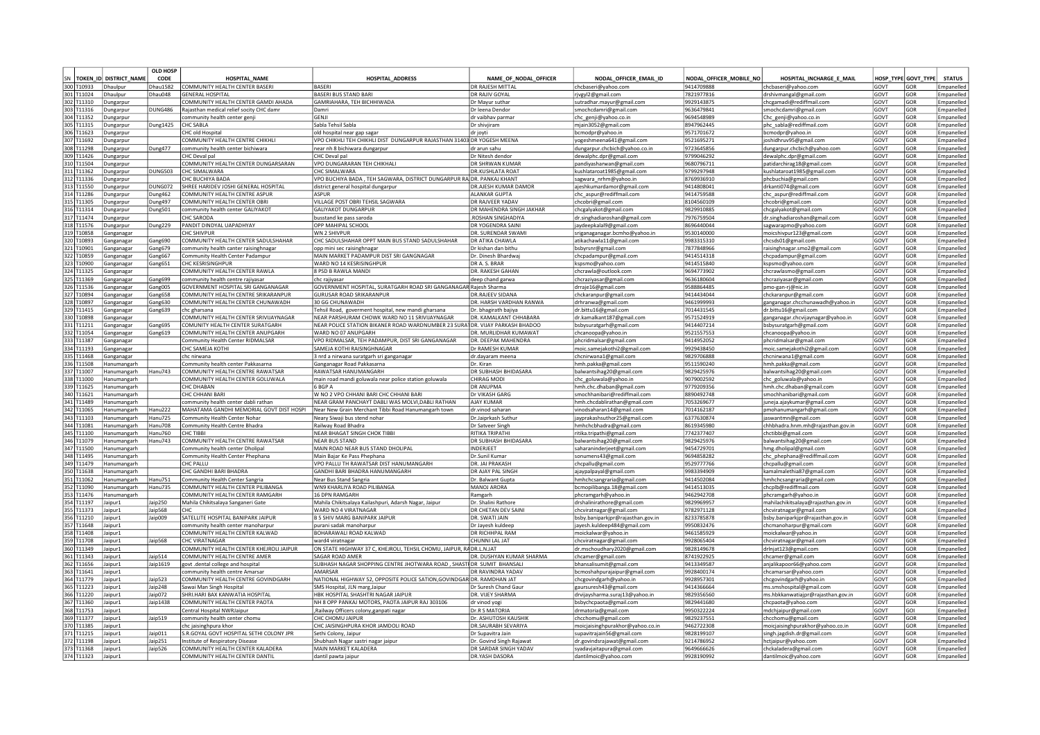|            |                           | <b>OLD HOSP</b> |                                          |                                                                              |                          |                                           |                          |                                     |                  |                  |                          |
|------------|---------------------------|-----------------|------------------------------------------|------------------------------------------------------------------------------|--------------------------|-------------------------------------------|--------------------------|-------------------------------------|------------------|------------------|--------------------------|
|            | SN TOKEN ID DISTRICT NAME | CODE            | <b>HOSPITAL NAME</b>                     | HOSPITAL ADDRESS                                                             | NAME OF NODAL OFFICER    | NODAL OFFICER EMAIL ID                    | NODAL OFFICER MOBILE NO  | HOSPITAL INCHARGE E MAIL            | <b>HOSP TYPE</b> | <b>GOVT TYPE</b> | <b>STATUS</b>            |
| 300 T10933 | Dhaulpur                  | <b>Dhau1582</b> | COMMUNITY HEALTH CENTER BASERI           | <b>BASERI</b>                                                                | DR RAJESH MITTAI         | chcbaseri@yahoo.com                       | 9414709888               | chcbaseri@vahoo.con                 | GOVT             | GOR              | Empaneller               |
| 301 T11024 | Dhaulpur                  | Dhau048         | <b>GENERAL HOSPITAL</b>                  | <b>BASERI BUS STAND BARI</b>                                                 | DR RAJIV GOYAL           | rjvgyl2@gmail.com                         | 7821977816               | drshivmangal@gmail.com              | GOVT             | GOR              | Empanelle                |
| 302 T11310 |                           |                 | COMMUNITY HEALTH CENTER GAMDI AHADA      | GAMRIAHARA, TEH BICHHIWADA                                                   | Dr Mavur suthar          |                                           | 9929143875               |                                     | GOVT             | GOR              | Empanelled               |
|            | Dungarpur                 |                 |                                          |                                                                              |                          | sutradhar.mayur@gmail.com                 |                          | chcgamadi@rediffmail.com            |                  |                  |                          |
| 303 T11316 | Dungarpur                 | <b>DUNG486</b>  | Rajasthan medical relief socity CHC damr | Damri<br>GFNII                                                               | Dr leena Dendo           | smochcdamri@gmail.com                     | 9636479841<br>9694548989 | smochcdamri@gmail.com               | GOVT<br>GOVT     | GOR<br>GOR       | Empanelled               |
| 304 T11352 | Dungarpur                 |                 | community health center genji            |                                                                              | dr vaibhav parmaı        | chc_genji@yahoo.co.in                     |                          | Chc_genji@yahoo.co.in               |                  |                  | Empanelled               |
| 305 T11315 | Dungarpur                 | <b>Dung1425</b> | <b>CHC SABLA</b>                         | Sabla Tehsil Sabla                                                           | Dr shiviiram             | mjain3052@gmail.com                       | 8947962445               | phc sabla@rediffmail.com            | GOVT             | GOR              | Empanelle                |
| 306 T11623 | Dungarpur                 |                 | CHC old Hospital                         | old hospital near gap sagar                                                  | dr joyti                 | bcmodpr@yahoo.in                          | 9571701672               | bcmodpr@yahoo.in                    | GOVT             | GOR              | Empaneller               |
| 307 T11692 | Jungarpui                 |                 | COMMUNITY HEALTH CENTRE CHIKHLI          | VPO CHIKHLI TEH CHIKHLI DIST DUNGARPUR RAJASTHAN 31403 DR YOGESH MEENA       |                          | yogeshmeena641@gmail.com                  | 9521695271               | oshidhruv95@gmail.com               | GOVT             | GOR              | Empaneller               |
| 308 T11298 | )ungarpui                 | Dung477         | community health center bichiwara        | near nh 8 bichiwara dungarpur                                                | Ir arun sahu             | dungarpur.chcbich@vahoo.co.in             | 9723645856               | dungarpur.chcbich@vahoo.com         | GOVT             | GOR              | Empanelled               |
| 309 T11426 | Jungarpur                 |                 | HC Deval pal                             | CHC Deval pal                                                                | or Nitesh dendor         | dewalphc.dpr@gmail.com                    | 9799046292               | dewalphc.dpr@gmail.com              | GOVT             | GOR              | Empanelled               |
| 310 T11504 | Dungarpur                 |                 | COMMUNITY HEALTH CENTER DUNGARSARAN      | VPO DUNGARARAN TEH CHIKHALI                                                  | DR SHRWAN KUMAR          | pandiyasharwan@gmail.com                  | 9680796711               | patidarchirag18@gmail.com           | GOVT             | GOR              | Empanelled               |
| 311 T11362 | Jungarpur                 | <b>DUNG503</b>  | <b>CHC SIMALWARA</b>                     | <b>CHC SIMALWARA</b>                                                         | <b>DR.KUSHLATA ROAT</b>  | kushlataroat1985@gmail.com                | 9799297948               | kushlataroat1985@gmail.com          | GOVT             | GOR              | Empanelled               |
| 312 T11336 | Dungarpur                 |                 | CHC BUCHIYA BADA                         | VPO BUCHIYA BADA, TEH SAGWARA, DISTRICT DUNGARPUR RA DR. PANKAJ KHANT        |                          | sagwara nrhm@yahoo.in                     | 8769936910               | phcbuchia@gmail.com                 | GOVT             | GOR              | Empaneller               |
| 313 T11550 | Dungarpur                 | DUNG072         | SHREE HARIDEV JOSHI GENERAL HOSPITAL     | district general hospital dungarpur                                          | DR.AIFSH KUMAR DAMOR     | ajeshkumardamor@gmail.com                 | 9414808041               | drkanti074@gmail.com                | GOVT             | GOR              | Empanelled               |
| 314 T11286 | Dungarpur                 | Dung462         | COMMUNITY HEALTH CENTRE ASPUR            | ASPUR                                                                        | ALANKAR GUPTA            | chc_aspur@rediffmail.com                  | 9414759588               | chc_aspur@rediffmail.com            | GOVT             | GOR              | Empanelled               |
| 315 T11305 | Dungarpuı                 | Dung497         | COMMUNITY HEALTH CENTER OBRI             | VILLAGE POST OBRI TEHSIL SAGWARA                                             | DR RAJVEER YADAV         | chcobri@gmail.com                         | 8104560109               | chcobri@gmail.com                   | GOVT             | GOR              | Empanelled               |
| 316 T11314 |                           |                 | community health center GALIYAKOT        | <b>GALIYAKOT DUNGARPUR</b>                                                   | DR MAHENDRA SINGH JAKHAR |                                           | 9829910885               |                                     | GOVT             | GOR              | Empanelled               |
|            | Dungarpur                 | Dung501         |                                          |                                                                              |                          | chcgalyakot@gmail.com                     |                          | chcgalyakot@gmail.com               |                  |                  |                          |
| 317 T11474 | Dungarpur                 |                 | CHC SARODA                               | busstand ke pass saroda                                                      | <b>ROSHAN SINGHADIYA</b> | dr.singhadiaroshan@gmail.com              | 7976759504               | dr.singhadiaroshan@gmail.com        | GOVT             | GOR              | Empanelled               |
| 318 T11576 | Dungarpur                 | Dung229         | PANDIT DINDYAL UAPADHYAY                 | OPP MAHIPAL SCHOOL                                                           | DR YOGENDRA SAINI        | jaydeepkalal9@gmail.com                   | 8696440044               | sagwarapmo@yahoo.com                | GOVT             | GOR              | Empanelled               |
| 319 T10858 | Ganganagai                |                 | CHC SHIVPUR                              | <b>WN 2 SHIVPUR</b>                                                          | DR. SURENDAR SWAMI       | sriganaganagar.bcmho@yahoo.in             | 9530140000               | moicshivpur123@gmail.com            | GOVT             | GOR              | Empanelled               |
| 320 T10893 | Ganganaga                 | Gang690         | COMMUNITY HEALTH CENTER SADULSHAHAR      | CHC SADULSHAHAR OPPT MAIN BUS STAND SADULSHAHAR                              | DR ATIKA CHAWLA          | atikachawla11@gmail.com                   | 9983315310               | chcsds01@gmail.com                  | GOVT             | GOR              | Empanelled               |
| 321 T10901 | Ganganagar                | Gang679         | community health canter raisinghnagar    | opp mini sec raisinghnagar                                                   | Dr kishan dan bithu      | bsbyrsnr@gmail.com                        | 7877848966               | raisinghnagar.smo2@gmail.com        | GOVT             | GOR              | Empanelled               |
| 322 T10859 | Ganganagai                | Gang667         | Community Health Center Padampur         | MAIN MARKET PADAMPUR DIST SRI GANGNAGAR                                      | Dr. Dinesh Bhardwai      | chcpadampur@gmail.com                     | 9414514318               | chcpad <u>ampur@gmail.com</u>       | GOVT             | GOR              | Empanelled               |
| 323 T10900 | Ganganagai                | Gang651         | <b>CHC KESRISINGHPUR</b>                 | WARD NO 14 KESRISINGHPUR                                                     | DR A. S. BRAI            | kspsmo@yahoo.com                          | 9414515840               | kspsmo@yahoo.com                    | GOVT             | GOR              | Empanelled               |
| 324 T11325 | <b>Ganganaga</b>          |                 | COMMUNITY HEALTH CENTER RAWLA            | 8 PSD B RAWLA MANDI                                                          | DR. RAKESH GAHAN         | chcrawla@outlook.com                      | 9694773902               | hcrawlasmo@gmail.com                | GOVT             | GOR              | Empanelled               |
| 325 T11369 | Ganganagai                | Gang699         | community health centre rajiyasar        | chc rajiyasar                                                                | deep chand garwa         | chcraziyasar@gmail.com                    | 9636180604               | chcraziyasar@gmail.com              | GOVT             | GOR              | Empanelled               |
| 326 T11536 | Sanganagar                | Gang005         | GOVERNMENT HOSPITAL SRI GANGANAGAR       | GOVERNMENT HOSPITAL, SURATGARH ROAD SRI GANGANAGAR Rajesh Sharma             |                          | drraje16@gmail.com                        | 9588864485               | omo-gan-rj@nic.in                   | GOVT             | GOR              | Empaneller               |
| 327 T10894 | Ganganagai                | Gang658         | COMMUNITY HEALTH CENTRE SRIKARANPUF      | <b>GURUSAR ROAD SRIKARANPUR</b>                                              | <b>DR.RAIFFV SIDANA</b>  | chckaranpur@gmail.com                     | 9414434044               | chckaranpur@gmail.com               | GOVT             | GOR              | Empanelled               |
| 328 T10897 |                           |                 | COMMUNITY HEALTH CENTER CHUNAWADH        | 30 GG CHUNAWADH                                                              | DR. HARSH VARDHAN RANWA  |                                           | 9461999993               |                                     | GOVT             | GOR              | Empanelle                |
| 329 T11415 | Sanganagar                | Gang630         | chc gharsana                             | Tehsil Road, goverment hospital, new mandi gharsana                          | Dr. bhagirath baiiva     | drhranwa@gmail.co<br>dr.bittu16@gmail.com | 7014431545               | ganganagar.chcchunawadh@yahoo.in    | GOVT             | GOR              | Empanelled               |
|            | Ganganagai                | Gang639         |                                          |                                                                              |                          |                                           |                          | dr.bittu16@gmail.com                |                  |                  |                          |
| 330 T10898 | Ganganagai                |                 | COMMUNITY HEALTH CENTER SRIVIJAYNAGAR    | NEAR PARSHURAM CHOWK WARD NO 11 SRIVIJAYNAGAR                                | DR. KAMALKANT CHHABARA   | dr.kamalkant187@gmail.com                 | 9571524919               | ganganagar.chcvijaynagar@yahoo.in   | GOVT             | GOR              | Empanelled               |
| 331 T11211 | Ganganagai                | Gang695         | COMUNITY HEALTH CENTER SURATGARH         | NEAR POLICE STATION BIKANER ROAD WARDNUMBER 23 SURATOR. VIJAY PARKASH BHADOO |                          | bsbysuratgarh@gmail.com                   | 9414407214               | bsbysuratgarh@gmail.com             | GOVT             | GOR              | Empanelled               |
| 332 T11054 | Ganganagar                | Gang619         | COMMUNITY HEALTH CENTER ANUPGARH         | WARD NO 07 ANUPGARH                                                          | DR. MURLIDHAR KUMAWAT    | chcanoopa@yahoo.in                        | 9521557553               | chcanoopa@yahoo.in                  | GOVT             | GOR              | Empanelled               |
| 333 T11387 | Ganganagar                |                 | Community Health Center RIDMALSAR        | VPO RIDMALSAR, TEH PADAMPUR, DIST SRI GANGANAGAR                             | DR. DEEPAK MAHENDRA      | phcridmalsar@gmail.com                    | 9414952052               | phcridmalsar@gmail.com              | GOVT             | GOR              | Empanelled               |
| 334 T11193 | Ganganagar                |                 | CHC SAMEJA KOTHI                         | SAMEJA KOTHI RAISINGHNAGAR                                                   | Dr RAMESH KUMAR          | moic.samejakothi2@gmail.com               | 9929438450               | moic.samejakothi2@gmail.com         | GOVT             | GOR              | Empanelled               |
| 335 T11468 | Ganganagar                |                 | chc nirwana                              | 3 nrd a nirwana suratgarh sri ganganagar                                     | dr.dayaram meena         | chcnirwana1@gmail.com                     | 9829706888               | chcnirwana1@gmail.com               | GOVT             | GOR              | Empanelled               |
| 336 T11508 | Hanumangarh               |                 | Community health center Pakkasarna       | Ganganagar Road Pakkasarna                                                   | Dr. Kiran                | hmh.pakka@gmail.com                       | 9511590240               | hmh.pakka@gmail.com                 | GOVT             | GOR              | Empanelled               |
| 337 T11007 | Hanumangarh               | Hanu743         | COMMUNITY HEALTH CENTRE RAWATSAR         | RAWATSAR HANUMANGARH                                                         | DR SUBHASH BHIDASARA     | balwantsihag20@gmail.com                  | 9829425976               | balwantsihag20@gmail.com            | GOVT             | GOR              | Empanelled               |
| 338 T11000 | Ianumangarh               |                 | COMMUNITY HEALTH CENTER GOLUWALA         | main road mandi goluwala near police station goluwala                        | <b>CHIRAG MODI</b>       | chc goluwala@vahoo.in                     | 9079002592               | chc goluwala@vahoo.in               | GOVT             | GOR              | Empanelled               |
| 339 T11625 | <b>Ianumangarh</b>        |                 | <b>CHC DHABAN</b>                        | 6 BGP 4                                                                      | <b>DR ANUPMA</b>         | hmh.chc.dhaban@gmail.com                  | 9779209356               | hmh.chc.dhaban@gmail.com            | GOVT             | GOR              | Empanelled               |
| 340 T11621 | Hanumangarh               |                 | <b>CHC CHHANI BARI</b>                   | W NO 2 VPO CHHANI BARI CHC CHHANI BARI                                       | Dr VIKASH GARO           | smochhanibari@rediffmail.com              | 8890492748               | smochhanibari@gmail.com             | GOVT             | GOR              | Empanelled               |
| 341 T11489 | Hanumangarh               |                 | community health center dabli rathan     | NEAR GRAM PANCHAYT DABLI WAS MOLVI, DABLI RATHAN                             | <b>AJAY KUMAR</b>        | hmh.chcdablirathan@gmail.com              | 7053269677               | juneja.ajaykumar@gmail.com          | GOVT             | GOR              | Empanelle                |
| 342 T11065 | Hanumangarh               | Hanu222         | MAHATAMA GANDHI MEMORIAL GOVT DIST HOSPI | Near New Grain Merchant Tibbi Road Hanumangarh town                          | dr.vinod saharaı         | vinodsaharan14@gmail.com                  | 7014162187               | pmohanumangarh@gmail.com            | GOVT             | GOR              | Empanelled               |
| 343 T11103 |                           | Hanu725         | Community Health Center Nohar            | Neary Siwaji bus stend nohar                                                 | Dr.Jaiprkash Suthu       |                                           | 6377630874               | jaswantmn@gmail.com                 | GOVT             | GOR              | Empaneller               |
| 344 T11081 | Hanumangarh               |                 |                                          | <b>Railway Road Bhadra</b>                                                   |                          | jayprakashsuthor25@gmail.com              |                          |                                     | GOVT             | GOR              |                          |
|            | Hanumangarh               | Hanu708         | Community Health Centre Bhadra           |                                                                              | Dr Satveer Singl         | hmhchcbhadra@gmail.com                    | 8619345980               | chhbhadra.hnm.mh@rajasthan.gov.in   |                  |                  | Empanelled               |
| 345 T11100 | Ianumangarh               | <b>Hanu760</b>  | CHC TIBBI                                | NEAR BHAGAT SINGH CHOK TIBBI                                                 | RITIKA TRIPATHI          | ritika.tripathi@gmail.com                 | 7742377407               | chctibbi@gmail.com                  | GOVT             | GOR              | Empanelled               |
| 346 T11079 | Hanumangarh               | Hanu743         | COMMUNITY HEALTH CENTRE RAWATSAR         | <b>NEAR BUS STAND</b>                                                        | DR SUBHASH BHIDASARA     | balwantsihag20@gmail.com                  | 9829425976               | balwantsihag20@gmail.com            | GOVT             | GOR              | Empanelled               |
| 347 T11500 | Hanumangarh               |                 | Community health center Dholipal         | MAIN ROAD NEAR BUS STAND DHOLIPAL                                            | INDERJEET                | saharaninderjeet@gmail.com                | 9454729701               | hmg.dholipal@gmail.com              | GOVT             | GOR              | Empanelled               |
| 348 T11495 | Hanumangarh               |                 | Community Health Center Phephana         | Main Baiar Ke Pass Phephana                                                  | Dr.Sunil Kuma            | sonumens43@gmail.com                      | 9694858282               | chc_phephana@rediffmail.com         | GOVT             | GOR              | Empanelled               |
| 349 T11479 | Hanumangarh               |                 | CHC PALLU                                | VPO PALLU TH RAWATSAR DIST HANUMANGARH                                       | DR. JAI PRAKASH          | chcpallu@gmail.com                        | 9529777766               | chcpallu@gmail.com                  | GOVT             | GOR              | Empanelled               |
| 350 T11638 | Hanumangarh               |                 | CHC GANDHI BARI BHADRA                   | GANDHI BARI BHADRA HANUMANGARH                                               | DR AJAY PAL SINGH        | ajaypalpayal@gmail.com                    | 9983394909               | kamalmalethia87@gmail.com           | GOVT             | GOR              | Empanelled               |
| 351 T11062 | danumangarh               | Hanu751         | Community Health Center Sangria          | Near Bus Stand Sangria                                                       | Dr. Balwant Gupta        | hmhchcsangraria@gmail.com                 | 9414502084               | hmhchcsangraria@gmail.com           | GOVT             | GOR              | Empanelled               |
| 352 T11090 | Ianumangarh               | <b>Hanu735</b>  | COMMUNITY HEALTH CENTER PILIBANGA        | WN9 KHARI IYA ROAD PILIBANGA                                                 | MANOI ARORA              | bcmopilibanga.18@gmail.com                | 9414513035               | chcolb@rediffmail.com               | GOVT             | GOR              | Empanelled               |
| 353 T11476 | Ianumangarh               |                 | COMMUNITY HEALTH CENTER RAMGARH          | 16 DPN RAMGARH                                                               | Ramgarh                  | phcramgarh@yahoo.ir                       | 9462942708               | phcramgarh@yahoo.in                 | GOVT             | GOR              | Empanelled               |
| 354 T11197 | aiour 1                   | Jaip250         | Mahila Chikitsalaya Sanganeri Gate       | Mahila Chikitsalaya Kailashpuri, Adarsh Nagar, Jaipur                        | Dr. Shalini Rathore      | drshalinirathore@gmail.com                | 9829969957               | mahilachikitsalaya@rajasthan.gov.ir | GOVT             | GOR              | Empanelled               |
| 355 T11373 | aipur1                    | Jaip568         | CHC                                      | WARD NO 4 VIRATNAGAR                                                         | DR CHETAN DEV SAIN       | chcviratnagar@gmail.com                   | 9782971128               | chcviratnagar@gmail.com             | GOVT             | GOR              | Empanelled               |
| 356 T11210 | aipur1                    | Jaip009         | SATELLITE HOSPITAL BANIPARK JAIPUR       | <b>B 5 SHIV MARG BANIPARK JAIPUR</b>                                         | DR. SWATI JAIN           | bsby.baniparkjpr@rajasthan.gov.in         | 8233785878               | bsby.baniparkjpr@rajasthan.gov.in   | GOVT             | GOR              | Empanelled               |
| 357 T11648 | aipur1                    |                 | community health center manoharpu        | purani sadak manoharpu                                                       | Dr Javesh kuldeer        | ayesh.kuldeep484@gmail.con                | 9950832476               | chcmanoharour@gmail.com             | GOVT             | GOR              | Empaneller               |
| 358 T11408 |                           |                 | COMMUNITY HEALTH CENTER KALWAD           | BOHARAWAI I ROAD KAI WAD                                                     | DR RICHHPAL RAM          |                                           | 9461585929               |                                     | GOVT             | GOR              | Empanelled               |
|            | laipur1                   |                 | <b>CHC VIRATNAGAR</b>                    |                                                                              | CHUNNI LAI JAT           | moickalwar@yahoo.in                       |                          | moickalwar@yahoo.                   | GOVT             |                  |                          |
| 359 T11708 | aipur1                    | Jaip568         |                                          | ward4 viratnaga                                                              |                          | chcviratnagar@gmail.com                   | 9928065404               | chcviratnagar@gmail.com             |                  | GOR              | <b>Empanelle</b>         |
| 360 T11349 | aipur1                    |                 | COMMUNITY HEALTH CENTER KHEJROLI JAIPUR  | ON STATE HIGHWAY 37 C, KHEJROLI, TEHSIL CHOMU, JAIPUR, RADR.L.N.JAT          |                          | dr.mschoudhary2020@gmail.com              | 9828149678               | drlnjat123@gmail.com                | GOVT             | GOR              | Empanelled               |
| 361 T11343 | laipur:                   | Jaip514         | COMMUNITY HEALTH CENTRE AMER             | SAGAR ROAD AMFR                                                              | DR. DUSHYAN KUMAR SHARMA | chcamer@gmail.com                         | 8741922925               | chcamer@gmail.com                   | GOVT             | GOR              | Empanelled               |
| 362 T11656 | laipur:                   | Jaip1619        | govt .dental college and hospita         | SUBHASH NAGAR SHOPPING CENTRE JHOTWARA ROAD, SHASTI DR SUMIT BHANSALI        |                          | bhansalisumit@gmail.com                   | 9413349587               | anialikapoor66@vahoo.com            | GOVT             | GOR              | Empanelled               |
| 363 T11641 | Jaipur1                   |                 | community health centre Amarsar          | <b>AMARSAR</b>                                                               | DR RAVINDRA YADAV        | bcmoshahpurajaipur@gmail.com              | 9928400174               | chcamarsar@yahoo.com                | GOVT             | GOR              | Empanelled               |
| 364 T11779 | Jaipur1                   | Jaip523         | COMMUNITY HEALTH CENTRE GOVINDGARH       | NATIONAL HIGHWAY 52, OPPOSITE POLICE SATION, GOVINDGAR DR. RAMDHAN JAT       |                          | chcgovindgarh@yahoo.in                    | 9928957301               | chcgovindgarh@yahoo.in              | GOVT             | GOR              | Empanelled               |
| 365 T11223 | Jaipur1                   | Jaip248         | Sawai Man Singh Hospita                  | SMS Hospital, JLN marg, Jaipur                                               | Dr Suresh Chand Gau      | gaursuresh43@gmail.com                    | 9414366664               | ms.smshospital@gmail.com            | GOVT             | GOR              | Empanelled               |
| 366 T11220 | Jaipur1                   | Jaip072         | SHRI.HARI BAX KANWATIA HOSPITAL          | HBK HOSPITAL SHASHTRI NAGAR JAIPUF                                           | DR. VIJEY SHARMA         | drvijaysharma.suraj13@yahoo.in            | 9829356560               | ms.hbkkanwatiajpr@rajasthan.gov.in  | GOVT             | GOR              | Empanelled               |
| 367 T11360 | Jaipur1                   | Jaip1438        | COMMUNITY HEALTH CENTER PAOTA            | NH 8 OPP PANKAJ MOTORS, PAOTA JAIPUR RAJ 303106                              | dr vinod yogi            | bsbychcpaota@gmail.com                    | 9829441680               | chcpaota@yahoo.com                  | GOVT             | GOR              | Empanelled               |
| 368 T11753 | Jaiour 1                  |                 | Central Hospital NWRJaipur               | Railway Officers colony, ganpati nagar                                       | Dr.R S MATORIA           | drmatoria@gmail.com                       | 9950322224               | mdchjaipur@gmail.com                | GOVT             | GOL              | Empanelled               |
| 369 T11377 | aipur1                    | Jaip519         | community health center chomu            | CHC CHOMU JAIPUR                                                             | Dr. ASHUTOSH KAUSHIK     | chcchomu@gmail.com                        | 9829237551               | chcchomu@gmail.com                  | GOVT             | GOR              | Empanelled               |
| 370 T11385 | aipur1                    |                 | chc iaisinghpura khoi                    | CHC JAISINGHPURA KHOR JAMDOLI ROAD                                           | DR.SAURABH SEVARIYA      | moicjaisinghpurakhor@yahoo.co.in          | 9462722308               | moicjaisinghpurakhor@yahoo.co.in    | GOVT             | GOR              | Empanelled               |
| 371 T11215 | aipur1                    | Jaip011         | S.R.GOYAL GOVT HOSPITAL SETHI COLONY JPR | Sethi Colony, Jaipur                                                         | Dr Supavitra Jain        | supavitrajain56@gmail.com                 | 9828199107               | singh.jagdish.dr@gmail.com          | GOVT             | GOR              | <b>Empanelled</b>        |
| 372 T11198 | laipur1                   | Jaip251         | <b>Institute of Respiratory Disease</b>  |                                                                              | Dr. Govind Singh Rajawat |                                           | 9214786952               |                                     | GOVT             | GOR              | Empanelle                |
| 373 T11368 |                           |                 | COMMUNITY HEALTH CENTER KALADERA         | Shubhash Nagar sastri nagar jaipur<br><b>MAIN MARKET KALADERA</b>            | DR SARDAR SINGH YADAV    | dr.govindsrajawat@gmail.com               | 9649666626               | hctjaipur@yahoo.com                 | GOVT             |                  |                          |
| 374 T11323 | laipur1<br>lainur1        | Jaip526         | COMMUNITY HEALTH CENTER DANTIL           |                                                                              | DR.YASH DASORA           | syadavjaitapura@gmail.com                 | 9928190992               | chckaladera@gmail.com               | GOVT             | GOR<br>GOR       | Empanelled<br>Empanelled |
|            |                           |                 |                                          | dantil pawta jaipur                                                          |                          | dantilmoic@yahoo.com                      |                          | dantilmoic@yahoo.com                |                  |                  |                          |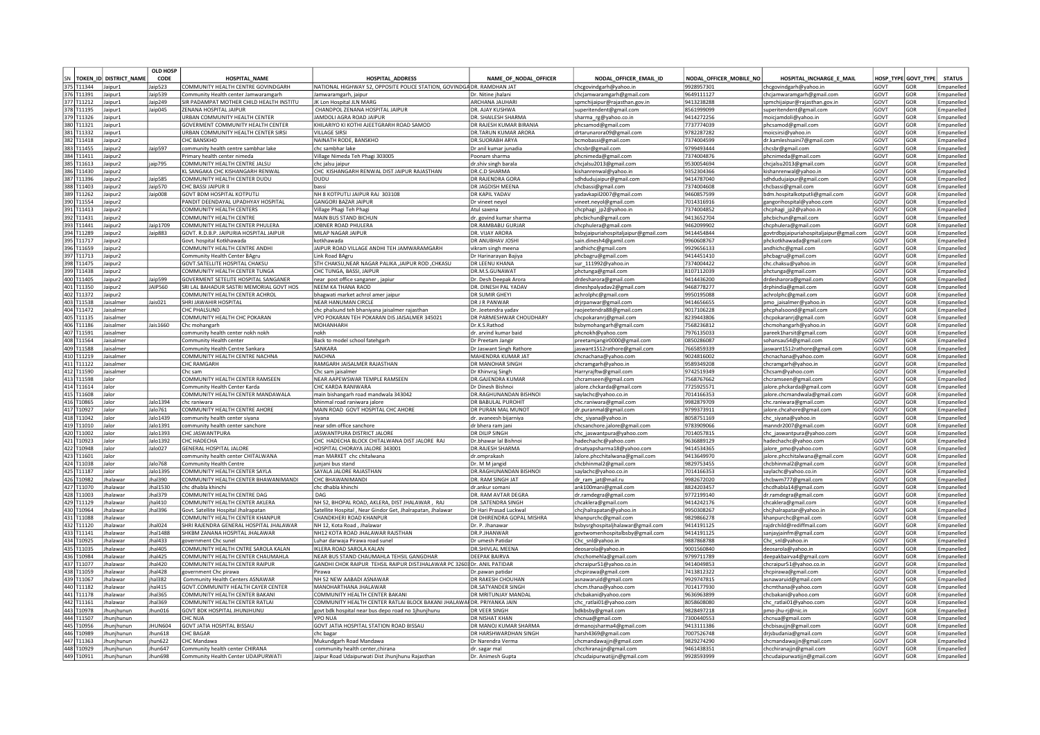|            |                               | <b>OLD HOSP</b> |                                                     |                                                                         |                                    |                                      |                         |                                          |      |                     |                   |
|------------|-------------------------------|-----------------|-----------------------------------------------------|-------------------------------------------------------------------------|------------------------------------|--------------------------------------|-------------------------|------------------------------------------|------|---------------------|-------------------|
|            | SN   TOKEN_ID   DISTRICT_NAME | CODE            | <b>HOSPITAL NAME</b>                                | <b>HOSPITAL ADDRESS</b>                                                 | NAME_OF_NODAL_OFFICER              | NODAL OFFICER EMAIL ID               | NODAL OFFICER MOBILE NO | HOSPITAL INCHARGE E MAIL                 |      | HOSP TYPE GOVT TYPE | <b>STATUS</b>     |
| 375 T11344 | lainur <sup>1</sup>           | $a$ in 523      | COMMUNITY HEALTH CENTRE GOVINDGARH                  | NATIONAL HIGHWAY 52, OPPOSITE POLICE STATION, GOVINDGA DR. RAMDHAN JAT  |                                    | chcgovindgarh@yahoo.in               | 9928957301              | chcgovindgarh@vahoo.i                    | GOVT | GOR                 | Empanelled        |
| 376 T11391 | laipur:                       | Jaip539         | Community Health center Jamwaramgarh                | Jamwaramgarh, jaipur                                                    | Dr. Nitine jhalani                 | chciamwaramgarh@gmail.com            | 9649111127              | chciamwaramgarh@gmail.com                | GOVT | GOR                 | Empanelled        |
| 377 T11212 | Jaipur:                       | Jaip249         | SIR PADAMPAT MOTHER CHILD HEALTH INSTITU            | JK Lon Hospital JLN MARG                                                | ARCHANA JAUHAR                     | spmchijaipur@rajasthan.gov.in        | 9413238288              | spmchijaipur@rajasthan.gov.in            | GOVT | GOR                 | Empanelled        |
| 378 T11195 | Jaipur1                       | Jaip045         | ZENANA HOSPITAL JAIPUR                              | CHANDPOL ZENANA HOSPITAL JAIPUR                                         | DR. AJAY KUSHWA                    | superitendent@gmail.com              | 8561999099              | superitendent@gmail.com                  | GOVT | GOR                 | Empanelled        |
| 379 T11326 | Jaipur1                       |                 | URBAN COMMUNITY HEALTH CENTER                       | JAMDOLI AGRA ROAD JAIPUR                                                | DR. SHAILESH SHARMA                | sharma_rg@yahoo.co.in                | 9414272256              | moicjamdoli@yahoo.in                     | GOVT | GOR                 | Empanelled        |
| 380 T11321 | Jaipur1                       |                 | GOVERMENT COMMUNITY HEALTH CENTER                   | KHILARIYO KI KOTHI AJEETGRARH ROAD SAMOD                                | DR RAJESH KUMAR BIRANIA            | phcsamod@gmail.com                   | 7737774039              | phcsamod@gmail.com                       | GOVT | GOR                 | Empanelled        |
| 381 T11332 | laipur1                       |                 | URBAN COMMUNITY HEALTH CENTER SIRS                  | <b>VILLAGE SIRSI</b>                                                    | DR.TARUN KUMAR ARORA               | drtarunarora09@gmail.com             | 9782287282              | moicsirsi@yahoo.in                       | GOVT | GOR                 | Empanelled        |
| 382 T11418 | lainur2                       |                 | CHC BANSKHO                                         | NAINATH RODE, BANSKHO                                                   | DR SUORABH ARYA                    | bcmobassi@gmail.com                  | 7374004599              | dr.kamleshsaini7@gmail.com               | GOVT | GOR                 | Empaneller        |
| 383 T11455 | laipur <sub>2</sub>           | Jaip597         | community health centre sambhar lake                | chc sambhar lake                                                        | Dr anil kumar junadia              | chcsbr@gmail.com                     | 9799493444              | chcsbr@gmail.com                         | GOVT | GOR                 | Empanelled        |
| 384 T11411 | laipur <sub>2</sub>           |                 | Primary health center nimeda                        | Village Nimeda Teh Phagi 303005                                         | Poonam sharma                      | phcnimeda@gmail.com                  | 7374004876              | ohcnimeda@gmail.com                      | GOVT | GOR                 | Empanelled        |
| 385 T11613 | aipur2                        | jaip795         | COMMUNITY HEALTH CENTRE JALSL                       | chc jalsu jaipur                                                        | dr.shiv singh barala               | chcjalsu2013@gmail.com               | 9530054694              | hcjalsu2013@gmail.com                    | GOVT | GOR                 | Empanelled        |
| 386 T11430 | laipur2                       |                 | <b>KL SANGAKA CHC KISHANGARH RENWAL</b>             | CHC KISHANGARH RENWAL DIST JAIPUR RAJASTHAN                             | DR.C.D SHARMA                      | kishanrenwal@yahoo.in                | 9352304366              | kishanrenwal@yahoo.in                    | GOVT | GOR                 | Empanelled        |
| 387 T11396 | Jaipur <sub>2</sub>           | Jaip585         | COMMUNITY HEALTH CENTER DUDU                        | DUDU                                                                    | DR RAJENDRA GORA                   | sdhdudujaipur@gmail.com              | 9414787040              | sdhdudujaipur@gmail.com                  | GOVT | GOR                 | Empanelled        |
| 388 T11403 | laipur2                       | Jaip570         | CHC BASSI JAIPUR I                                  | hassi                                                                   | DR JAGDISH MFFNA                   | chcbassi@gmail.com                   | 7374004608              | chcbassi@gmail.com                       | GOVT | GOR                 | Empanelled        |
| 389 T11262 | aipur2                        | Jaip008         | GOVT BDM HOSPITAL KOTPUTLI                          | NH 8 KOTPUTLI JAIPUR RAJ 303108                                         | DR KAPIL YADAV                     | yadavkapil2007@gmail.com             | 9460857599              | bdm.hospitalkotputli@gmail.com           | GOVT | GOR                 | Empanelled        |
| 390 T11554 | aipur2                        |                 | PANDIT DEENDAYAL UPADHYAY HOSPITAL                  | <b>GANGORI BAZAR JAIPUR</b>                                             | Dr vineet nevol                    | vineet.neyol@gmail.com               | 7014316916              | gangorihospital@yahoo.com                | GOVT | GOR                 | Empanelled        |
| 391 T11413 | aipur2                        |                 | COMMUNITY HEALTH CENTERS                            | Village Phagi Teh Phagi                                                 | Atul saxena                        | chcohagi ip2@vahoo.in                | 7374004852              | chcphagi jp2@yahoo.ii                    | GOVT | GOR                 | Empanelled        |
| 392 T11431 | aipur2                        |                 | COMMUNITY HEALTH CENTRE                             | MAIN BUS STAND BICHUN                                                   | dr. govind kumar sharma            | phcbichun@gmail.com                  | 9413652704              | phcbichun@gmail.com                      | GOVT | GOR                 | Empanelled        |
| 393 T11441 | Jaipur2                       | Jaip1709        | COMMUNITY HEALTH CENTER PHULERA                     | JOBNER ROAD PHULERA                                                     | DR.RAMBABU GURJAR                  | chcphulera@gmail.com                 | 9462099902              | chcphulera@gmail.com                     | GOVT | GOR                 | Empanelled        |
| 394 T11289 | laipur2                       | Jaip883         | GOVT. R.D.B.P. JAIPURIA HOSPITAL JAIPUR             | MILAP NAGAR JAIPUR                                                      | DR. VIJAY ARORA                    | bsbyjaipuriahospitaljaipur@gmail.com | 9414454844              | govtrdbpjaipuriahospitaljaipur@gmail.com | GOVT | GOR                 | Empanelled        |
| 395 T11717 | laipur2                       |                 | Govt. hospital Kotkhawada                           | kotkhawada                                                              | DR ANUBHAV JOSH                    | sain.dinesh4@gamil.com               | 9960608767              | phckotkhawada@gmail.com                  | GOVT | GOR                 | Empanelled        |
| 396 T11659 | laipur2                       |                 | COMMUNITY HEALTH CENTRE ANDHI                       | JAIPUR ROAD VILLAGE ANDHI TEH JAMWARAMGARH                              | vikram singh meena                 | andhichc@gmail.com                   | 9929656133              | andhichc@gmail.com                       | GOVT | GOR                 | Empanelled        |
| 397 T11713 | Jaipur <sub>2</sub>           |                 | Community Health Center BAgru                       | Link Road BAgru                                                         | Dr Harinarayan Bajiya              |                                      | 9414451410              |                                          | GOVT | GOR                 | Empanelled        |
|            |                               |                 | GOVT SATELLITE HOSPITAL CHAKSU                      | STH CHAKSU.NEAR NAGAR PALIKA JAIPUR ROD .CHKASU                         |                                    | phcbagru@gmail.com                   |                         | phcbagru@gmail.com                       | GOVT | GOR                 |                   |
| 398 T11475 | aipur2                        |                 |                                                     |                                                                         | DR I FFNU KHANA<br>R.M.S.GUNAWAT   | sur_111992@yahoo.in                  | 7374004422              | :hc.chaksu@yahoo.in                      |      |                     | Empanelled        |
| 399 T11438 | aipur2                        |                 | OMMUNITY HEALTH CENTER TUNGA                        | CHC TUNGA, BASSI, JAIPUR                                                |                                    | phctunga@gmail.com                   | 3107112039              | ohctunga@gmail.com                       | GOVT | GOR                 | Empanelled        |
| 400 T11405 | aipur <sub>2</sub>            | aip599          | <b>GOVERMENT SETELITE HOSPITAL SANGANER</b>         | near post office sanganer, japiur                                       | Dr. Desh Deepak Arora              | drdesharora@gmail.com                | 9414436200              | rdesharora@gmail.com                     | GOVT | GOR                 | Empanelled        |
| 401 T11350 | aipur <sub>2</sub>            | <b>JAIP560</b>  | SRI LAL BAHADUR SASTRI MEMORIAL GOVT HOS            | NEEM KA THANA RAOD                                                      | DR. DINESH PAL YADAV               | dineshpalyadav2@gmail.com            | 9468778277              | drphindia@gmail.com                      | GOVT | GOR                 | Empanelled        |
| 402 T11372 | aipur <sub>2</sub>            |                 | COMMUNITY HEALTH CENTER ACHROL                      | bhagwati market achrol amer jaipur                                      | DR SUMIR GHEY                      | achrolphc@gmail.com                  | 9950195088              | achrolphc@gmail.com                      | GOVT | GOR                 | Empanelled        |
| 403 T11538 | aisalmer                      | Jais021         | <b>SHRI JAWAHIR HOSPITAL</b>                        | <b>NEAR HANUMAN CIRCLE</b>                                              | DR J R PANWAR                      | drjrpanwar@gmail.com                 | 9414656655              | pmo jaisalmer@yahoo.ir                   | GOVT | GOR                 | Empanelled        |
| 404 T11472 | laisalmer                     |                 | CHC PHAI SUND                                       | chc phalsund teh bhaniyana jaisalmer rajasthan                          | Dr. Jeetendra vadav                | raojeetendra88@gmail.com             | 9017106228              | phcphalsoond@gmail.com                   | GOVT | GOR                 | Empanelled        |
| 405 T11135 | laisalmer                     |                 | COMMUNITY HEALTH CHC POKARAN                        | VPO POKARAN TEH POKARAN DIS JAISALMER 345021                            | DR PARMESHWAR CHOUDHARY            | chcpokaranri@gmail.com               | 8239443806              | chcpokaranrj@gmail.com                   | GOVT | GOR                 | Empanelled        |
| 406 T11186 | aisalmer                      | Jais 1660       | Chc mohangarh                                       | <b>MOHANHARH</b>                                                        | Dr.K.S.Rathoo                      | bsbymohangarh@gmail.com              | 7568236812              | chcmohangarh@yahoo.ir                    | GOVT | GOR                 | Empanelled        |
| 407 T11591 | Jaisalmer                     |                 | community health center nokh nokh                   | nokh                                                                    | dr. arvind kumar baid              | phcnokh@yahoo.com                    | 7976135033              | pareek1harsit@gmail.com                  | GOVT | GOR                 | Empanelled        |
| 408 T11564 | Jaisalmer                     |                 | Community Health center                             | Back to model school fatehgarh                                          | Dr Preetam Jangir                  | preetamjangir0000@gmail.com          | 0850286087              | sohansau54@gmail.com                     | GOVT | GOR                 | Empanelled        |
| 409 T11588 | Jaisalmer                     |                 | Community Health Centre Sankara                     | SANKARA                                                                 | Dr Jaswant Singh Rathore           | jaswant1512rathore@gmail.com         | 7665859339              | jaswant1512rathore@gmail.com             | GOVT | GOR                 | Empanelled        |
| 410 T11219 | Jaisalmer                     |                 | COMMUNITY HEALTH CENTRE NACHNA                      | <b>NACHNA</b>                                                           | MAHENDRA KUMAR JAT                 | chcnachana@yahoo.com                 | 9024816002              | chcnachana@yahoo.com                     | GOVT | GOR                 | Empanelled        |
| 411 T11122 | laisalmer                     |                 | CHC RAMGARH                                         | RAMGARH JAISAI MFR RAJASTHAN                                            | DR MANOHAR SINGH                   | chcramgarh@yahoo.in                  | 9589349208              | chcramgarh@yahoo.in                      | GOVT | GOR                 | Empanelled        |
| 412 T11590 | Jaisalmer                     |                 | Chc sam                                             | Chc sam jaisalmer                                                       | Dr Khinvraj Singh                  | Harryrajftw@gmail.com                | 9742519349              | Chcsam@yahoo.com                         | GOVT | GOR                 | Empaneller        |
| 413 T11598 | alor                          |                 | COMMUNITY HEALTH CENTER RAMSEEN                     | NEAR AAPEWSWAR TEMPLE RAMSEEN                                           | DR.GAJENDRA KUMAR                  | chcramseen@gmail.com                 | 7568767662              | hcramseen@gmail.com                      | GOVT | GOR                 | Empanelled        |
| 414 T11614 | Jalor                         |                 | Community Health Center Karda                       | CHC KARDA RANIWARA                                                      | Or Dinesh Bishnoi                  | alore.chckarda@gmail.com             | 7725925571              | alore.phckarda@gmail.com                 | GOVT | GOR                 | Empanelled        |
| 415 T11608 | Jalor                         |                 | COMMUNITY HEALTH CENTER MANDAWALA                   | main bishangarh road mandwala 343042                                    | <b>DR.RAGHUNANDAN BISHNOI</b>      | saylachc@yahoo.co.in                 | 7014166353              | alore.chcmandwala@gmail.com              | GOVT | GOR                 | <b>Empanelled</b> |
| 416 T10865 | Jalor                         | Jalo1394        | chc raniwara                                        | bhinmal road raniwara ialore                                            | DR BABULAL PUROHIT                 | chc.raniwara@gmail.com               | 9982879709              | :hc.raniwara@gmail.com                   | GOVT | GOR                 | Empaneller        |
| 417 T10927 | Jalor                         | Jalo761         | COMMUNITY HEALTH CENTRE AHORE                       | MAIN ROAD GOVT HOSPITAL CHC AHORE                                       | DR PURAN MAL MUNOT                 |                                      | 9799373911              |                                          | GOVT | GOR                 | Empanelled        |
| 418 T11042 | Jalor                         | Jalo1439        |                                                     | sivana                                                                  | dr. avaneesh bijarniya             | dr.puranmal@gmail.com                | 8058751169              | alore.chcahore@gmail.com                 | GOVT | GOR                 | Empanelled        |
| 419 T11010 | Jalor                         | Jalo1391        | community health center siyana                      | near sdm office sanchore                                                |                                    | chc_siyana@yahoo.in                  | 9783909066              | chc_siyana@yahoo.in                      | GOVT | GOR                 | Empaneller        |
| 420 T11002 | lalor                         |                 | community health center sanchore<br>CHC JASWANTPURA | <b>IASWANTPURA DISTRICT IALORE</b>                                      | dr bhera ram jan<br>DR DILIP SINGE | chcsanchore.jalore@gmail.com         |                         | manndr2007@gmail.com                     | GOVT | GOR                 |                   |
|            |                               | Jalo1393        |                                                     |                                                                         |                                    | chc jaswantpura@yahoo.com            | 7014057815              | chc_jaswantpura@yahoo.com                |      |                     | Empanelled        |
| 421 T10923 | Jalor                         | Jalo1392        | CHC HADECHA                                         | CHC HADECHA BLOCK CHITALWANA DIST JALORE RAJ                            | Dr.bhawar lal Bishnoi              | hadechachc@yahoo.com                 | 9636889129              | hadechachc@vahoo.com                     | GOVT | GOR                 | Empanelled        |
| 422 T10948 | lalor                         | Jalo027         | GENERAL HOSPITAL JALORE                             | HOSPITAL CHORAYA JALORE 343001                                          | DR.RAJESH SHARMA                   | drsatvapsharma18@vahoo.com           | 9414534365              | ialore pmo@vahoo.com                     | GOVT | GOR                 | Empanelled        |
| 423 T11601 | Jalor                         |                 | community health center CHITALWANA                  | man MARKET chc chitalwana                                               | dr.omprakash                       | Jalore.phcchitalwana@gmail.com       | 9413649970              | jalore.phcchitalwana@gmail.com           | GOVT | GOR                 | Empanelled        |
| 424 T11038 | Jalor                         | Jalo768         | <b>Community Health Centre</b>                      | junjani bus stand                                                       | Dr. M M jangid                     | chcbhinmal2@gmail.com                | 9829753455              | chcbhinmal2@gmail.com                    | GOVT | GOR                 | Empanelled        |
| 425 T11187 | Jalor                         | Jalo1395        | COMMUNITY HEALTH CENTER SAYLA                       | SAYALA JALORE RAJASTHAN                                                 | DR.RAGHUNANDAN BISHNOI             | saylachc@yahoo.co.in                 | 7014166353              | saylachc@yahoo.co.in                     | GOVT | GOR                 | Empanelled        |
| 426 T10982 | <b>Ihalawar</b>               | Jhal390         | COMMUNITY HEALTH CENTER BHAWANIMANDI                | CHC BHAWANIMAND                                                         | DR. RAM SINGH JAT                  | dr_ram_jat@mail.ru                   | 9982672020              | chcbwm777@gmail.com                      | GOVT | GOR                 | Empanelled        |
| 427 T11070 | lhalawar                      | lhal1530        | chc dhabla khinchi                                  | chc dhabla khinchi                                                      | dr.ankur somani                    | ank100mani@gmail.com                 | 8824203457              | hcdhabla14@gmail.com                     | GOVT | GOR                 | Empanelled        |
| 428 T11003 | halawai                       | lhal379         | COMMUNITY HEALTH CENTRE DAG                         | DAG                                                                     | <b>DR. RAM AVTAR DEGRA</b>         | dr.ramdegra@gmail.com                | 9772199140              | dr.ramdegra@gmail.com                    | GOVT | GOR                 | Emnanelled        |
| 429 T11129 | halawai                       | hal410          | COMMUNITY HEALTH CENTER AKLERA                      | NH 52, BHOPAL ROAD, AKLERA, DIST JHALAWAR, RAJ                          | <b>DR.SATENDRA SINGH</b>           | chcaklera@gmail.com                  | 9414242176              | hcaklera@gmail.com                       | GOVT | GOR                 | Empanelled        |
| 430 T10964 | halawar                       | hal396          | Govt. Satellite Hospital Jhalrapatan                | Satellite Hospital, Near Gindor Get, Jhalrapatan, Jhalawar              | Dr Hari Prasad Luckwal             | chcjhalrapatan@yahoo.in              | 9950308267              | hcjhalrapatan@yahoo.in                   | GOVT | GOR                 | Empanelled        |
| 431 T11088 | halawa                        |                 | COMMUNITY HEALTH CENTER KHANPUF                     | CHANDKHERI ROAD KHANPUF                                                 | DR DHIRENDRA GOPAL MISHRA          | khanpurchc@gmail.com                 | 9829866278              | chanpurchc@gmail.com                     | GOVT | GOR                 | Empanelled        |
| 432 T11120 | halawa                        | Jhal024         | SHRI RAJENDRA GENERAL HOSPITAL JHALAWAR             | NH 12. Kota Road, Jhalawa                                               | Dr. P. Jhanawa                     | bsbysrghospitaljhalawar@gmail.com    | 9414191125              | raidrchild@rediffmail.com                | GOVT | GOR                 | Empanelled        |
| 433 T11141 | <b>Ihalawar</b>               | Jhal1488        | SHKBM ZANANA HOSPITAL IHAI AWAR                     | NH12 KOTA ROAD JHALAWAR RAJSTHAN                                        | <b>DR P IHANWAR</b>                | govtwomenhospitalbsby@gmail.com      | 9414191125              | sanjayjainfm@gmail.con                   | GOVT | GOR                 | Empanelled        |
| 434 T10925 | <b>Ihalawar</b>               | <b>Ihal433</b>  | government Chc sune                                 | Luhar darwaja Pirawa road sunel                                         | Dr umesh Patida                    | Chc_snl@yahoo.in                     | 9887868788              | Chc_snl@yahoo.in                         | GOVT | GOR                 | Empanelled        |
| 435 T11035 | halawar                       | Jhal405         | COMMUNITY HEALTH CNTRE SAROLA KALAN                 | IKLERA ROAD SAROLA KALAN                                                | <b>DR.SHIVLAL MEENA</b>            | deosarola@yahoo.ir                   | 9001560840              | deosarola@yahoo.in                       | GOVT | GOR                 | Empanelled        |
| 436 T10984 | halawar                       | Jhal425         | COMMUNITY HEALTH CENTER CHAUMAHLA                   | NEAR BUS STAND CHAUMAHLA TEHSIL GANGDHAR                                | <b>DEFPAK BAIRVA</b>               | chcchomehla@gmail.com                | 9799711789              | deepakbairva4@gmail.com                  | GOVT | GOR                 | Empanelled        |
| 437 T11077 | halawar                       | Jhal420         | COMMUNITY HEALTH CENTER RAIPUR                      | GANDHI CHOK RAIPUR TEHSIL RAIPUR DISTJHALAWAR PC 32603 Dr. ANIL PATIDAR |                                    | chcraipur51@yahoo.co.in              | 9414049853              | chcraipur51@yahoo.co.in                  | GOVT | GOR                 | Empanelled        |
| 438 T11059 | Jhalawar                      | Jhal428         | government Chc pirawa                               | Pirawa                                                                  | Dr.pawan patidar                   | chcpirawa@gmail.com                  | 7413812322              | chcpirawa@gmail.com                      | GOVT | GOR                 | Empanelled        |
| 439 T11067 | Jhalawar                      | jhal382         | <b>Community Health Centers ASNAWAR</b>             | NH 52 NEW AABADI ASNAWAR                                                | DR RAKESH CHOUHAN                  | asnawaruid@gmail.com                 | 9929747815              | asnawaruid@gmail.com                     | GOVT | GOR                 | Empanelled        |
| 440 T11182 | Jhalawar                      | jhal415         | GOVT.COMMUNITY HEALTH CAYER CENTER                  | MANOHARTHANA JHALAWAR                                                   | DR.SATYANDER SINGH                 | chcm.thana@yahoo.com                 | 7014177930              | chcmthana@yahoo.com                      | GOVT | GOR                 | Empanelled        |
| 441 T11178 | Jhalawar                      | Jhal365         | COMMUNITY HEALTH CENTER BAKANI                      | COMMUNITY HEALTH CENTER BAKANI                                          | DR MRITUNJAY MANDAL                | chcbakani@yahoo.com                  | 9636963899              | chcbakani@yahoo.com                      | GOVT | GOR                 | Empanelled        |
| 442 T11161 | Ihalawar                      | lhal369         | COMMUNITY HEALTH CENTER RATLAI                      | COMMUNITY HEALTH CENTER RATLAI BLOCK BAKANI JHALAWAI DR. PRIYANKA JAIN  |                                    | chc_ratlai01@yahoo.com               | 8058608080              | chc ratlai01@yahoo.com                   | GOVT | GOR                 | Empanelled        |
| 443 T10978 | Ihunihunun                    | Ihun016         | <b>GOVT BDK HOSPITAL IHUNIHUNU</b>                  | govt bdk hospital near bus depo road no 1jhunjhunu                      | DR VEFR SINGH                      | bdkbsby@gmail.com                    | 9828497218              | pmo-jhu-rj@nic.in                        | GOVT | GOR                 | Empanelled        |
| 444 T11507 | hunihunun                     |                 | <b>HC NUA</b>                                       | VPO NUA                                                                 | <b>R NISHAT KHAN</b>               | chcnua@gmail.com                     | 7300440553              | hcnua@gmail.com                          | GOVT | GOR                 | Empanelled        |
| 445 T10956 | hunihunun                     | <b>HUN604</b>   | <b>GOVT JATIA HOSPITAL BISSAU</b>                   | GOVT JATIA HOSPITAL STATION ROAD BISSAU                                 | OR MANOJ KUMAR SHARMA              |                                      | 9413111386              | hcbisauiin@gmail.com                     | GOVT | GOR                 | Empanelled        |
|            |                               | hun618          | <b>CHC BAGAR</b>                                    |                                                                         | OR HARSHWARDHAN SINGH              | drmanojsharma4@gmail.com             |                         |                                          |      |                     |                   |
| 446 T10989 | hunjhunun                     |                 |                                                     | chc bagar                                                               |                                    | harsh4369@gmail.com                  | 7007526748              | drjsbudania@gmail.com                    | GOVT | GOR                 | <b>Empanelled</b> |
| 447 T11363 | hunjhunun                     | jhun622         | <b>CHC Mandawa</b>                                  | Mukundgarh Road Mandawa                                                 | Dr Narendra Verma                  | chcmandawajjn@gmail.com              | 9829274290              | chcmandawajjn@gmail.com                  | GOVT | GOR                 | Empanelled        |
| 448 T10929 | Jhunjhunun                    | Jhun647         | Community health center CHIRANA                     | community health center, chirana                                        | dr. sagar mal                      | chcchiranajjn@gmail.com              | 9461438351              | chcchiranajjn@gmail.com                  | GOVT | GOR                 | Empanelled        |
| 449 T10911 | Ihunihunun                    | Ihun698         | Community Health Center UDAIPURWATI                 | Jaipur Road Udaipurwati Dist Jhunihunu Raiasthan                        | Dr. Animesh Gupta                  | chcudaipurwatijjn@gmail.com          | 9928593999              | chcudaipurwatijjn@gmail.com              | GOVT | GOR                 | Empanelled        |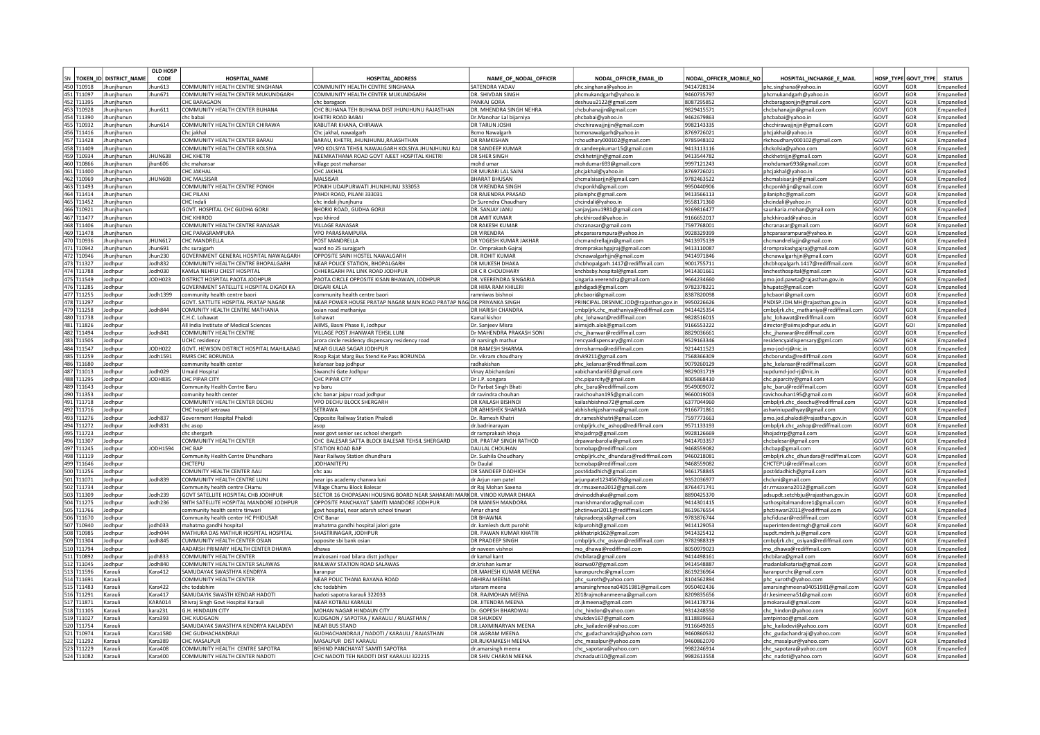|            |                           | <b>OLD HOSP</b>                                                                                                                                                                                                                                       |                                          |                                                                           |                           |                                             |                         |                                       |             |                     |               |
|------------|---------------------------|-------------------------------------------------------------------------------------------------------------------------------------------------------------------------------------------------------------------------------------------------------|------------------------------------------|---------------------------------------------------------------------------|---------------------------|---------------------------------------------|-------------------------|---------------------------------------|-------------|---------------------|---------------|
|            | SN TOKEN ID DISTRICT NAME | CODE                                                                                                                                                                                                                                                  | <b>HOSPITAL NAME</b>                     | <b>HOSPITAL ADDRESS</b>                                                   | NAME OF NODAL OFFICER     | NODAL OFFICER EMAIL ID                      | NODAL OFFICER MOBILE NO | HOSPITAL INCHARGE E MAIL              |             | HOSP TYPE GOVT TYPE | <b>STATUS</b> |
| 450 T10918 | Jhunihunur                | hun613                                                                                                                                                                                                                                                | COMMUNITY HEALTH CENTRE SINGHANA         | COMMUNITY HEALTH CENTRE SINGHANA                                          | SATENDRA YADAV            | phc.singhana@vahoo.ir                       | 9414728134              | lphc.singhana@vahoo.i                 | GOVT        | GOR                 | Empanelled    |
| 451 T11097 | Jhunihunun                | Jhun671                                                                                                                                                                                                                                               | COMMUNITY HEALTH CENTER MUKUNDGARH       | COMMUNITY HEALTH CENTER MUKUNDGARH                                        | DR. SHIVDAN SINGH         | phcmukandgarh@yahoo.in                      | 9460735797              | phcmukandgarh@yahoo.in                | GOVT        | GOR                 | Empanelle     |
| 452 T11395 | Jhunjhunun                |                                                                                                                                                                                                                                                       | <b>CHC BARAGAON</b>                      | chc baragaor                                                              | PANKAJ GORA               | deshuuu2122@gmail.com                       | 8087295852              | chcbaragaonjjn@gmail.com              | GOVT        | GOR                 | Empanelle     |
| 453 T10928 | Jhunjhunun                | hun611                                                                                                                                                                                                                                                | COMMUNITY HEALTH CENTER BUHANA           | CHC BUHANA TEH BUHANA DIST JHUNJHUNU RAJASTHAN                            | DR. MHENDRA SINGH NEHRA   |                                             | 9829415571              |                                       | GOVT        | GOR                 | Empanelled    |
| 454 T11390 | Jhunihunun                |                                                                                                                                                                                                                                                       | chc babai                                | KHFTRI ROAD BABA                                                          | Dr.Manohar Lal bijarniya  | chcbuhanajjn@gmail.com<br>phcbabai@yahoo.in | 9462679863              | chcbuhanajjn@gmail.com                | GOVT        | GOR                 | Empanelle     |
| 455 T10932 | Ihunihunun                | hun614                                                                                                                                                                                                                                                | COMMUNITY HEALTH CENTER CHIRAWA          | KABUTAR KHANA, CHIRAWA                                                    | <b>DR TARUN IOSH</b>      |                                             | 9982143335              | phcbabai@yahoo.in                     | GOVT        | GOR                 |               |
| 456 T11416 |                           |                                                                                                                                                                                                                                                       |                                          |                                                                           |                           | chcchirawajjnjjn@gmail.com                  |                         | chcchirawajjnjjn@gmail.com            | GOVT        |                     | Empanelle     |
|            | Jhunihunun                |                                                                                                                                                                                                                                                       | Chc iakhal                               | Chc jakhal, nawalgarh                                                     | Bcmo Nawalgarl            | bcmonawalgarh@yahoo.in                      | 3769726021              | phcjakhal@yahoo.in                    |             | GOR                 | Empanelle     |
| 457 T11428 | Ihunihunun                |                                                                                                                                                                                                                                                       | COMMUNITY HEALTH CENTER BARAU            | BARAU, KHETRI, JHUNJHUNU, RAJASHTHAN                                      | <b>DR RAMKISHAN</b>       | choudhary000102@gmail.com                   | 9785948102              | rkchoudhary000102@gmail.com           | GOVT        | gor                 | Empanelle     |
| 458 T11409 | Jhunjhunun                |                                                                                                                                                                                                                                                       | COMMUNITY HEALTH CENTER KOLSIYA          | VPO KOLSIYA TEHSIL NAWALGARH KOLSIYA JHUNJHUNU RAJ                        | DR SANDEEP KUMAR          | dr.sandeepkumar15@gmail.com                 | 9413113116              | chckolsia@yahoo.com                   | GOVT        | GOR                 | Empanelled    |
| 459 T10934 | Jhunjhunun                | <b>HUN638</b>                                                                                                                                                                                                                                         | <b>CHC KHETRI</b>                        | NEEMKATHANA ROAD GOVT AJEET HOSPITAL KHETRI                               | DR SHER SINGH             | chckhetrijjn@gmail.com                      | 9413544782              | chckhetrijjn@gmail.com                | GOVT        | GOR                 | Empanelled    |
| 460 T10866 | Jhunjhunun                | hun606                                                                                                                                                                                                                                                | chc mahansar                             | village post mahansar                                                     | mohd umai                 | mohdumar693@gmail.com                       | 9997121243              | mohdumar693@gmail.com                 | GOVT        | GOR                 | Empanelled    |
| 461 T11400 | Ihunjhunur                |                                                                                                                                                                                                                                                       | <b>CHC JAKHAL</b>                        | CHC JAKHA                                                                 | DR MURARI LAL SAIN        | phcjakhal@yahoo.ir                          | 8769726021              | phcjakhal@yahoo.ii                    | GOVT        | GOR                 | Empanelle     |
| 462 T10969 | Jhunihunun                | <b>HUN608</b>                                                                                                                                                                                                                                         | CHC MALSISAR                             | MAI SISAR                                                                 | <b>BHARAT BHUSAN</b>      | chcmalsisarjjn@gmail.com                    | 9782463522              | chcmalsisarjjn@gmail.com              | GOVT        | GOR                 | Empanelle     |
| 463 T11493 | Jhunihunun                |                                                                                                                                                                                                                                                       | COMMUNITY HEALTH CENTRE PONKH            | PONKH UDAIPURWATI IHUNIHUNU 333053                                        | DR VIRENDRA SINGH         | chcponkh@gmail.com                          | 9950440906              | chcponkhjjn@gmail.com                 | GOVT        | GOR                 | Empanelle     |
| 464 T11414 | Jhunihunur                |                                                                                                                                                                                                                                                       | CHC PILAN                                | PAHDI ROAD, PILANI 333031                                                 | DR RAJENDRA PRASAD        | pilaniphc@gmail.com                         | 9413566113              | pilaniphc@gmail.com                   | GOVT        | GOR                 | Empanelle     |
| 465 T11452 | Jhunjhunur                |                                                                                                                                                                                                                                                       | CHC Indali                               | chc indali jhunjhunu                                                      | Dr Surendra Chaudhary     | chcindali@yahoo.in                          | 9558171360              | chcindali@yahoo.in                    | GOVT        | GOR                 | Empanelled    |
| 466 T10921 | Jhunjhunun                |                                                                                                                                                                                                                                                       | GOVT. HOSPITAL CHC GUDHA GORJI           | BHORKI ROAD, GUDHA GORJI                                                  | DR. SANJAY JANU           | sanjayjanu1981@gmail.com                    | 9269816477              | saunkaria.mohan@gmail.com             | <b>GOVT</b> | GOR                 | Empanelled    |
| 467 T11477 | Jhunihunun                |                                                                                                                                                                                                                                                       | <b>CHC KHIROD</b>                        | vpo khirod                                                                | <b>DR AMIT KUMAR</b>      | phckhiroad@yahoo.in                         | 9166652017              | phckhiroad@yahoo.in                   | GOVT        | GOR                 | Empanelle     |
| 468 T11406 | Jhunjhunun                |                                                                                                                                                                                                                                                       | COMMUNITY HEALTH CENTRE RANASAR          | <b>VILLAGE RANASAR</b>                                                    | DR RAKESH KUMAR           | chcranasar@gmail.com                        | 7597768001              | chcranasar@gmail.com                  | GOVT        | GOR                 | Empanelled    |
| 469 T11478 | Jhunjhunun                |                                                                                                                                                                                                                                                       | <b>CHC PARASRAMPURA</b>                  | VPO PARASRAMPURA                                                          | <b>DR VIRENDRA</b>        | phcparasrampura@yahoo.ir                    | 9928329399              | phcparasrampura@yahoo.in              | GOVT        | GOR                 | Empaneller    |
| 470 T10936 | Jhunjhunun                | <b>HUN617</b>                                                                                                                                                                                                                                         | <b>CHC MANDRELLA</b>                     | POST MANDRELLA                                                            | DR YOGESH KUMAR JAKHAR    |                                             | 9413975139              |                                       | GOVT        | GOR                 | Empanelle     |
| 471 T10942 | Jhunihunun                | hun691                                                                                                                                                                                                                                                | chc surajgarh                            | ward no 25 surajgarh                                                      | Dr. Omprakash Gajra       | chcmandrellajjn@gmail.com                   | 9413110087              | chcmandrellajjn@gmail.com             | GOVT        | GOR                 | Empaneller    |
| 472 T10946 |                           | hun230                                                                                                                                                                                                                                                | GOVERNMENT GENERAL HOSPITAL NAWALGARH    | OPPOSITE SAINI HOSTEL NAWALGARH                                           | DR. ROHIT KUMAR           | dromprakashgajraj@gmail.com                 | 9414971846              | dromprakashgajraj@gmail.com           | GOVT        | GOR                 | Empanelle     |
|            | Ihunihunun                |                                                                                                                                                                                                                                                       |                                          |                                                                           |                           | chcnawalgarhjjn@gmail.com                   |                         | chcnawalgarhjjn@gmail.com             |             |                     |               |
| 473 T11327 | lodhour                   | odh832                                                                                                                                                                                                                                                | COMMUNITY HEALTH CENTRE BHOPALGARH       | NEAR POLICE STATION, BHOPALGARH                                           | DR MUKESH DHAKA           | hcbhopalgarh.1417@rediffmail.com            | 001755711               | chcbhopalgarh.1417@rediffmail.com     | GOVT        | <b>GOR</b>          | Empanelle     |
| 474 T11788 | lodhour                   | lodh030                                                                                                                                                                                                                                               | KAMLA NEHRU CHEST HOSPITAL               | CHHERGARH PAL LINK ROAD JODHPUF                                           | DR C R CHOUDHARY          | knchbsby.hospital@gmail.com                 | 9414301661              | knchesthospital@gmail.com             | GOVT        | gor                 | Empanelle     |
| 475 T11549 | Jodhpu                    | IODH023                                                                                                                                                                                                                                               | DISTRICT HOSPITAL PAOTA JODHPUR          | PAOTA CIRCLE OPPOSITE KISAN BHAWAN, JODHPUR                               | DR. VEERENDRA SINGARIA    | singaria.veerendra@gmail.com                | 9664234660              | pmo.jod.pawta@rajasthan.gov.in        | GOVT        | GOR                 | Empanelle     |
| 476 T11285 | Jodhpu                    |                                                                                                                                                                                                                                                       | GOVERNMENT SATELLITE HOSPITAL DIGADI KA  | <b>DIGARI KALLA</b>                                                       | DR HIRA RAM KHILER        | gshdigadi@gmail.com                         | 9782378221              | bhupatc@gmail.com                     | GOVT        | GOR                 | Empanelle     |
| 477 T11255 | Jodhpur                   | lodh1399                                                                                                                                                                                                                                              | community health centre baor             | community health centre baor                                              | ramniwas bishno           | phcbaori@gmail.con                          | 8387820098              | phcbaori@gmail.com                    | GOVT        | GOR                 | Empanelle     |
| 478 T11297 | Jodhour                   |                                                                                                                                                                                                                                                       | GOVT. SATTLITE HOSPITAL PRATAP NAGAR     | NEAR POWER HOUSE PRATAP NAGAR MAIN ROAD PRATAP NAG DR PRIYANKA SINGH      |                           | PRINCIPAL.DRSNMC.JOD@rajasthan.gov.in       | 9950226626              | PNDISP.JDH.MH@rajasthan.gov.in        | GOVT        | GOR                 | Empanelle     |
| 479 T11258 | Jodhour                   | Indh844                                                                                                                                                                                                                                               | COMUNITY HEALTH CENTRE MATHANIA          | osian road mathaniva                                                      | DR HARISH CHANDRA         | cmbplirk.chc mathaniva@rediffmail.com       | 9414425354              | cmbpljrk.chc_mathaniya@rediffmail.com | GOVT        | GOR                 | Empanelled    |
| 480 T11738 | Jodhpur                   |                                                                                                                                                                                                                                                       | C.H.C. Lohawa                            | Lohawat                                                                   | Kamal kishoi              | phc lohawat@rediffmail.com                  | 9828516015              | phc lohawat@rediffmail.com            | GOVT        | GOR                 | Empanelled    |
| 481 T11826 | Jodhpur                   |                                                                                                                                                                                                                                                       | All India Institute of Medical Sciences  | AIIMS, Basni Phase II, Jodhpur                                            | Dr. Sanjeev Misra         | aiimsjdh.alok@gmail.com                     | 9166553222              | director@aiimsjodhpur.edu.in          | GOVT        | GOI                 | Empanelled    |
| 482 T11494 | Jodhpur                   | lodh841                                                                                                                                                                                                                                               | COMMUNITY HEALTH CENTRE                  | VILLAGE POST JHANWAR TEHSIL LUNI                                          | Dr MAHENDRA PRAKASH SONI  | chc_jhanwar@rediffmail.com                  | 8829036661              | chc_jhanwar@rediffmail.com            | GOVT        | GOR                 | Empanelle     |
| 483 T11505 | Jodhpur                   |                                                                                                                                                                                                                                                       | UCHC residency                           | arora circle residency dispensary residency road                          | dr narsingh mathu         | rencyaidispensary@gml.com                   | 9529163346              | residencyaidispensary@gml.com         | GOVT        | GOR                 | Empanelled    |
| 484 T11547 | Jodhpur                   | <b>JODH022</b>                                                                                                                                                                                                                                        | GOVT. HEWSON DISTRICT HOSPITAL MAHILABAG | NEAR GULAB SAGAR JODHPUR                                                  | DR RAMESH SHARMA          | drrnsharma@rediffmail.com                   | 9214411523              | pmo-jod-rj@nic.in                     | GOVT        | GOR                 | Empanelled    |
| 485 T11259 | Indhnur                   | Indh1591                                                                                                                                                                                                                                              | RMRS CHC BORUNDA                         | Roop Rajat Marg Bus Stend Ke Pass BORUNDA                                 | Dr. vikram choudhary      | drvk9211@gmail.com                          | 7568366309              | chcborunda@rediffmail.com             | GOVT        | GOR                 | Empanelle     |
| 486 T11680 | lodhour                   |                                                                                                                                                                                                                                                       | community health center                  | kelansar bap jodhpu                                                       | radhakishan               | phc_kelansar@rediffmail.com                 | 9079260129              | phc_kelansar@rediffmail.com           | GOVT        | GOR                 | Emnanelle     |
| 487 T11013 | Jodhour                   | lodh029                                                                                                                                                                                                                                               | Jmaid Hospita                            | Siwanchi Gate Jodhpu                                                      | Vinay Abichandani         | vabichandani63@gmail.com                    | 9829031719              | supdumd-jod-rj@nic.in                 | GOVT        | GOR                 | Empanelle     |
| 488 T11295 | lodhpur                   | <b>ODH835</b>                                                                                                                                                                                                                                         | CHC PIPAR CITY                           | CHC PIPAR CITY                                                            | Dr J.P. songara           | chc.piparcity@gmail.com                     | 8005868410              | chc.piparcity@gmail.com               | GOVT        | GOR                 | Empanelled    |
| 489 T11643 | Jodhpur                   |                                                                                                                                                                                                                                                       | Community Health Centre Baru             | vo baru                                                                   | Dr Parbat Singh Bhati     | phc_baru@rediffmail.com                     | 9549009072              | phc_baru@rediffmail.com               | GOVT        | GOR                 | Empanelled    |
| 490 T11353 |                           |                                                                                                                                                                                                                                                       | comunity health center                   |                                                                           | dr ravindra chouhar       |                                             | 9660019003              |                                       | GOVT        | GOR                 |               |
|            | Jodhpur                   |                                                                                                                                                                                                                                                       |                                          | chc banar jaipur road jodhpur                                             |                           | ravichouhan195@gmail.com                    |                         | ravichouhan195@gmail.com              |             |                     | Empanelled    |
| 491 T11718 | Jodhpur                   |                                                                                                                                                                                                                                                       | COMMUNITY HEALTH CENTER DECHU            | VPO DECHU BLOCK SHERGARH                                                  | DR KAILASH BISHNO         | kailashbishnoi72@gmail.com                  | 6377044960              | cmbpljrk.chc_deechu@rediffmail.com    | GOVT        | GOR                 | Empaneller    |
| 492 T11716 | Jodhpur                   |                                                                                                                                                                                                                                                       | CHC hospitl setrawa                      | SFTRAWA                                                                   | DR ABHISHEK SHARMA        | abhishekjpsharma@gmail.com                  | 9166771861              | ashwiniupadhyay@gmail.con             | GOVT        | GOR                 | Empanelle     |
| 493 T11276 | Jodhpur                   | lodh837                                                                                                                                                                                                                                               | Government Hospital Phalodi              | Opposite Railway Station Phalodi                                          | Dr. Ramesh Khatri         | dr.rameshkhatri@gmail.com                   | 7597773663              | pmo.jod.phalodi@rajasthan.gov.in      | GOVT        | GOR                 | Empanelle     |
| 494 T11272 | Jodhour                   | lodh831                                                                                                                                                                                                                                               | chc ason                                 | ason                                                                      | dr.badrinaravar           | cmbpljrk.chc_ashop@rediffmail.com           | 9571133193              | cmbpljrk.chc_ashop@rediffmail.com     | GOVT        | GOR                 | Empanelle     |
| 495 T11723 | Jodhour                   |                                                                                                                                                                                                                                                       | chc shergarh                             | near govt senior sec school shergarh                                      | dr ramprakash khoia       | khojadrrp@gmail.com                         | 9928126669              | khojadrrp@gmail.com                   | GOVT        | GOR                 | Empanelle     |
| 496 T11307 | Jodhpur                   |                                                                                                                                                                                                                                                       | COMMUNITY HEALTH CENTER                  | CHC BALESAR SATTA BLOCK BALESAR TEHSIL SHERGARD                           | DR. PRATAP SINGH RATHOD   | drpawanbarolia@gmail.com                    | 9414703357              | chcbalesar@gmail.com                  | <b>GOVT</b> | GOR                 | Empanelled    |
| 497 T11245 | Jodhpur                   | JODH1594                                                                                                                                                                                                                                              | CHC BAP                                  | <b>STATION ROAD BAP</b>                                                   | <b>DAULAL CHOUHAN</b>     | bcmobap@rediffmail.com                      | 9468559082              | chcbap@gmail.com                      | GOVT        | GOR                 | Empanelle     |
| 498 T11119 | Jodhpur                   |                                                                                                                                                                                                                                                       | Community Health Centre Dhundhara        | Near Railway Station dhundhara                                            | Dr. Sushila Choudhary     | cmbpljrk.chc_dhundara@rediffmail.com        | 9460218081              | cmbpljrk.chc_dhundara@rediffmail.com  | GOVT        | GOR                 | Empanelled    |
| 499 T11646 | Jodhpur                   |                                                                                                                                                                                                                                                       | CHCTFPU                                  | <b>JODHANITEPU</b>                                                        | Dr Daulal                 | bcmobap@rediffmail.com                      | 9468559082              | CHCTEPU@rediffmail.com                | GOVT        | GOR                 | Empanelle     |
| 500 T11256 | lodhpur                   |                                                                                                                                                                                                                                                       | COMUNITY HEALTH CENTER AAU               | chc aau                                                                   | DR SANDEEP DADHICH        | post4dadhich@gmail.com                      | 9461758845              | post4dadhich@gmail.com                | GOVT        | GOR                 | Empanelle     |
| 501 T11071 | Jodhour                   | egadhol                                                                                                                                                                                                                                               | COMMUNITY HEALTH CENTRE LUNI             | near ips academy chanwa luni                                              | dr Ariun ram patel        | arjunpatel12345678@gmail.com                | 3352036977              | chcluni@gmail.com                     | GOVT        | GOR                 | Empaneller    |
| 502 T11734 | lodhpu                    |                                                                                                                                                                                                                                                       | Community health centre CHamu            | Village Chamu Block Balesar                                               | dr Rai Mohan Saxena       | dr.rmsaxena2012@gmail.com                   | 3764471741              | dr.rmsaxena2012@gmail.com             | GOVT        | GOR                 | Empaneller    |
| 503 T11309 | odhpur                    | lodh239                                                                                                                                                                                                                                               | GOVT SATELLITE HOSPITAL CHB JODHPUR      | SECTOR 16 CHOPASANI HOUSING BOARD NEAR SAHAKARI MARKOR. VINOD KUMAR DHAKA |                           | drvinoddhaka@gmail.com                      | 890425370               | adsupdt.setchbju@rajasthan.gov.in     | GOVT        | gor                 | Empanelled    |
| 504 T11275 | odhpur                    | odh <sub>236</sub>                                                                                                                                                                                                                                    | SNTH SATELLITE HOSPITAL MANDORE JODHPUR  | OPPOSITE PANCHAYAT SAMITI MANDORE JODHPUF                                 | DR MANISH MANDORA         | manishmandora@gmail.com                     | 414301415               | sathospitalmandore1@gmail.com         | GOVT        | GOR                 | Empanelled    |
| 505 T11766 | Jodhpu                    |                                                                                                                                                                                                                                                       | community health centre tinwar           | govt hospital, near adarsh school tinwar                                  | Amar chand                | phctinwari2011@rediffmail.com               | 8619676554              | phctinwari2011@rediffmail.con         | GOVT        | GOR                 | Empanelle     |
| 506 T11670 | lodhpu                    |                                                                                                                                                                                                                                                       | Community health center HC PHIDUSAR      | CHC Banar                                                                 | DR BHAWNA                 | takpradeepis@gmail.com                      | 9783876744              | phcfidusar@rediffmail.con             | GOVT        | GOR                 | Empanelle     |
| 507 T10940 | lodhpur                   | odh033                                                                                                                                                                                                                                                | mahatma gandhi hospita                   | mahatma gandhi hospital jalori gate                                       | dr. kamlesh dutt purohit  | dpurohit@gmail.com                          | 9414129053              | superintendentmgh@gmail.com           | GOVT        | GOR                 | Empanelle     |
| 508 T10985 | Jodhour                   | Indh044                                                                                                                                                                                                                                               | MATHURA DAS MATHUR HOSPITAL HOSPITAL     | SHASTRINAGAR, IODHPUF                                                     | DR. PAWAN KUMAR KHATRI    | pkkhatripk162@gmail.com                     | 9414325412              | supdt.mdmh.ju@gmail.com               | GOVT        | GOR                 | Empanelle     |
| 509 T11304 | Jodhour                   | Indh845                                                                                                                                                                                                                                               | CUMMUNITY HEALTH CENTER OSIAN            | opposite sbi bank osiar                                                   | DR PRADEEP SINGH          | cmbpljrk.chc_osiyan@rediffmail.com          | 9782988319              | cmbpljrk.chc_osiyan@rediffmail.com    | GOVT        | GOR                 | Empaneller    |
| 510 T11794 | Jodhpur                   |                                                                                                                                                                                                                                                       | AADARSH PRIMARY HEALTH CENTER DHAWA      | dhawa                                                                     | dr naveen vishno          | mo_dhawa@rediffmail.com                     | 8050979023              | mo_dhawa@rediffmail.com               | GOVT        | GOR                 | Empanelled    |
|            |                           | iodh833                                                                                                                                                                                                                                               | <b>COMMUNITY HEALTH CENTER</b>           |                                                                           | dr kamal kant             |                                             |                         |                                       | <b>GOVT</b> | GOR                 |               |
| 511 T10892 | lodhpur                   |                                                                                                                                                                                                                                                       |                                          | malcosani road bilara distt jodhpur                                       |                           | chcbilara@gmail.com                         | 9414498161              | chcbilara@gmail.com                   |             |                     | Empanelled    |
| 512 T11045 | Jodhour                   | lodh840                                                                                                                                                                                                                                               | COMMUNITY HEALTH CENTER SALAWAS          | RAILWAY STATION ROAD SALAWAS                                              | dr.krishan kumar          | kkarwa07@gmail.com                          | 9414548887              | madanlalkataria@gmail.com             | <b>GOVT</b> | GOR                 | Empanelle     |
| 513 T11596 | Karauli                   | Kara412                                                                                                                                                                                                                                               | SAMUDAYAK SWASTHYA KENDRYA               | karanpur                                                                  | DR.MAHESH KUMAR MEENA     | karanpurchc@gmail.com                       | 8619236964              | karanpurchc@gmail.com                 | <b>GOVT</b> | GOR                 | Empanelled    |
| 514 T11691 | Karauli                   |                                                                                                                                                                                                                                                       | <b>COMMUNITY HEALTH CENTER</b>           | NEAR POLIC THANA BAYANA ROAD                                              | ABHIRAJ MEENA             | phc suroth@yahoo.com                        | 8104562894              | phc_suroth@yahoo.com                  | GOVT        | GOR                 | Empaneller    |
| 515 T11483 | Karauli                   | Kara422                                                                                                                                                                                                                                               | chc todabhim                             | chc todabhim                                                              | sitaram meena             | amarsinghmeena04051981@gmail.com            | 9950402436              | amarsinghmeena04051981@gmail.com      | GOVT        | GOR                 | Empanelle     |
| 516 T11291 | Karauli                   | Kara417                                                                                                                                                                                                                                               | SAMUDAYIK SWASTH KENDAR HADOTI           | hadoti sapotra karauli 322033                                             | DR. RAJMOHAN MEENA        | 2018rajmohanmeena@gmail.com                 | 8209835656              | dr.kesimeena51@gmail.com              | GOVT        | GOR                 | Empanelle     |
| 517 T11871 | Karauli                   | <ara014< td=""><td>Shivraj Singh Govt Hospital Karauli</td><td>NEAR KOTBALI KARAULI</td><td>DR. JITENDRA MEENA</td><td>dr.jkmeena@gmail.com</td><td>9414178716</td><td>pmokarauli@gmail.com</td><td>GOVT</td><td>GOR</td><td>Empanelle</td></ara014<> | Shivraj Singh Govt Hospital Karauli      | NEAR KOTBALI KARAULI                                                      | DR. JITENDRA MEENA        | dr.jkmeena@gmail.com                        | 9414178716              | pmokarauli@gmail.com                  | GOVT        | GOR                 | Empanelle     |
| 518 T11105 | Karauli                   | kara231                                                                                                                                                                                                                                               | G.H. HINDAUN CITY                        | MOHAN NAGAR HINDAUN CITY                                                  | Dr. GOPESH BHARDWAJ       | chc_hindon@yahoo.com                        | 9314248550              | chc_hindon@yahoo.com                  | GOVT        | GOR                 | Empanelle     |
| 519 T11027 | Karauli                   | Kara393                                                                                                                                                                                                                                               | <b>CHC KUDGAON</b>                       | KUDGAON / SAPOTRA / KARAULI / RAJASTHAN /                                 | <b>DR SHUKDEV</b>         | shukdev167@gmail.com                        | 8118839663              | amtpintoo@gmail.com                   | GOVT        | GOR                 | Empanelled    |
| 520 T11754 | Karauli                   |                                                                                                                                                                                                                                                       | SAMUDAYAK SWASTHYA KENDRYA KAILADEVI     | <b>NEAR BUS STAND</b>                                                     | DR.LAXMINARYAN MEENA      | phc_kailadevi@yahoo.com                     | 9116649265              | phc_kailadevi@yahoo.com               | GOVT        | gor                 | Empanelleo    |
| 521 T10974 | Karauli                   | Kara1580                                                                                                                                                                                                                                              | CHC GUDHACHANDRAJI                       | GUDHACHANDRAJI / NADOTI / KARAULI / RAJASTHAN                             | DR JAGRAM MEENA           | chc_gudachandraji@yahoo.com                 | 9460860532              | chc_gudachandraji@yahoo.com           | GOVT        | GOR                 | Empanelle     |
| 522 T11292 | Karauli                   | Kara389                                                                                                                                                                                                                                               | <b>CHC MASALPUR</b>                      | MASALPUR DIST KARAULI                                                     | <b>DR.RUKAMKESH MEENA</b> | chc_masalpur@yahoo.com                      | 9460862070              | chc_masalpur@yahoo.com                | <b>GOVT</b> | GOR                 | Empanelle     |
| 523 T11229 | Karauli                   | Kara408                                                                                                                                                                                                                                               | COMMUNITY HEALTH CENTRE SAPOTRA          | BEHIND PANCHAYAT SAMITI SAPOTRA                                           | dr.amarsingh meena        | chc_sapotara@yahoo.com                      | 9982246914              | chc sapotara@yahoo.com                | GOVT        | GOR                 | Empanelle     |
| 524 T11082 | Karauli                   | Kara400                                                                                                                                                                                                                                               | COMMUNITY HEALTH CENTER NADOTI           | CHC NADOTI TEH NADOTI DIST KARAULI 322215                                 | DR SHIV CHARAN MEENA      | chcnadauti10@gmail.com                      | 9982613558              | chc nadoti@yahoo.com                  | GOVT        | GOR                 | Empanelled    |
|            |                           |                                                                                                                                                                                                                                                       |                                          |                                                                           |                           |                                             |                         |                                       |             |                     |               |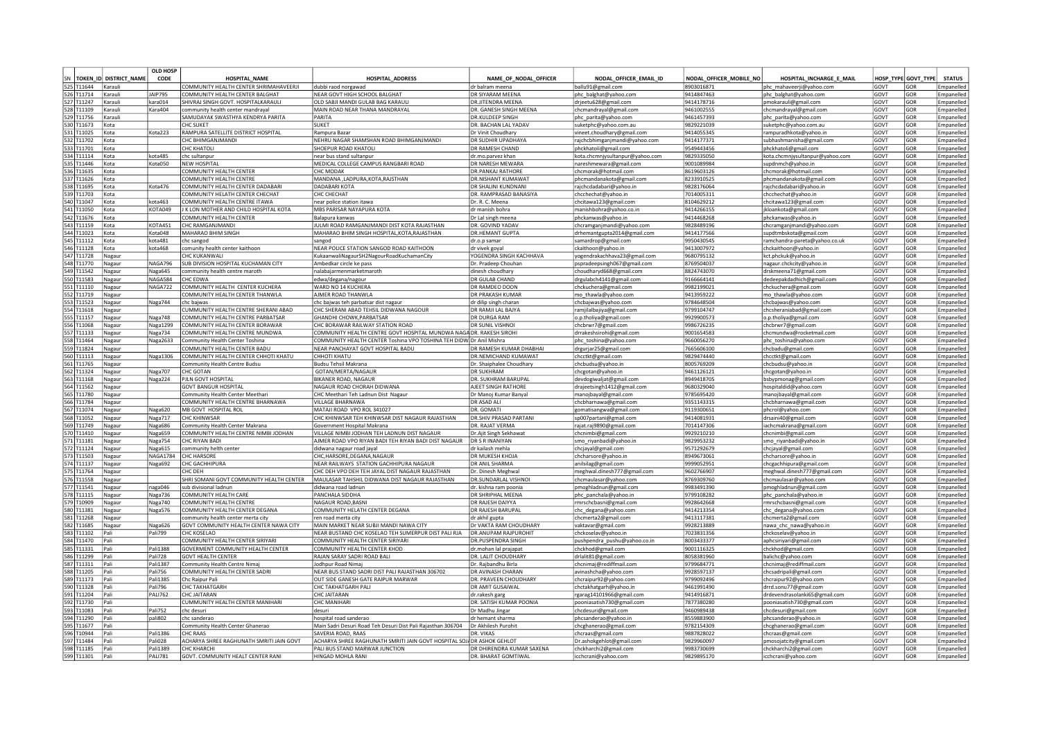|                          |                            | <b>OLD HOSP</b>           |                                                                       |                                                                                |                                           |                                                   |                          |                                                 |                     |                     |                          |
|--------------------------|----------------------------|---------------------------|-----------------------------------------------------------------------|--------------------------------------------------------------------------------|-------------------------------------------|---------------------------------------------------|--------------------------|-------------------------------------------------|---------------------|---------------------|--------------------------|
|                          | SN TOKEN ID DISTRICT NAME  | CODE                      | <b>HOSPITAL NAME</b>                                                  | HOSPITAL ADDRESS                                                               | NAME OF NODAL OFFICER                     | NODAL OFFICER EMAIL ID                            | NODAL OFFICER MOBILE NO  | HOSPITAL INCHARGE E MAIL                        |                     | HOSP TYPE GOVT TYPE | <b>STATUS</b>            |
| 525 T11644               | Karauli                    |                           | COMMUNITY HEALTH CENTER SHRIMAHAVEERJI                                | dubbi raod norgawad                                                            | dr balram meena                           | ballu91@gmail.com                                 | 8903016871               | phc mahaveerii@vahoo.cor                        | GOVT                | GOR                 | Empanelled               |
| 526 T11714               | Karauli                    | <b>JAIP795</b>            | COMMUNITY HEALTH CENTER BALGHAT                                       | NEAR GOVT HIGH SCHOOL BALGHAT                                                  | DR SIYARAM MEENA                          | phc_balghat@yahoo.com                             | 9414847463               | phc_balghat@yahoo.com                           | <b>GOVT</b>         | GOR                 | Empaneller               |
| 527 T11247               | Karaul                     | kara014                   | SHIVRAJ SINGH GOVT. HOSPITALKARAULI                                   | OLD SABJI MANDI GULAB BAG KARAULI                                              | DR.JITENDRA MEENA                         | drjeetu628@gmail.com                              | 9414178716               | pmokarauli@gmail.com                            | GOVT                | GOR                 | Empanelled               |
| 528 T11109               | Karaul                     | Kara404                   | community health center mandrayal                                     | MAIN ROAD NEAR THANA MANDRAYAL                                                 | DR. GANESH SINGH MEENA                    | chcmandrayal@gmail.com                            | 9461002555               | chcmandrayal@gmail.com                          | GOVT                | GOR                 | Empanelled               |
| 529 T11756               | Karauli                    |                           | SAMUDAYAK SWASTHYA KENDRYA PARITA                                     | PARITA                                                                         | <b>DR.KULDEEP SINGH</b>                   | phc_parita@yahoo.com                              | 9461457393               | phc_parita@yahoo.com                            | GOVT                | GOR                 | Empanelled               |
| 530 T11673               | Kota                       |                           | <b>CHC SUKFT</b>                                                      | <b>SUKFT</b>                                                                   | DR. BACHAN LAL YADAV                      | suketphc@yahoo.com.au                             | 9829221039               | suketphc@yahoo.com.au                           | GOVT                | GOR                 | Empaneller               |
| 531 T11025               | Kota                       | Kota223                   | RAMPURA SATELLITE DISTRICT HOSPITAL                                   | Rampura Bazar                                                                  | Dr Vinit Choudhary                        | vineet.choudhary@gmail.com                        | 9414055345               | rampuradhkota@yahoo.in                          | GOVT                | GOR                 | Empaneller               |
| 532 T11702               | Kota                       |                           | CHC BHIMGANJMANDI                                                     | NEHRU NAGAR SHAMSHAN ROAD BHIMGANJMANDI                                        | DR SUDHIR UPADHAYA                        | rajchcbhimganjmandi@yahoo.com                     | 9414177371               | subhashmanisha@gmail.com                        | GOVT                | GOR                 | Empaneller               |
| 533 T11701               | Kota                       |                           | CHC KHATOLI                                                           | SHOEPUR ROAD KHATOLI                                                           | DR RAMESH CHAND                           | ohckhatoli@gmail.com                              | 9549443456               | hckhatoli@gmail.com                             | GOVT                | GOR                 | Empanelled               |
| 534 T11114               | Kota                       | cota485                   | chc sultanpur                                                         | near bus stand sultanpur                                                       | dr.mo.parvez khan                         | kota.chcmnjysultanpur@yahoo.com                   | 9829335050               | kota.chcmnjysultanpur@yahoo.com                 | <b>GOVT</b>         | GOR                 | mpanelled                |
| 535 T11446               | Kota                       | Kota050                   | NEW HOSPITAL                                                          | MEDICAL COLLEGE CAMPUS RANGBARI ROAD                                           | DR NARESH MEWARA                          | nareshmewara@gmail.com                            | 9001089984               | supdnmch@yahoo.ir                               | GOVT                | GOR                 | Empanelled               |
| 536 T11635               | Kota                       |                           | COMMUNITY HEALTH CENTER                                               | CHC MODAK                                                                      | <b>DR.PANKAJ RATHORE</b>                  | chcmorak@hotmail.con                              | 8619603126               | chcmorak@hotmail.con                            | GOVT                | GOR                 | Empanelled               |
| 537 T11626               | Kota                       |                           | COMMUNITY HEALTH CENTRI                                               | MANDANA ,LADPURA,KOTA,RAJSTHAN                                                 | <b>DR.NISHANT KUMAWAT</b>                 | phcmandanakota@gmail.com                          | 8233910525               | phcmandanakota@gmail.com                        | GOVT                | GOR                 | Empaneller               |
| 538 T11695               | Kota                       | Kota476                   | COMMUNITY HEALTH CENTER DADABARI                                      | DADABARI KOTA                                                                  | DR SHALINI KUNDNANI                       | rajchcdadabari@yahoo.in                           | 9828176064               | raichcdadabari@vahoo.ii                         | GOVT                | GOR                 | Emnanelled               |
| 539 T11703               | Kota                       |                           | COMMUNITY HELATH CENTER CHECHAT                                       | CHC CHECHAT                                                                    | DR. RAMPRASAD BANASIYA                    | chcchechat@yahoo.in                               | 7014005311               | chcchechat@vahoo.in                             | GOVT                | GOR                 | Empanelled               |
| 540 T11047               | Kota                       | kota463                   | COMMUNITY HEALTH CENTRE ITAWA                                         | near police station itawa                                                      | Dr. R. C. Meena                           | chcitawa123@gmail.com                             | 8104629212               | chcitawa123@gmail.com                           | GOVT                | GOR                 | Empanelled               |
| 541 T11050               | Kota                       | KOTA049                   | J K LON MOTHER AND CHILD HOSPITAL KOTA                                | MBS PARISAR NAYAPURA KOTA                                                      | dr manish bohra                           | manishbohra@yahoo.co.in                           | 9414266155               | jkloankota@gmail.com                            | GOVT                | GOR                 | Empanelled               |
| 542 T11676               | Kota                       |                           | COMMUNITY HEALTH CENTER                                               | Balapura kanwas                                                                | Dr Lal singh meena                        | phckanwas@yahoo.in                                | 9414468268               | phckanwas@yahoo.in                              | GOVT                | GOR                 | Empanelled               |
| 543 T11159               | Kota                       | <b>KOTA451</b>            | CHC RAMGANJMANDI                                                      | JULMI ROAD RAMGANJMANDI DIST KOTA RAJASTHAN                                    | DR. GOVIND YADAV                          | chcramganjmandi@yahoo.com                         | 9828489196               | chcramganjmandi@yahoo.com                       | GOVT                | GOR                 | Empanelled               |
| 544 T11023               | Kota                       | Kota048                   | MAHARAO BHIM SINGH                                                    | MAHARAO BHIM SINGH HOSPITAL.KOTA.RAJASTHAN                                     | DR.HEMANT GUPTA                           | drhemantgupta2014@gmail.com                       | 9414177566               | supdtmbskota@gmail.com                          | GOVT                | GOR                 | Empanelled               |
| 545 T11112               | Kota                       | kota481<br>kota468        | chc sangoc                                                            | sangod                                                                         | dr.o.p samar                              | samardrop@gmail.com                               | 9950430545<br>9413007972 | ramchandra-pareta@yahoo.co.uk                   | <b>GOVT</b><br>GOVT | GOR                 | Empanelled<br>Empanelled |
| 546 T11128               | Kota                       |                           | comunity health center kaithoon                                       | NEAR POLICE STATION SANGOD ROAD KAITHOON                                       | dr vivek goya                             | ckaithoon@yahoo.in                                |                          | chckaithoon@yahoo.in                            |                     | GOR                 |                          |
| 547 T11728               | Nagaur                     |                           | CHC KUKANWALI                                                         | KukaanwaliNagaurSH2NagourRoadKuchamanCity                                      | YOGENDRA SINGH KACHHAVA                   | yogendrakachhava23@gmail.com                      | 9680795132               | kct.phckuk@yahoo.in                             | GOVT                | GOR                 | Empanelled               |
| 548 T11770<br>549 T11542 | Nagau                      | NAGA796<br>Naga645        | SUB DIVISION HOSPITAL KUCHAMAN CITY<br>community health centre maroth | Ambedkar circle ke pass<br>nalabaiarmenmarketmaroth                            | Dr. Pradeep Chouhan                       | pspradeepsingh067@gmail.com                       | 3769504037               | agaur.chckcity@yahoo.in                         | GOVT<br><b>GOVT</b> | GOR<br>GOR          | Empanelled               |
| 550 T11583               | Nagau                      |                           |                                                                       |                                                                                | dinesh choudhary                          | choudharyd668@gmail.com                           | 8824743070<br>9166664141 | drskmeena71@gmail.com                           |                     | GOR                 | <b>Empanelled</b>        |
|                          | Nagaur                     | NAGA584                   | <b>CHC EDWA</b>                                                       | edwa/degana/nagour                                                             | DR GULAB CHAND                            | drgulabch4141@gmail.com                           |                          | ledeepakdadhich@gmail.com                       | GOVT                |                     | Empanelled               |
| 551 T11110<br>552 T11719 | Nagaur                     | NAGA722                   | COMMUNITY HEALTH CENTER KUCHERA<br>COMMUNITY HEALTH CENTER THANWLA    | WARD NO 14 KUCHERA<br>AIMER ROAD THANWL                                        | DR RAMDEO DOON<br><b>DR PRAKASH KUMAR</b> | chckuchera@gmail.com                              | 9982199021<br>9413959222 | chckuchera@gmail.com                            | GOVT<br>GOVT        | GOR<br>GOR          | Empaneller<br>Empanelled |
| 553 T11523               | Nagau                      |                           | chc bajwas                                                            |                                                                                | dr dilip singh charan                     | mo_thawla@yahoo.com                               | 9784648504               | mo thawla@yahoo.com                             | GOVT                | GOR                 | Empanelle                |
| 554 T11618               | Nagaur                     | Naga744                   | CUMMUNITY HEALTH CENTRE SHERANI ABAD                                  | chc bajwas teh parbatsar dist nagaur<br>CHC SHERANI ABAD TEHSIL DIDWANA NAGOUR | DR RAMJI LAL BAJYA                        | chcbajwas@yahoo.com                               | 9799104747               | chcbajwas@yahoo.com<br>chcsheraniabad@gmail.com | GOVT                | GOR                 | Empanelled               |
| 555 T11157               | Nagaur<br>Nagau            | Naga748                   | COMMUNITY HEALTH CENTRE PARBATSAR                                     | GHANDHI CHOWK, PARBATSAR                                                       | DR DURGA RAM                              | ramjilalbajiya@gmail.com<br>o.p.tholiya@gmail.com | 9929900573               | o.p.tholiya@gmail.con                           | GOVT                | GOR                 | Empanelled               |
| 556 T11068               | Nagaur                     | Naga1299                  | COMMUNITY HEALTH CENTER BORAWAR                                       | CHC BORAWAR RAILWAY STATION ROAD                                               | DR SUNIL VISHNO                           | chcbrwr7@gmail.com                                | 9986726235               | chcbrwr7@gmail.com                              | GOVT                | GOR                 | Empanelled               |
| 557 T11133               | Nagaur                     | Naga734                   | COMMUNITY HEALTH CENTRE MUNDWA                                        | COMMUNITY HEALTH CENTRE GOVT HOSPITAL MUNDWA NAGA DR. RAKESH SIROHI            |                                           | drrakeshsirohi@gmail.com                          | 9001654583               | chcmundwa@rocketmail.com                        | <b>GOVT</b>         | GOR                 | Empanelled               |
| 558 T11464               | Nagaur                     | Naga2633                  | Community Health Center Toshina                                       | COMMUNITY HEALTH CENTER Toshina VPO TOSHINA TEH DIDW Dr Anil Mishra            |                                           | phc_toshina@yahoo.com                             | 9660056270               | phc_toshina@yahoo.com                           | GOVT                | GOR                 | Empanelled               |
| 559 T11824               | Nagaur                     |                           | COMMUNITY HEALTH CENTER BADU                                          | NEAR PANCHAYAT GOVT HOSPITAL BADU                                              | DR RAMESH KUMAR DHABHAI                   | drgurjar25@gmail.com                              | 7665606100               | chcbadu@gmail.com                               | GOVT                | GOR                 | Empanelled               |
| 560 T11113               | Nagaur                     | Naga1306                  | COMMUNITY HEALTH CENTER CHHOTI KHATU                                  | CHHOTI KHATU                                                                   | DR.NEMICHAND KUMAWAT                      | chcctkt@gmail.com                                 | 9829474440               | chcctkt@gmail.com                               | GOVT                | GOR                 | Empaneller               |
| 561 T11765               | Nagaur                     |                           | Community Health Centre Budsu                                         | <b>Budsu Tehsil Makrana</b>                                                    | Dr. Shaiphalee Choudhary                  | chcbudsu@yahoo.in                                 | 8005769209               | :hcbudsu@yahoo.in                               | GOVT                | GOR                 | Empanelled               |
| 562 T11324               | Nagaur                     | Naga707                   | CHC GOTAN                                                             | GOTAN/MERTA/NAGAUR                                                             | <b>DR SUKHRAM</b>                         | chcgotan@yahoo.in                                 | 9461126121               | chcgotan@yahoo.in                               | GOVT                | GOR                 | Empanelled               |
| 563 T11168               | Nagau                      | Naga224                   | PJLN GOVT HOSPITAL                                                    | BIKANER ROAD, NAGAUR                                                           | DR. SUKHRAM BARUPAL                       | devdogiwaljat@gmail.com                           | 8949418705               | bsbypmonag@gmail.com                            | GOVT                | GOR                 | Empaneller               |
| 564 T11562               | Nagaur                     |                           | <b>GOVT BANGUR HOSPITAL</b>                                           | NAGAUR ROAD CHORAH DIDWANA                                                     | AJEET SINGH RATHORE                       | draieetsingh1412@gmail.com                        | 9680329040               | hospitaldid@yahoo.com                           | GOVT                | GOR                 | Empanelled               |
| 565 T11780               | Nagau                      |                           | Community Health Center Meethari                                      | CHC Meethari Teh Ladnun Dist Nagaur                                            | Dr Manoj Kumar Banyal                     | manojbayal@gmail.com                              | 9785695420               | manojbayal@gmail.com                            | GOVT                | GOR                 | mpanelled                |
| 566 T11784               | Nagaur                     |                           | COMMUNITY HEALTH CENTRE BHARNAWA                                      | <b>VILLAGE BHARNAWA</b>                                                        | DR ASAD ALI                               | chcbharnawa@gmail.com                             | 9351143315               | chcbharnawa@gmail.com                           | GOVT                | GOR                 | Empanelle                |
| 567 T11074               | Nagaur                     | Naga620                   | MB GOVT HOSPITAL ROL                                                  | MATAJI ROAD VPO ROL 341027                                                     | DR. GOMATI                                | tomatisangwa@gmail.con                            | 9119300651               | phcrol@yahoo.com                                | GOVT                | GOR                 | Empanelled               |
| 568 T11052               | Nagaur                     | Naga717                   | <b>CHC KHINWSAR</b>                                                   | CHC KHINWSAR TEH KHINWSAR DIST NAGAUR RAJASTHAN                                | <b>DR.SHIV PRASAD PARTANI</b>             | sp007partani@gmail.com                            | 9414081931               | drsaini40@gmail.com                             | GOVT                | GOR                 | Empaneller               |
| 569 T11749               | Nagaur                     | Naga686                   | Community Health Center Makrana                                       | Government Hospital Makrana                                                    | DR. RAIAT VERMA                           | rajat.raj9890@gmail.com                           | 7014147306               | iachcmakrana@gmail.com                          | GOVT                | GOR                 | Emnanelled               |
| 570 T11410               | Nagaur                     | Naga659                   | COMMUNITY HEALTH CENTRE NIMBI JODHAN                                  | VILLAGE NIMBI JODHAN TEH LADNUN DIST NAGAUR                                    | Dr. Ajit Singh Sekhawat                   | chcnimbi@gmail.com                                | 9929210210               | chcnimbi@gmail.com                              | GOVT                | GOR                 | Empanelled               |
| 571 T11181               | Nagaur                     | Naga754                   | CHC RIYAN BADI                                                        | AJMER ROAD VPO RIYAN BADI TEH RIYAN BADI DIST NAGAUR                           | <b>DR S R INANIYAN</b>                    | smo_riyanbadi@yahoo.in                            | 9829953232               | smo riyanbadi@yahoo.in                          | GOVT                | GOR                 | Empanelled               |
| 572 T11124               | Nagaur                     | Naga615                   | community helth center                                                | didwana nagaur road jayal                                                      | dr kailash mehla                          | chcjayal@gmail.com                                | 9571292679               | chcjayal@gmail.com                              | GOVT                | GOR                 | Empanelled               |
| 573 T11503               | Nagaur                     |                           | NAGA1784 CHC HARSORE                                                  | CHC.HARSORE.DEGANA.NAGAUR                                                      | DR MUKESH KHOJA                           | chcharsore@yahoo.in                               | 8949673061               | chcharsore@yahoo.in                             | GOVT                | GOR                 | Empanelled               |
| 574 T11137               | Nagaur                     | Naga692                   | <b>CHC GACHHIPURA</b>                                                 | NEAR RAILWAYS STATION GACHHIPURA NAGAUR                                        | DR ANIL SHARMA                            | anilsilag@gmail.com                               | 9999052951               | chcgachhipura@gmail.com                         | GOVT                | GOR                 | Empanelled               |
| 575 T11764               | Nagaur                     |                           | <b>CHC DEH</b>                                                        | CHC DEH VPO DEH TEH JAYAL DIST NAGAUR RAJASTHAN                                | Dr. Dinesh Meghwal                        | meghwal.dinesh777@gmail.com                       | 9602766907               | meghwal.dinesh777@gmail.com                     | GOVT                | GOR                 | Empanelled               |
| 576 T11558               | Nagau                      |                           | SHRI SOMANI GOVT COMMUNITY HEALTH CENTER                              | MAULASAR TAHSHIL DIDWANA DIST NAGAUR RAJASTHAN                                 | DR.SUNDARLAL VISHNO                       | chcmaulasar@yahoo.com                             | 8769309760               | chcmaulasar@yahoo.com                           | GOVT                | GOR                 | Empanelled               |
| 577 T11541               | Nagaur                     | naga046                   | sub divisional ladnur                                                 | didwana road ladnun                                                            | dr. kishna ram poonia                     | pmoghladnun@gmail.com                             | 9983491390               | pmoghladnun@gmail.com                           | GOVT                | GOR                 | Empanelled               |
| 578 T11115               | Nagau                      | Naga736                   | COMMUNITY HEALTH CARE                                                 | PANCHALA SIDDHA                                                                | DR SHRIPHAL MEENA                         | phc_panchala@yahoo.in                             | 9799108282               | phc_panchala@yahoo.in                           | GOVT                | GOR                 | Empanelled               |
| 579 T10909               | Nagau                      | Naga740                   | COMMUNITY HEALTH CENTRE                                               | NAGAUR ROAD, BASNI                                                             | DR RAJESH DAIYYA                          | mrschcbasni@gmail.com                             | 9928642668               | mrschcbasni@gmail.com                           | GOVT                | GOR                 | Empanelled               |
| 580 T11381               | Nagau                      | Naga576                   | COMMUNITY HEALTH CENTER DEGANA                                        | COMMUNITY HELATH CENTER DEGANA                                                 | DR RAJESH BARUPAL                         | chc degana@yahoo.com                              | 9414213354               | hc degana@yahoo.com                             | <b>GOVT</b>         | GOR                 | Empanelled               |
| 581 T11268               | Nagaur                     |                           | community health center merta city                                    | ren road merta city                                                            | dr akhil gupta                            | chcmerta2@gmail.com                               | 9413117381               | hcmerta2@gmail.com                              | GOVT                | GOR                 | Empanelled               |
| 582 T11685               | Nagau                      | Naga626                   | GOVT COMMUNITY HEALTH CENTER NAWA CITY                                | MAIN MARKET NEAR SUBJI MANDI NAWA CITY                                         | Dr VAKTA RAM CHOUDHARY                    | vaktavar@gmail.com                                | 9928213889               | nawa_chc_nawa@yahoo.in                          | GOVT                | GOR                 | Empaneller               |
| 583 T11102               | Pali                       | Pali799                   | <b>CHC KOSFLAO</b>                                                    | NEAR BUSTAND CHC KOSELAO TEH SUMERPUR DIST PALI RJA                            | DR.ANUPAM RAJPUROHIT                      | chckoselav@yahoo.in                               | 7023831356               | chckoselav@yahoo.ir                             | GOVT                | GOR                 | Empanelled               |
| 584 T11470               | Pali                       |                           | COMMUNITY HEALTH CENTER SIRIYARI                                      | COMMUNITY HEALTH CENTER SIRIYARI                                               | DR.PUSPENDRA SINGH                        | pushpendra_pushu@yahoo.co.in                      | 8003433377               | aphcsiriyari@gmail.com                          | GOVT                | GOR                 | Empanelled               |
| 585 T11331               | Pali                       | Pali1388                  | GOVERMENT COMMUNITY HEALTH CENTER                                     | COMMUNITY HEALTH CENTER KHOD                                                   | dr.mohan lal prajapat                     | chckhod@gmail.com                                 | 9001116325               | chckhod@gmail.com                               | GOVT                | GOR                 | Empanelled               |
| 586 T11299               | Pali                       | Pali728                   | <b>GOVT HEALTH CENTER</b>                                             | RAJAN SARAY SADRI ROAD BALI                                                    | DR. LALIT CHOUDHARY                       | drlalit81@gmail.com                               | 8058381960               | balichc@yahoo.com                               | GOVT                | GOR                 | Empanelled               |
| 587 T11311               | Pali                       | Pali1387                  | Community Health Centre Nimaj                                         | Jodhpur Road Nimai                                                             | Dr. Rajbandhu Birla                       | chcnimai@rediffmail.con                           | 9799684771               | chcnimai@rediffmail.com                         | GOVT                | GOR                 | Empanelled               |
| 588 T11205               | <b>Pali</b>                | Pali756                   | COMMUNITY HEALTH CENTER SADRI                                         | NEAR BUS STAND SADRI DIST PALI RAJASTHAN 306702                                | DR AVINASH CHARAN                         | avinashcha@yahoo.com                              | 9928597137               | chcsadripali@gmail.com                          | <b>GOVT</b>         | GOR                 | Empanelled               |
| 589 T11173               | <b>Pali</b>                | Pali1385                  | Chc Raipur Pal                                                        | OUT SIDE GANESH GATE RAIPUR MARWAR                                             | DR. PRAVEEN CHOUDHARY                     | chcraipur92@yahoo.com                             | 9799092496               | chcraipur92@yahoo.com                           | GOVT                | GOR                 | Empanelled               |
| 590 T11328               | <b>Pali</b><br><b>Pali</b> | Pali796<br><b>PALI762</b> | <b>CHC TAKHATGARH</b>                                                 | CHC TAKHATGARH PALI<br><b>CHC JAITARAN</b>                                     | DR AMIT GUSAIWAL                          | chctakhatgarh@yahoo.in                            | 9461991490               | drrd.sonu77@gmail.com                           | GOVT                | GOR                 | Empanelled               |
| 591 T11204<br>592 T11730 | Pali                       |                           | <b>CHC JAITARAN</b><br>CUMMUNITY HEALTH CENTER MANIHARI               | CHC MANIHARI                                                                   | dr.rakesh garg<br>DR. SATISH KUMAR POONIA | rgarag14101966@gmail.com                          | 9414916871<br>7877380280 | drdevendrasolanki65@gmail.com                   | GOVT<br>GOVT        | GOR<br>GOR          | Empaneller<br>Empanelled |
| 593 T11083               | Pali                       | Pali752                   | chc desuri                                                            | desuri                                                                         |                                           | pooniasatish730@gmail.com                         | 9460989438               | pooniasatish730@gmail.com                       | GOVT                | GOR                 |                          |
| 594 T11290               | Pali                       | pali802                   | chc sanderad                                                          | hospital road sanderao                                                         | Dr Madhu Jingar<br>dr hemant sharma       | chcdesuri@gmail.com<br>phcsanderao@yahoo.in       | 8559883900               | :hcdesuri@gmail.com<br>ohcsanderao@yahoo.in     | GOVT                | GOR                 | Empanelled<br>Empanelled |
| 595 T11677               |                            |                           | Community Health Center Ghanerao                                      | Main Sadri Desuri Road Teh Desuri Dist Pali Rajasthan 306704                   | Dr Akhilesh Purohit                       | chcghanerao@gmail.com                             | 9782154309               | hcghanerao@gmail.com                            | GOVT                | GOR                 | Empaneller               |
| 596 T10944               | Pali                       | Pali1386                  | <b>CHC RAAS</b>                                                       | SAVERIA ROAD, RAAS                                                             | DR. VIKAS                                 | chcraas@gmail.com                                 | 9887828022               | chcraas@gmail.com                               | GOVT                | GOR                 | Empanelled               |
| 597 T11484               | Pali                       | Pali028                   | ACHARYA SHREE RAGHUNATH SMRITI JAIN GOVT                              | ACHARYA SHREE RAGHUNATH SMRITI JAIN GOVT HOSPITAL SOJADR ASHOK GEHLOT          |                                           | Dr.ashokgehlot@gmail.com                          | 9829960097               | mosojatcity@gmail.com                           | GOVT                | GOR                 | Empanelled               |
| 598 T11185               | Pali                       | Pali1389                  | CHC KHARCHI                                                           | PALI BUS STAND MARWAR JUNCTION                                                 | DR DHIRENDRA KUMAR SAXENA                 | chckharchi2@gmail.com                             | 9983730699               | chckharchi2@gmail.com                           | GOVT                | GOR                 | Empanelled               |
| 599 T11301               | Pali                       | <b>PAI1781</b>            | GOVT, COMMUNITY HEALT CENTER RANI                                     | HINGAD MOHI A RAN                                                              | DR. BHARAT GOMTIWAL                       | icchcrani@yahoo.com                               | 9829895170               | icchcrani@yahoo.com                             | GOVT                | GOR                 | Empanelled               |
|                          |                            |                           |                                                                       |                                                                                |                                           |                                                   |                          |                                                 |                     |                     |                          |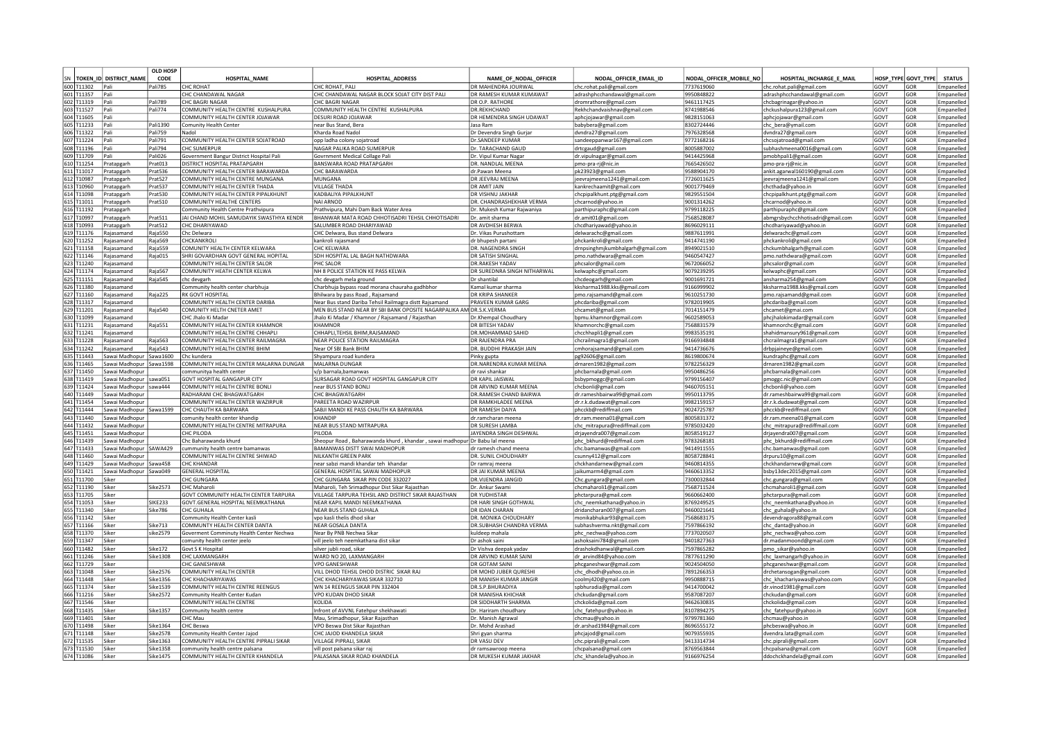|                          |                                          | <b>OLD HOSP</b>    |                                                                   |                                                                            |                                             |                                                           |                          |                                                    |              |                     |                          |
|--------------------------|------------------------------------------|--------------------|-------------------------------------------------------------------|----------------------------------------------------------------------------|---------------------------------------------|-----------------------------------------------------------|--------------------------|----------------------------------------------------|--------------|---------------------|--------------------------|
|                          | SN TOKEN ID DISTRICT NAME                | CODE               | <b>HOSPITAL NAME</b>                                              | <b>HOSPITAL ADDRESS</b>                                                    | NAME OF NODAL OFFICER                       | NODAL OFFICER EMAIL ID                                    | NODAL OFFICER MOBILE NO  | HOSPITAL INCHARGE E MAIL                           |              | HOSP TYPE GOVT TYPE | <b>STATUS</b>            |
| 600 T11302               | Pali                                     | Pali785            | <b>CHC ROHAT</b>                                                  | CHC ROHAT, PALI                                                            | DR MAHENDRA JOURWAL                         | chc.rohat.pali@gmail.con                                  | 7737619060               | chc.rohat.pali@gmail.com                           | GOVT         | GOR                 | Empanelled               |
| 601 T11357               | Pali                                     |                    | CHC CHANDAWAI NAGAR                                               | CHC CHANDAWAL NAGAR BLOCK SOJAT CITY DIST PALI                             | DR RAMFSH KUMAR KUMAWAT                     | adrashphcchandawal@gmail.com                              | 9950848822               | adrashphcchandawal@gmail.com                       | GOVT         | GOR                 | Empanelled               |
| 602 T11319               | Pali                                     | Pali789            | <b>CHC BAGRI NAGAR</b>                                            | <b>CHC BAGRI NAGAR</b>                                                     | DR O.P. RATHORE                             | dromrathore@gmail.com                                     | 9461117425               | chcbagrinagar@yahoo.in                             | GOVT         | GOR                 | Empanelled               |
| 603 T11527               | Pali<br>Pali                             | Pali774            | COMMUNITY HEALTH CENTRE KUSHALPURA                                | COMMUNITY HEALTH CENTRE KUSHALPURA                                         | DR.REKHCHAND                                | Rekhchandvaishnav@gmail.com                               | 8741988546               | chckushalpura123@gmail.com                         | GOVT         | GOR                 | Empanelled               |
| 604 T11605               | Pali                                     | Pali1390           | COMMUNITY HEALTH CENTER JOJAWAR                                   | DESURI ROAD JOJAWAR                                                        | DR HEMENDRA SINGH UDAWAT                    | aphcjojawar@gmail.com                                     | 9828151063<br>8302724446 | aphcjojawar@gmail.com                              | GOVT<br>GOVT | GOR<br>GOR          | Empanelled               |
| 605 T11233<br>606 T11322 | <b>Pali</b>                              | Pali759            | Comunity Health Center<br>Nadol                                   | near Bus Stand, Bera<br>Kharda Road Nadol                                  | Jasa Ram<br>Dr Devendra Singh Gurjar        | babybera@gmail.com<br>dvndra27@gmail.com                  | 7976328568               | chc_bera@ymail.com<br>dvndra27@gmail.com           | GOVT         | GOR                 | Empanelled<br>Empanelled |
| 607 T11224               | Pali                                     | Pali791            | COMMUNITY HEALTH CENTER SOJATROAD                                 | opp ladha colony sojatroad                                                 | Dr.SANDEEP KUMAR                            | sandeeppanwar167@gmail.com                                | 9772168216               | chcsoiatroad@gmail.com                             | GOVT         | GOR                 | Empaneller               |
| 608 T11196               | Pali                                     | Pali794            | CHC SUMFRPUR                                                      | NAGAR PALIKA ROAD SUMERPUR                                                 | Dr. TARACHAND GAUD                          | drtcgaud@gmail.com                                        | 8005887002               | subhashmeena0016@gmail.com                         | GOVT         | GOR                 | Empanelled               |
| 609 T11709               | Pali                                     | ali026             | Government Bangur District Hospital Pali                          | Govrnment Medical Collage Pali                                             | Dr. Vipul Kumar Nagar                       | dr.vipulnagar@gmail.com                                   | 9414425968               | omobhpali1@gmail.com                               | GOVT         | GOR                 | Empanelled               |
| 610 T11254               | Pratapgarh                               | Prat013            | DISTRICT HOSPITAL PRATAPGARH                                      | BANSWARA ROAD PRATAPGARH                                                   | DR. NANDLAL MEENA                           | pmo-pra-rj@nic.in                                         | 7665426502               | omo-pra-rj@nic.in                                  | GOVT         | GOR                 | Empanelled               |
| 611 T11017               | Pratapgarh                               | Prat536            | COMMUNITY HEALTH CENTER BARAWARDA                                 | CHC BARAWARDA                                                              | dr.Pawan Meena                              | pk23923@gmail.com                                         | 9588904170               | ankit.agarwal160190@gmail.com                      | GOVT         | GOR                 | Empaneller               |
| 612 T10987               | Pratapgarh                               | Prat527            | COMMUNITY HEALTH CENTRE MUNGANA                                   | MUNGANA                                                                    | DR JEEVRAJ MEENA                            | jeevrajmeena1241@gmail.com                                | 7726011625               | jeevrajmeena1241@gmail.com                         | GOVT         | GOR                 | Empanelled               |
| 613 T10960               | Pratapgarh                               | Prat537            | COMMUNITY HEALTH CENTER THADA                                     | VILLAGE THADA                                                              | <b>DR AMIT JAIN</b>                         | kankrechaamit@gmail.com                                   | 9001779469               | chcthada@yahoo.in                                  | GOVT         | GOR                 | Empanelled               |
| 614 T11098               | Pratapgarh                               | Prat530            | COMMUNITY HEALTH CENTER PIPALKHUNT                                | <b>KADBALIYA PIPALKHUNT</b>                                                | DR VISHNU JAKHAR                            | chcpipalkhunt.ptg@gmail.com                               | 9829551504               | chcpipalkhunt.ptg@gmail.com                        | GOVT         | GOR                 | Empanelled               |
| 615 T11011               | Pratapgarh                               | Prat510            | COMMUNITY HEALTHE CENTERS                                         | <b>NAI ARNOD</b>                                                           | DR. CHANDRASHEKHAR VERMA                    | chcarnod@vahoo.in                                         | 9001314262               | chcarnod@vahoo.in                                  | GOVT         | GOR                 | Empanelled               |
| 616 T11192               | Pratapgarh                               |                    | Community Health Centre Prathvipura                               | Prathvipura, Mahi Dam Back Water Area                                      | Dr. Mukesh Kumar Raiwaniya                  | parthipuraphc@gmail.com                                   | 9799118225               | parthipuraphc@gmail.com                            | GOVT         | GOR                 | Empanelled               |
| 617 T10997               | Pratapgarh                               | Prat511            | JAI CHAND MOHIL SAMUDAYIK SWASTHYA KENDR                          | BHANWAR MATA ROAD CHHOTISADRI TEHSIL CHHOTISADRI                           | Dr. amit sharma                             | dr.amit01@gmail.com                                       | 7568528087               | abmgrsbychcchhotisadri@gmail.com                   | GOVT         | GOR                 | Empanelled               |
| 618 T10993               | Pratapgarh                               | Prat512            | CHC DHARIYAWAD                                                    | SALUMBER ROAD DHARIYAWAD                                                   | DR AVDHESH BERWA                            | chcdhariyawad@yahoo.in                                    | 8696029111               | chcdhariyawad@yahoo.in                             | GOVT         | GOR                 | Empanelled               |
| 619 T11176<br>620 T11252 | Rajasamand<br>Rajasamand                 | Raja550<br>Raja569 | Chc Delwara<br>CHCKANKROLI                                        | CHC Delwara, Bus stand Delwara<br>kankroli rajasmand                       | Dr. Vikas Purushottam<br>dr bhupesh partani | delwarachc@gmail.com                                      | 9887611991<br>9414741190 | delwarachc@gmail.com                               | GOVT<br>GOVT | GOR<br>GOR          | Empanelled<br>Empanelled |
| 621 T11158               | Rajasamand                               | Raja559            | COMUNITY HEALTH CENTER KELWARA                                    | CHC KELWARA                                                                | DR. NAGENDRA SINGH                          | phckankroli@gmail.com<br>drnpsinghmjkumbhalgarh@gmail.com | 8949021510               | phckankroli@gmail.com<br>:hckumbhalgarh@gmail.com  | GOVT         | GOR                 | Empanelled               |
| 622 T11146               | Raiasamand                               | Raia015            | SHRI GOVARDHAN GOVT GENERAL HOPITAL                               | SDH HOSPITAL LAL BAGH NATHDWARA                                            | DR SATISH SINGHAI                           | pmo.nathdwara@gmail.com                                   | 9460547427               | pmo.nathdwara@gmail.com                            | GOVT         | GOR                 | Empanelled               |
| 623 T11240               | Rajasamand                               |                    | COMMUNITY HEALTH CENTER SALOR                                     | PHC SALOR                                                                  | DR.RAKESH YADAV                             | phcsalor@gmail.com                                        | 9672066052               | phcsalor@gmail.com                                 | GOVT         | GOR                 | Empanelled               |
| 624 T11174               | Raiasamand                               | Raja567            | COMMUNITY HEATH CENTER KELWA                                      | NH 8 POLICE STATION KE PASS KELWA                                          | DR SUREDNRA SINGH NITHARWAL                 | kelwaphc@gmail.com                                        | 9079239295               | elwaphc@gmail.com                                  | GOVT         | GOR                 | Empanelled               |
| 625 T11151               | Rajasamand                               | Raja545            | chc devgarh                                                       | chc devgarh mela ground                                                    | Dr shantilal                                | hcdeogarh@gmail.com                                       | 9001691721               | ansharma254@gmail.com                              | GOVT         | GOR                 | Empanelled               |
| 626 T11380               | Rajasamand                               |                    | Community health center charbhuja                                 | Charbhuja bypass road morana chauraha gadhbhor                             | Kamal kumar sharma                          | kksharma1988.kks@gmail.com                                | 9166999902               | kksharma1988.kks@gmail.com                         | GOVT         | GOR                 | Empanelled               |
| 627 T11160               | Rajasamand                               | Raja225            | <b>RK GOVT HOSPITAL</b>                                           | Bhilwara by pass Road, Rajsamand                                           | <b>DR KRIPA SHANKER</b>                     | pmo.rajsamand@gmail.com                                   | 9610251730               | omo.rajsamand@gmail.com                            | GOVT         | GOR                 | Empanelled               |
| 628 T11317               | Raiasamand                               |                    | COMMUNITY HEALTH CENTER DARIBA                                    | Near Bus stand Dariba Tehsil Railmagra distt Rajsamand                     | PRAVEEN KUMAR GARG                          | phcdariba@gmail.com                                       | 9782019905               | ohcdariba@gmail.com                                | GOVT         | GOR                 | Empanelled               |
| 629 T11201               | Raiasamand                               | Raja540            | COMUNITY HELTH CNETER AMET                                        | MEN BUS STAND NEAR BY SBI BANK OPOSITE NAGARPALIKA AM DR.S.K.VERMA         |                                             | chcamet@gmail.com                                         | 7014151479               | chcamet@gmai.com                                   | GOVT         | GOR                 | Empanelled               |
| 630 T11099               | Raiasamand                               |                    | CHC Ihalo Ki Madar                                                | Jhalo Ki Madar / Khamnor / Rajsamand / Rajasthan                           | Dr.Khempal Choudhary                        | bomu.khamnor@gmail.com                                    | 9602589053               | phcjhalokimadar@gmail.com                          | GOVT         | GOR                 | Empanelled               |
| 631 T11231               | Raiasamand                               | Raia551            | COMMUNITY HEALTH CENTER KHAMNOR                                   | KHAMNOI                                                                    | DR BITESH YADAV                             | khamnorchc@gmail.com                                      | 7568831579               | khamnorchc@gmail.com                               | GOVT         | GOR                 | Empanelled               |
| 632 T11241               | Rajasamand                               |                    | COMMUNITY HEALTH CENTRE CHHAPLI                                   | CHHAPLI.TEHSIL BHIM.RAJSAMAND                                              | DR.MOHAMMAD SAHID                           | chcchhapli1@gmail.com                                     | 9983535191               | shahidmansury961@gmail.com                         | GOVT         | GOR                 | Empanelled               |
| 633 T11228<br>634 T11242 | Raiasamand<br>Raiasamand                 | Raia563<br>Raja543 | COMMUNITY HEALTH CENTER RAILMAGRA<br>COMMUNITY HEALTH CENTRE BHIM | NEAR POLICE STATION RAILMAGRA<br>Near Of SBI Bank BHIM                     | DR RAJENDRA PRA<br>DR. BUDDHI PRAKASH JAIN  | chcrailmagra1@gmail.com                                   | 9166934848<br>9414736676 | chcrailmagra1@gmail.com                            | GOVT<br>GOVT | GOR<br>GOR          | Empanelled<br>Empanelled |
| 635 T11443               | Sawai Madhopur Sawa1600                  |                    | Chc kundera                                                       | Shyampura road kundera                                                     | Pinky gupta                                 | cmhorajsamand@gmail.com<br>pg92606@gmail.com              | 8619800674               | drbpjaineye@gmail.com<br>kundraphc@gmail.com       | GOVT         | GOR                 | Empanelled               |
| 636 T11465               | Sawai Madhopur                           | Sawa1598           | COMMUNITY HEALTH CENTER MALARNA DUNGAR                            | MALARNA DUNGAR                                                             | DR.NARENDRA KUMAR MEENA                     | drnaren1982@gmail.com                                     | 9782256329               | drnaren1982@gmail.com                              | GOVT         | GOR                 | Empanelled               |
| 637 T11450               | Sawai Madhopur                           |                    | communitya health center                                          | v/p barnala, bamanwas                                                      | dr ravi shankar                             | phcbarnala@gmail.com                                      | 9950486256               | phcbarnala@gmail.com                               | GOVT         | GOR                 | Empanelled               |
| 638 T11419               | Sawai Madhopur                           | sawa051            | GOVT HOSPITAL GANGAPUR CITY                                       | SURSAGAR ROAD GOVT HOSPITAL GANGAPUR CITY                                  | DR KAPIL JAISWAL                            | bsbypmoggc@gmail.com                                      | 9799156407               | pmoggc.nic@gmail.com                               | GOVT         | GOR                 | Empanelled               |
| 639 T11424               | Sawai Madhopur                           | awa444             | COMMUNITY HEALTH CENTRE BONLI                                     | near BUS STAND BONLI                                                       | DR ARVIND KUMAR MEENA                       | chcbonli@gmail.com                                        | 9460705151               | hcbonli@vahoo.com                                  | GOVT         | GOR                 | Empanelled               |
| 640 T11449               | Sawai Madhopui                           |                    | RADHARANI CHC BHAGWATGARH                                         | CHC BHAGWATGARH                                                            | DR.RAMESH CHAND BAIRWA                      | dr.rameshbairwa99@gmail.com                               | 9950113795               | dr.rameshbairwa99@gmail.com                        | GOVT         | GOR                 | Empanelled               |
| 641 T11454               | Sawai Madhopur                           |                    | COMMUNITY HEALTH CENTER WAZIRPUR                                  | PAREETA ROAD WAZIRPUR                                                      | DR RAMKHLADEE MEENA                         | dr.r.k.dudawat@gmail.com                                  | 9982159157               | dr.r.k.dudawat@gmail.com                           | GOVT         | GOR                 | Empaneller               |
| 642 T11444               | Sawai Madhopur Sawa1599                  |                    | CHC CHAUTH KA BARWARA                                             | SABJI MANDI KE PASS CHAUTH KA BARWARA                                      | DR RAMESH DAIYA                             | phcckb@rediffmail.com                                     | 9024725787               | phcckb@rediffmail.com                              | GOVT         | GOR                 | Empanelled               |
| 643 T11440               | Sawai Madhopur                           |                    | comunity health center khandip                                    | <b>KHANDIP</b>                                                             | dr.ramcharan meena                          | dr.ram.meena01@gmail.com                                  | 8005831372               | dr.ram.meena01@gmail.com                           | GOVT         | GOR                 | Empanelled               |
| 644 T11432               | Sawai Madhopur                           |                    | COMMUNITY HEALTH CENTRE MITRAPURA                                 | NEAR BUS STAND MITRAPURA                                                   | DR SURESH LAMBA                             | chc_mitrapura@rediffmail.com                              | 9785032420               | chc_mitrapura@rediffmail.com                       | GOVT         | GOR                 | Empanelled               |
| 645 T11451               | Sawai Madhonu                            |                    | CHC PILODA                                                        | PII ODA                                                                    | <b>IAYENDRA SINGH DESHWAL</b>               | drjayendra007@gmail.com                                   | 8058519127               | drjayendra007@gmail.com                            | GOVT         | GOR                 | Empanelled               |
| 646 T11439               | Sawai Madhopur                           |                    | Chc Baharawanda khurd                                             | Sheopur Road, Baharawanda khurd, khandar, sawai madhopur Dr Babu lal meena |                                             | phc bkhurd@rediffmail.com                                 | 9783268181               | phc bkhurd@rediffmail.com                          | GOVT         | GOR                 | Empanelled               |
| 647 T11433               | Sawai Madhopur                           | AWA429             | cummunity health centre bamanwas                                  | BAMANWAS DISTT SWAI MADHOPUR                                               | dr ramesh chand meena                       | chc.bamanwas@gmail.com                                    | 9414911555               | chc.bamanwas@gmail.com                             | GOVT         | GOR                 | Empanelled               |
| 648 T11460<br>649 T11429 | Sawai Madhopur<br>Sawai Madhopur Sawa458 |                    | COMMUNITY HEALTH CENTRE SHIWAD<br><b>CHC KHANDAR</b>              | <b>NILKANTH GREEN PARK</b><br>near sabzi mandi khandar teh khandar         | DR. SUNIL CHOUDHARY<br>Dr ramraj meena      | csunny412@gmail.com                                       | 8058728841<br>9460814355 | drpuru10@gmail.com                                 | GOVT<br>GOVT | GOR<br>GOR          | Empanelled<br>Empanelled |
| 650 T11421               | Sawai Madhopur Sawa049                   |                    | <b>GENERAL HOSPITAL</b>                                           | GENERAL HOSPITAL SAWAI MADHOPUR                                            | DR JAI KUMAR MEENA                          | chckhandarnew@gmail.com<br>jaikumarm4@gmail.com           | 9460613352               | chckhandarnew@gmail.com<br>bsby13dec2015@gmail.com | GOVT         | GOR                 | Empanelled               |
| 651 T11700               | Siker                                    |                    | CHC GUNGARA                                                       | CHC GUNGARA SIKAR PIN CODE 332027                                          | DR.VIJENDRA JANGID                          | Chc.gungara@gmail.com                                     | 7300032844               | chc.gungara@gmail.com                              | GOVT         | GOR                 | Empanelled               |
| 652 T11190               | Siker                                    | <b>Sike2573</b>    | CHC Maharoli                                                      | Maharoli. Teh Srimadhopur Dist Sikar Rajasthan                             | Dr. Ankur Swami                             | chcmaharoli1@gmail.com                                    | 7568711524               | chcmaharoli1@gmail.com                             | GOVT         | GOR                 | Empanelled               |
| 653 T11705               | Siker                                    |                    | GOVT COMMUNITY HEALTH CENTER TARPURA                              | VILLAGE TARPURA TEHSIL AND DISTRICT SIKAR RAJASTHAN                        | <b>DR YUDHISTAR</b>                         | phctarpura@gmail.com                                      | 9660662400               | phctarpura@gmail.com                               | GOVT         | GOR                 | Empanelled               |
| 654 T11053               | Siker                                    | <b>SIKE233</b>     | GOVT.GENERAL HOSPITAL NEEMKATHANA                                 | NEAR KAPIL MANDI NEEMKATHANA                                               | DR HARI SINGH GOTHWAL                       | chc_neemkathana@yahoo.in                                  | 8769249525               | chc_neemkathana@yahoo.in                           | GOVT         | GOR                 | Empanelled               |
| 655 T11340               | Siker                                    | Sike786            | <b>CHC GUHALA</b>                                                 | <b>NEAR BUS STAND GUHALA</b>                                               | DR IDAN CHARAN                              | dridancharan007@gmail.com                                 | 9460021641               | chc_guhala@yahoo.in                                | <b>GOVT</b>  | GOR                 | Empanelled               |
| 656 T11142               | Siker                                    |                    | Community Health Center kasl                                      | voo kasli thelis dhod sikai                                                | DR. MONIKA CHOUDHARY                        | monikabhukar93@gmail.com                                  | 7568683175               | levendragora88@gmail.com                           | GOVT         | GOR                 | Empanelled               |
| 657 T11166               | Siker                                    | Sike713            | COMMUNTY HEALTH CENTER DANTA                                      | NEAR GOSALA DANTA                                                          | DR.SUBHASH CHANDRA VERMA                    | ubhashverma.nkt@gmail.com                                 | 7597866192               | chc_danta@yahoo.in                                 | GOVT         | GOR                 | Empanelled               |
| 658 T11370               | Siker                                    | sike2579           | Goverment Comminuty Health Center Nechwa                          | Near By PNB Nechwa Sikar                                                   | kuldeep mahala                              | phc nechwa@vahoo.con                                      | 7737020507               | phc nechwa@yahoo.com                               | GOVT         | GOR                 | Empanelled               |
| 659 T11347               | Siker                                    |                    | comunity health center jeek                                       | vill jeelo teh neemkathana dist sikar                                      | Dr ashok sain                               | ashoksaini784@gmail.com                                   | 9401827363               | dr.madanmoond@gmail.com                            | GOVT         | GOR                 | Empanelled               |
| 660 T11482               | Siker                                    | <b>Sike172</b>     | Govt S K Hospital                                                 | silver jubli road, sikar                                                   | Dr Vishva deepak vadav                      | drashokdhanwal@gmail.com                                  | 7597865282               | pmo sikar@yahoo.ir                                 | GOVT         | GOR                 | Empanelled               |
| 661 T11246               | Siker                                    | Sike1308           | CHC LAXMANGARH                                                    | WARD NO 20, LAXMANGARH                                                     | DR ARVIND KUMAR SAINI                       | dr arvind84@vahoo.com                                     | 7877611290               | chc laxmangarh@yahoo.in                            | GOVT         | GOR                 | Empanelled               |
| 662 T11729<br>663 T11048 | Siker<br>Siker                           | <b>Sike2576</b>    | CHC GANESHWAR<br>COMMUNITY HEALTH CENTER                          | VPO GANESHWAR<br>VILL DHOD TEHSIL DHOD DISTRIC SIKAR RAJ                   | DR GOTAM SAINI<br>DR MOHD JUBER QURESHI     | phcganeshwar@gmail.com<br>chc_dhodh@yahoo.co.in           | 9024504050<br>7891266353 | phcganeshwar@gmail.com<br>drchetansogan@gmail.com  | GOVT<br>GOVT | GOR<br>GOR          | Empanelled<br>Empanelled |
| 664 T11448               | Siker                                    | Sike1356           | <b>CHC KHACHARIYAWAS</b>                                          | CHC KHACHARIYAWAS SIKAR 332710                                             | DR MANISH KUMAR JANGIR                      | coolmj420@gmail.com                                       | 9950888715               | chc_khachariyawas@yahoo.com                        | GOVT         | GOR                 | Empanelled               |
| 665 T11374               | Siker                                    | Sike1539           | COMMUNITY HEALTH CENTRE REENGUS                                   | WN 14 REENGUS SIKAR PIN 332404                                             | DR.S.P.BHURADIYA                            | spbhuradia@gmail.com                                      | 9414700042               | dr.vinod1981@gmail.com                             | GOVT         | GOR                 | Empanelled               |
| 666 T11216               | Siker                                    | <b>Sike2572</b>    | Community Health Center Kudan                                     | VPO KUDAN DHOD SIKAR                                                       | DR MANISHA KHICHAR                          | chckudan@gmail.com                                        | 9587087207               | chckudan@gmail.com                                 | GOVT         | GOR                 | Empanelled               |
| 667 T11546               | Siker                                    |                    | COMMUNITY HEALTH CENTRE                                           | KOLIDA                                                                     | DR SIDDHARTH SHARMA                         | chckolida@gmail.com                                       | 9462630835               | chckolida@gmail.com                                | GOVT         | GOR                 | Empanelled               |
| 668 T11435               | Siker                                    | Sike1357           | Community health centre                                           | Infront of AVVNL Fatehpur shekhawati                                       | Dr. Hariram choudhary                       | chc_fatehpur@yahoo.in                                     | 8107894275               | chc_fatehpur@yahoo.in                              | GOVT         | GOR                 | Empanelled               |
| 669 T11401               | Siker                                    |                    | CHC Mau                                                           | Mau, Srimadhopur, Sikar Rajasthan                                          | Dr. Manish Agrawal                          | chcmau@vahoo.in                                           | 9799781360               | chcmau@vahoo.in                                    | GOVT         | GOR                 | Empanelled               |
| 670 T11498               | Siker                                    | Sike1364           | CHC Beswa                                                         | /PO Beswa Dist Sikar Rajasthan                                             | Dr. Mohd Arashac                            | dr.arshad1984@gmail.com                                   | 8696555172               | hcbeswa@vahoo.in                                   | GOVT         | GOR                 | Empanelled               |
| 671 T11148               | Siker                                    | Sike2578           | Community Health Center Jajod                                     | CHC JAJOD KHANDELA SIKAR                                                   | Shri gyan sharma                            | phcjajod@gmail.com                                        | 9079355935               | dvendra.lata@gmail.com                             | GOVT         | GOR                 | <b>Empanelled</b>        |
| 672 T11535               | Siker                                    | Sike1363           | COMMUNITY HEALTH CENTRE PIPRALI SIKAR                             | <b>VILLAGE PIPRALI, SIKAR</b>                                              | DR VASU DEV                                 | chc.piprali@gmail.com                                     | 9413314734               | chc.piprali@gmail.com                              | GOVT         | GOR                 | Empanelled               |
| 673 T11530               | Siker                                    | <b>Sike1358</b>    | community health centre palsana                                   | vill post palsana sikar raj                                                | dr ramsawroop meena                         | chcpalsana@gmail.com                                      | 8769563844               | chcpalsana@gmail.com                               | GOVT         | GOR                 | Empanelled               |
| 674 T11086               | Siker                                    | <b>Sike1475</b>    | COMMUNITY HEALTH CENTER KHANDELA                                  | PALASANA SIKAR ROAD KHANDELA                                               | DR MUKESH KUMAR JAKHAR                      | chc_khandela@yahoo.in                                     | 9166976254               | ddochckhandela@gmail.com                           | GOVT         | GOR                 | Empanelled               |